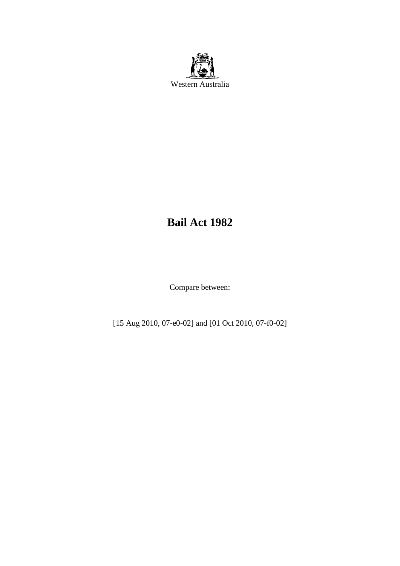

# **Bail Act 1982**

Compare between:

[15 Aug 2010, 07-e0-02] and [01 Oct 2010, 07-f0-02]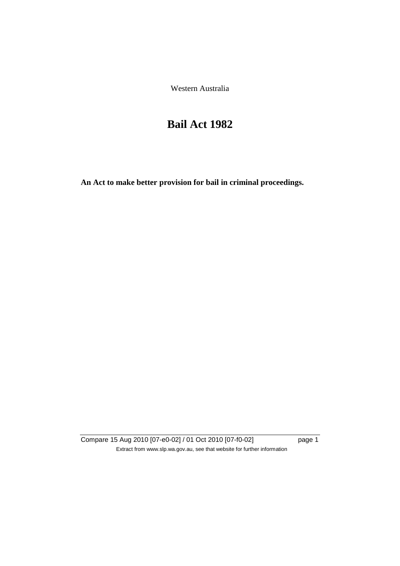Western Australia

# **Bail Act 1982**

**An Act to make better provision for bail in criminal proceedings.** 

Compare 15 Aug 2010 [07-e0-02] / 01 Oct 2010 [07-f0-02] page 1 Extract from www.slp.wa.gov.au, see that website for further information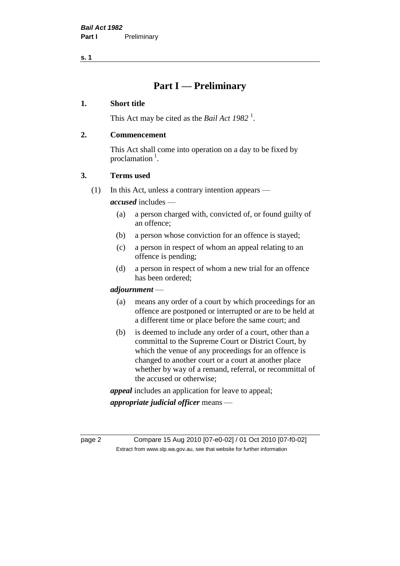**s. 1**

## **Part I — Preliminary**

## **1. Short title**

This Act may be cited as the *Bail Act* 1982<sup>1</sup>.

## **2. Commencement**

This Act shall come into operation on a day to be fixed by proclamation  $<sup>1</sup>$ .</sup>

## **3. Terms used**

(1) In this Act, unless a contrary intention appears —

*accused* includes —

- (a) a person charged with, convicted of, or found guilty of an offence;
- (b) a person whose conviction for an offence is stayed;
- (c) a person in respect of whom an appeal relating to an offence is pending;
- (d) a person in respect of whom a new trial for an offence has been ordered;

## *adjournment* —

- (a) means any order of a court by which proceedings for an offence are postponed or interrupted or are to be held at a different time or place before the same court; and
- (b) is deemed to include any order of a court, other than a committal to the Supreme Court or District Court, by which the venue of any proceedings for an offence is changed to another court or a court at another place whether by way of a remand, referral, or recommittal of the accused or otherwise;

*appeal* includes an application for leave to appeal;

*appropriate judicial officer* means —

page 2 Compare 15 Aug 2010 [07-e0-02] / 01 Oct 2010 [07-f0-02] Extract from www.slp.wa.gov.au, see that website for further information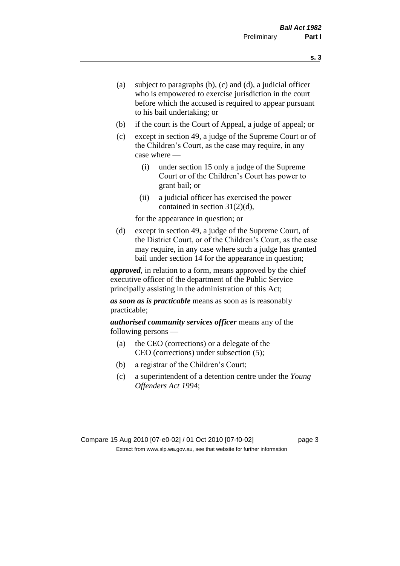- (a) subject to paragraphs (b), (c) and (d), a judicial officer who is empowered to exercise jurisdiction in the court before which the accused is required to appear pursuant to his bail undertaking; or
- (b) if the court is the Court of Appeal, a judge of appeal; or
- (c) except in section 49, a judge of the Supreme Court or of the Children's Court, as the case may require, in any case where —
	- (i) under section 15 only a judge of the Supreme Court or of the Children's Court has power to grant bail; or
	- (ii) a judicial officer has exercised the power contained in section 31(2)(d),

for the appearance in question; or

(d) except in section 49, a judge of the Supreme Court, of the District Court, or of the Children's Court, as the case may require, in any case where such a judge has granted bail under section 14 for the appearance in question;

*approved*, in relation to a form, means approved by the chief executive officer of the department of the Public Service principally assisting in the administration of this Act;

*as soon as is practicable* means as soon as is reasonably practicable;

*authorised community services officer* means any of the following persons —

- (a) the CEO (corrections) or a delegate of the CEO (corrections) under subsection (5);
- (b) a registrar of the Children's Court;
- (c) a superintendent of a detention centre under the *Young Offenders Act 1994*;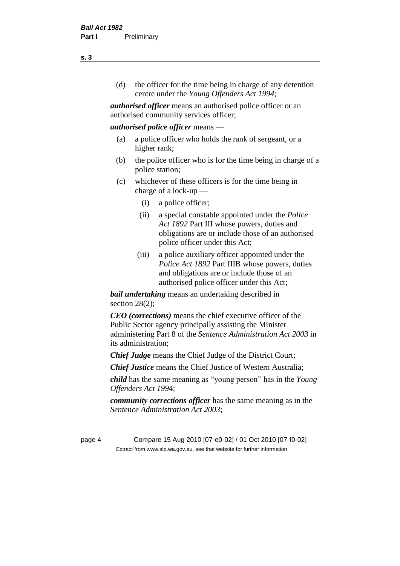(d) the officer for the time being in charge of any detention centre under the *Young Offenders Act 1994*;

*authorised officer* means an authorised police officer or an authorised community services officer;

## *authorised police officer* means —

- (a) a police officer who holds the rank of sergeant, or a higher rank;
- (b) the police officer who is for the time being in charge of a police station;
- (c) whichever of these officers is for the time being in charge of a lock-up —
	- (i) a police officer;
	- (ii) a special constable appointed under the *Police Act 1892* Part III whose powers, duties and obligations are or include those of an authorised police officer under this Act;
	- (iii) a police auxiliary officer appointed under the *Police Act 1892* Part IIIB whose powers, duties and obligations are or include those of an authorised police officer under this Act;

*bail undertaking* means an undertaking described in section  $28(2)$ ;

*CEO (corrections)* means the chief executive officer of the Public Sector agency principally assisting the Minister administering Part 8 of the *Sentence Administration Act 2003* in its administration;

*Chief Judge* means the Chief Judge of the District Court;

*Chief Justice* means the Chief Justice of Western Australia;

*child* has the same meaning as "young person" has in the *Young Offenders Act 1994*;

*community corrections officer* has the same meaning as in the *Sentence Administration Act 2003*;

page 4 Compare 15 Aug 2010 [07-e0-02] / 01 Oct 2010 [07-f0-02] Extract from www.slp.wa.gov.au, see that website for further information

**s. 3**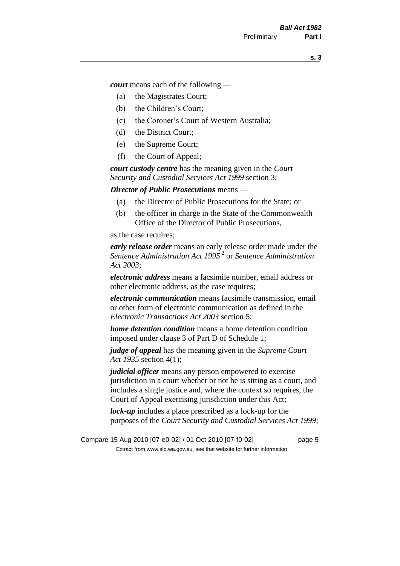*court* means each of the following —

- (a) the Magistrates Court;
- (b) the Children's Court;
- (c) the Coroner's Court of Western Australia;
- (d) the District Court;
- (e) the Supreme Court;
- (f) the Court of Appeal;

*court custody centre* has the meaning given in the *Court Security and Custodial Services Act 1999* section 3;

*Director of Public Prosecutions* means —

- (a) the Director of Public Prosecutions for the State; or
- (b) the officer in charge in the State of the Commonwealth Office of the Director of Public Prosecutions,

as the case requires;

*early release order* means an early release order made under the *Sentence Administration Act 1995* <sup>2</sup> or *Sentence Administration Act 2003*;

*electronic address* means a facsimile number, email address or other electronic address, as the case requires;

*electronic communication* means facsimile transmission, email or other form of electronic communication as defined in the *Electronic Transactions Act 2003* section 5;

*home detention condition* means a home detention condition imposed under clause 3 of Part D of Schedule 1;

*judge of appeal* has the meaning given in the *Supreme Court Act 1935* section 4(1);

*judicial officer* means any person empowered to exercise jurisdiction in a court whether or not he is sitting as a court, and includes a single justice and, where the context so requires, the Court of Appeal exercising jurisdiction under this Act;

*lock-up* includes a place prescribed as a lock-up for the purposes of the *Court Security and Custodial Services Act 1999*;

Compare 15 Aug 2010 [07-e0-02] / 01 Oct 2010 [07-f0-02] page 5 Extract from www.slp.wa.gov.au, see that website for further information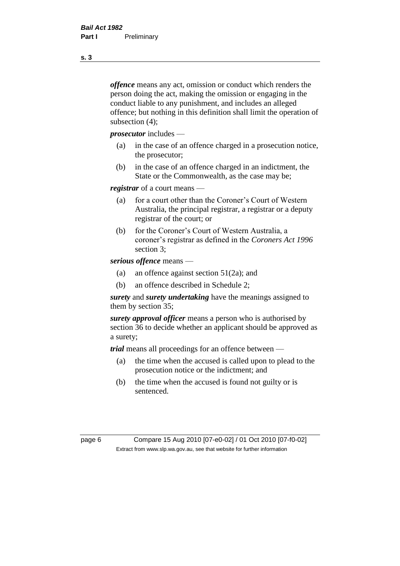*offence* means any act, omission or conduct which renders the person doing the act, making the omission or engaging in the conduct liable to any punishment, and includes an alleged offence; but nothing in this definition shall limit the operation of subsection (4);

*prosecutor* includes —

- (a) in the case of an offence charged in a prosecution notice, the prosecutor;
- (b) in the case of an offence charged in an indictment, the State or the Commonwealth, as the case may be;

*registrar* of a court means —

- (a) for a court other than the Coroner's Court of Western Australia, the principal registrar, a registrar or a deputy registrar of the court; or
- (b) for the Coroner's Court of Western Australia, a coroner's registrar as defined in the *Coroners Act 1996* section 3;

*serious offence* means —

- (a) an offence against section 51(2a); and
- (b) an offence described in Schedule 2;

*surety* and *surety undertaking* have the meanings assigned to them by section 35;

*surety approval officer* means a person who is authorised by section 36 to decide whether an applicant should be approved as a surety;

*trial* means all proceedings for an offence between —

- (a) the time when the accused is called upon to plead to the prosecution notice or the indictment; and
- (b) the time when the accused is found not guilty or is sentenced.

page 6 Compare 15 Aug 2010 [07-e0-02] / 01 Oct 2010 [07-f0-02] Extract from www.slp.wa.gov.au, see that website for further information

**s. 3**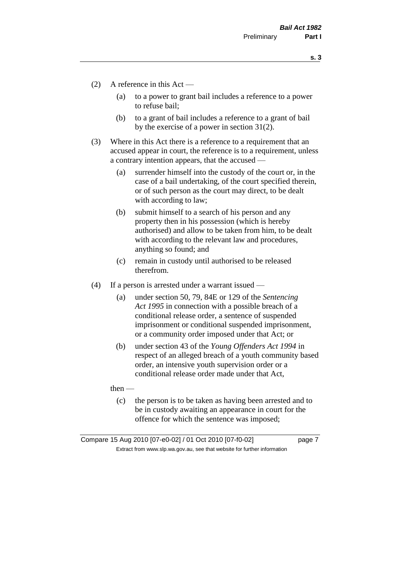**s. 3**

- (2) A reference in this Act
	- (a) to a power to grant bail includes a reference to a power to refuse bail;
	- (b) to a grant of bail includes a reference to a grant of bail by the exercise of a power in section 31(2).
- (3) Where in this Act there is a reference to a requirement that an accused appear in court, the reference is to a requirement, unless a contrary intention appears, that the accused —
	- (a) surrender himself into the custody of the court or, in the case of a bail undertaking, of the court specified therein, or of such person as the court may direct, to be dealt with according to law;
	- (b) submit himself to a search of his person and any property then in his possession (which is hereby authorised) and allow to be taken from him, to be dealt with according to the relevant law and procedures, anything so found; and
	- (c) remain in custody until authorised to be released therefrom.
- (4) If a person is arrested under a warrant issued
	- (a) under section 50, 79, 84E or 129 of the *Sentencing Act 1995* in connection with a possible breach of a conditional release order, a sentence of suspended imprisonment or conditional suspended imprisonment, or a community order imposed under that Act; or
	- (b) under section 43 of the *Young Offenders Act 1994* in respect of an alleged breach of a youth community based order, an intensive youth supervision order or a conditional release order made under that Act,
	- then
		- (c) the person is to be taken as having been arrested and to be in custody awaiting an appearance in court for the offence for which the sentence was imposed;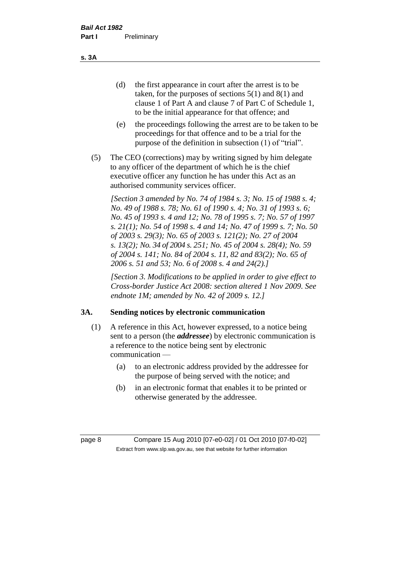(d) the first appearance in court after the arrest is to be taken, for the purposes of sections 5(1) and 8(1) and clause 1 of Part A and clause 7 of Part C of Schedule 1, to be the initial appearance for that offence; and

- (e) the proceedings following the arrest are to be taken to be proceedings for that offence and to be a trial for the purpose of the definition in subsection (1) of "trial".
- (5) The CEO (corrections) may by writing signed by him delegate to any officer of the department of which he is the chief executive officer any function he has under this Act as an authorised community services officer.

*[Section 3 amended by No. 74 of 1984 s. 3; No. 15 of 1988 s. 4; No. 49 of 1988 s. 78; No. 61 of 1990 s. 4; No. 31 of 1993 s. 6; No. 45 of 1993 s. 4 and 12; No. 78 of 1995 s. 7; No. 57 of 1997 s. 21(1); No. 54 of 1998 s. 4 and 14; No. 47 of 1999 s. 7; No. 50 of 2003 s. 29(3); No. 65 of 2003 s. 121(2); No. 27 of 2004 s. 13(2); No. 34 of 2004 s. 251; No. 45 of 2004 s. 28(4); No. 59 of 2004 s. 141; No. 84 of 2004 s. 11, 82 and 83(2); No. 65 of 2006 s. 51 and 53; No. 6 of 2008 s. 4 and 24(2).]* 

*[Section 3. Modifications to be applied in order to give effect to Cross-border Justice Act 2008: section altered 1 Nov 2009. See endnote 1M; amended by No. 42 of 2009 s. 12.]*

## **3A. Sending notices by electronic communication**

- (1) A reference in this Act, however expressed, to a notice being sent to a person (the *addressee*) by electronic communication is a reference to the notice being sent by electronic communication —
	- (a) to an electronic address provided by the addressee for the purpose of being served with the notice; and
	- (b) in an electronic format that enables it to be printed or otherwise generated by the addressee.

page 8 Compare 15 Aug 2010 [07-e0-02] / 01 Oct 2010 [07-f0-02] Extract from www.slp.wa.gov.au, see that website for further information

**s. 3A**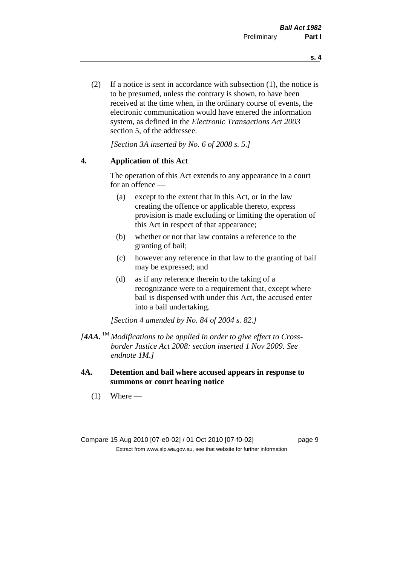(2) If a notice is sent in accordance with subsection (1), the notice is to be presumed, unless the contrary is shown, to have been received at the time when, in the ordinary course of events, the electronic communication would have entered the information system, as defined in the *Electronic Transactions Act 2003* section 5, of the addressee.

*[Section 3A inserted by No. 6 of 2008 s. 5.]*

## **4. Application of this Act**

The operation of this Act extends to any appearance in a court for an offence —

- (a) except to the extent that in this Act, or in the law creating the offence or applicable thereto, express provision is made excluding or limiting the operation of this Act in respect of that appearance;
- (b) whether or not that law contains a reference to the granting of bail;
- (c) however any reference in that law to the granting of bail may be expressed; and
- (d) as if any reference therein to the taking of a recognizance were to a requirement that, except where bail is dispensed with under this Act, the accused enter into a bail undertaking.

*[Section 4 amended by No. 84 of 2004 s. 82.]*

- *[4AA.* 1M *Modifications to be applied in order to give effect to Crossborder Justice Act 2008: section inserted 1 Nov 2009. See endnote 1M.]*
- **4A. Detention and bail where accused appears in response to summons or court hearing notice**
	- $(1)$  Where —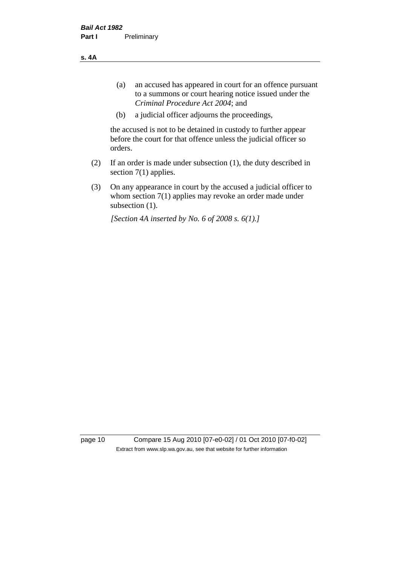**s. 4A**

- (a) an accused has appeared in court for an offence pursuant to a summons or court hearing notice issued under the *Criminal Procedure Act 2004*; and
- (b) a judicial officer adjourns the proceedings,

the accused is not to be detained in custody to further appear before the court for that offence unless the judicial officer so orders.

- (2) If an order is made under subsection (1), the duty described in section 7(1) applies.
- (3) On any appearance in court by the accused a judicial officer to whom section 7(1) applies may revoke an order made under subsection (1).

*[Section 4A inserted by No. 6 of 2008 s. 6(1).]*

page 10 Compare 15 Aug 2010 [07-e0-02] / 01 Oct 2010 [07-f0-02] Extract from www.slp.wa.gov.au, see that website for further information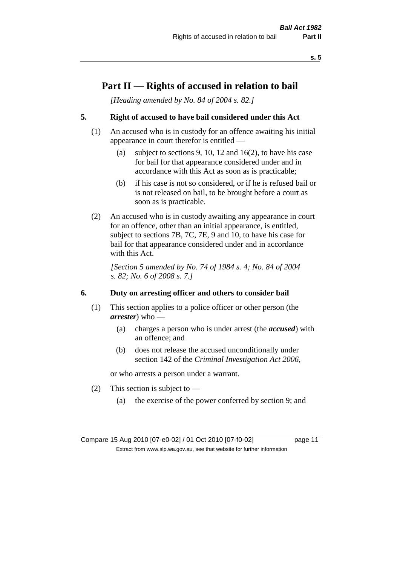## **Part II — Rights of accused in relation to bail**

*[Heading amended by No. 84 of 2004 s. 82.]* 

## **5. Right of accused to have bail considered under this Act**

- (1) An accused who is in custody for an offence awaiting his initial appearance in court therefor is entitled —
	- (a) subject to sections 9, 10, 12 and 16(2), to have his case for bail for that appearance considered under and in accordance with this Act as soon as is practicable;
	- (b) if his case is not so considered, or if he is refused bail or is not released on bail, to be brought before a court as soon as is practicable.
- (2) An accused who is in custody awaiting any appearance in court for an offence, other than an initial appearance, is entitled, subject to sections 7B, 7C, 7E, 9 and 10, to have his case for bail for that appearance considered under and in accordance with this Act.

*[Section 5 amended by No. 74 of 1984 s. 4; No. 84 of 2004 s. 82; No. 6 of 2008 s. 7.]* 

## **6. Duty on arresting officer and others to consider bail**

- (1) This section applies to a police officer or other person (the *arrester*) who —
	- (a) charges a person who is under arrest (the *accused*) with an offence; and
	- (b) does not release the accused unconditionally under section 142 of the *Criminal Investigation Act 2006*,

or who arrests a person under a warrant.

- (2) This section is subject to  $-$ 
	- (a) the exercise of the power conferred by section 9; and

Compare 15 Aug 2010 [07-e0-02] / 01 Oct 2010 [07-f0-02] page 11 Extract from www.slp.wa.gov.au, see that website for further information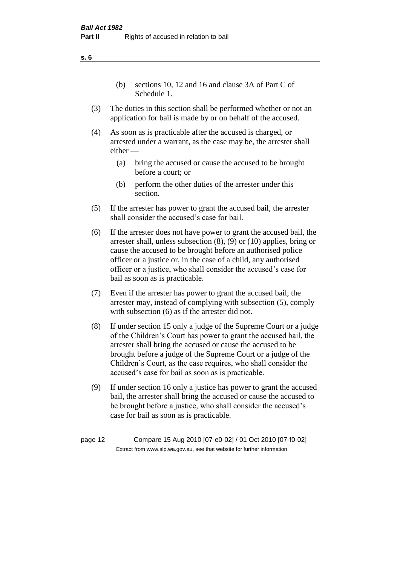(b) sections 10, 12 and 16 and clause 3A of Part C of Schedule 1.

- (3) The duties in this section shall be performed whether or not an application for bail is made by or on behalf of the accused.
- (4) As soon as is practicable after the accused is charged, or arrested under a warrant, as the case may be, the arrester shall either —
	- (a) bring the accused or cause the accused to be brought before a court; or
	- (b) perform the other duties of the arrester under this section.
- (5) If the arrester has power to grant the accused bail, the arrester shall consider the accused's case for bail.
- (6) If the arrester does not have power to grant the accused bail, the arrester shall, unless subsection (8), (9) or (10) applies, bring or cause the accused to be brought before an authorised police officer or a justice or, in the case of a child, any authorised officer or a justice, who shall consider the accused's case for bail as soon as is practicable.
- (7) Even if the arrester has power to grant the accused bail, the arrester may, instead of complying with subsection (5), comply with subsection  $(6)$  as if the arrester did not.
- (8) If under section 15 only a judge of the Supreme Court or a judge of the Children's Court has power to grant the accused bail, the arrester shall bring the accused or cause the accused to be brought before a judge of the Supreme Court or a judge of the Children's Court, as the case requires, who shall consider the accused's case for bail as soon as is practicable.
- (9) If under section 16 only a justice has power to grant the accused bail, the arrester shall bring the accused or cause the accused to be brought before a justice, who shall consider the accused's case for bail as soon as is practicable.

page 12 Compare 15 Aug 2010 [07-e0-02] / 01 Oct 2010 [07-f0-02] Extract from www.slp.wa.gov.au, see that website for further information

**s. 6**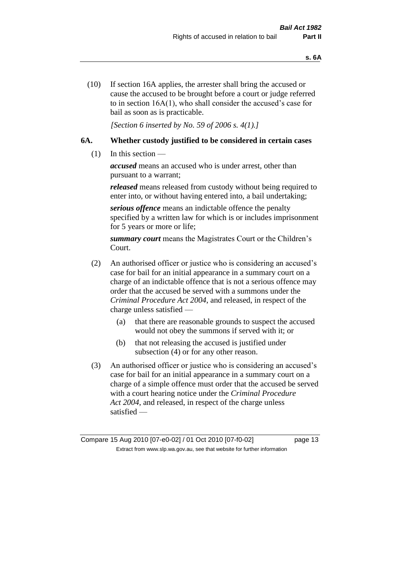(10) If section 16A applies, the arrester shall bring the accused or cause the accused to be brought before a court or judge referred to in section 16A(1), who shall consider the accused's case for bail as soon as is practicable.

*[Section 6 inserted by No. 59 of 2006 s. 4(1).]* 

## **6A. Whether custody justified to be considered in certain cases**

(1) In this section —

*accused* means an accused who is under arrest, other than pursuant to a warrant;

*released* means released from custody without being required to enter into, or without having entered into, a bail undertaking;

*serious offence* means an indictable offence the penalty specified by a written law for which is or includes imprisonment for 5 years or more or life;

*summary court* means the Magistrates Court or the Children's Court.

- (2) An authorised officer or justice who is considering an accused's case for bail for an initial appearance in a summary court on a charge of an indictable offence that is not a serious offence may order that the accused be served with a summons under the *Criminal Procedure Act 2004*, and released, in respect of the charge unless satisfied —
	- (a) that there are reasonable grounds to suspect the accused would not obey the summons if served with it; or
	- (b) that not releasing the accused is justified under subsection (4) or for any other reason.
- (3) An authorised officer or justice who is considering an accused's case for bail for an initial appearance in a summary court on a charge of a simple offence must order that the accused be served with a court hearing notice under the *Criminal Procedure Act 2004*, and released, in respect of the charge unless satisfied —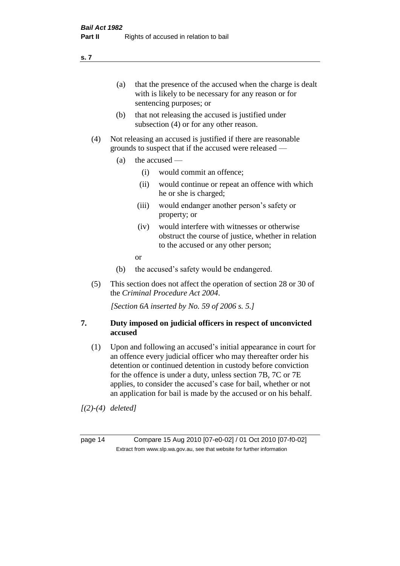(a) that the presence of the accused when the charge is dealt with is likely to be necessary for any reason or for sentencing purposes; or

- (b) that not releasing the accused is justified under subsection (4) or for any other reason.
- (4) Not releasing an accused is justified if there are reasonable grounds to suspect that if the accused were released —
	- (a) the accused
		- (i) would commit an offence;
		- (ii) would continue or repeat an offence with which he or she is charged;
		- (iii) would endanger another person's safety or property; or
		- (iv) would interfere with witnesses or otherwise obstruct the course of justice, whether in relation to the accused or any other person;
		- or
	- (b) the accused's safety would be endangered.
- (5) This section does not affect the operation of section 28 or 30 of the *Criminal Procedure Act 2004*.

*[Section 6A inserted by No. 59 of 2006 s. 5.]* 

## **7. Duty imposed on judicial officers in respect of unconvicted accused**

(1) Upon and following an accused's initial appearance in court for an offence every judicial officer who may thereafter order his detention or continued detention in custody before conviction for the offence is under a duty, unless section 7B, 7C or 7E applies, to consider the accused's case for bail, whether or not an application for bail is made by the accused or on his behalf.

*[(2)-(4) deleted]*

page 14 Compare 15 Aug 2010 [07-e0-02] / 01 Oct 2010 [07-f0-02] Extract from www.slp.wa.gov.au, see that website for further information

**s. 7**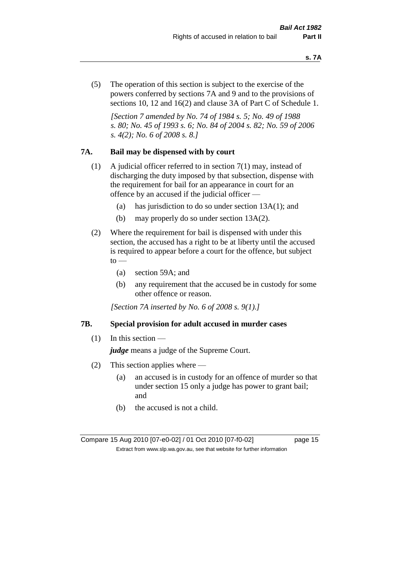(5) The operation of this section is subject to the exercise of the powers conferred by sections 7A and 9 and to the provisions of sections 10, 12 and 16(2) and clause 3A of Part C of Schedule 1.

*[Section 7 amended by No. 74 of 1984 s. 5; No. 49 of 1988 s. 80; No. 45 of 1993 s. 6; No. 84 of 2004 s. 82; No. 59 of 2006 s. 4(2); No. 6 of 2008 s. 8.]* 

## **7A. Bail may be dispensed with by court**

- (1) A judicial officer referred to in section 7(1) may, instead of discharging the duty imposed by that subsection, dispense with the requirement for bail for an appearance in court for an offence by an accused if the judicial officer —
	- (a) has jurisdiction to do so under section 13A(1); and
	- (b) may properly do so under section 13A(2).
- (2) Where the requirement for bail is dispensed with under this section, the accused has a right to be at liberty until the accused is required to appear before a court for the offence, but subject  $\mathrm{to}$  —
	- (a) section 59A; and
	- (b) any requirement that the accused be in custody for some other offence or reason.

*[Section 7A inserted by No. 6 of 2008 s. 9(1).]*

#### **7B. Special provision for adult accused in murder cases**

 $(1)$  In this section —

*judge* means a judge of the Supreme Court.

- (2) This section applies where
	- (a) an accused is in custody for an offence of murder so that under section 15 only a judge has power to grant bail; and
	- (b) the accused is not a child.

Compare 15 Aug 2010 [07-e0-02] / 01 Oct 2010 [07-f0-02] page 15 Extract from www.slp.wa.gov.au, see that website for further information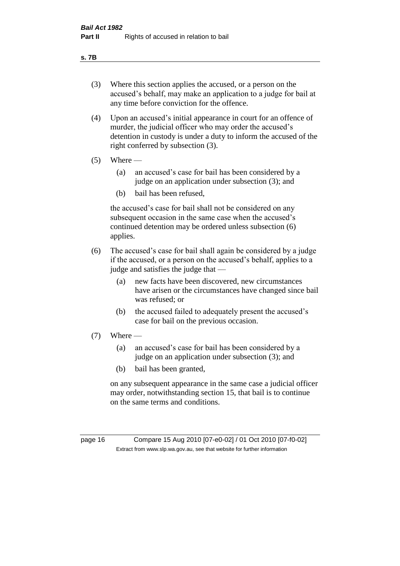#### **s. 7B**

- (3) Where this section applies the accused, or a person on the accused's behalf, may make an application to a judge for bail at any time before conviction for the offence.
- (4) Upon an accused's initial appearance in court for an offence of murder, the judicial officer who may order the accused's detention in custody is under a duty to inform the accused of the right conferred by subsection (3).
- $(5)$  Where
	- (a) an accused's case for bail has been considered by a judge on an application under subsection (3); and
	- (b) bail has been refused,

the accused's case for bail shall not be considered on any subsequent occasion in the same case when the accused's continued detention may be ordered unless subsection (6) applies.

- (6) The accused's case for bail shall again be considered by a judge if the accused, or a person on the accused's behalf, applies to a judge and satisfies the judge that —
	- (a) new facts have been discovered, new circumstances have arisen or the circumstances have changed since bail was refused; or
	- (b) the accused failed to adequately present the accused's case for bail on the previous occasion.
- $(7)$  Where
	- (a) an accused's case for bail has been considered by a judge on an application under subsection (3); and
	- (b) bail has been granted,

on any subsequent appearance in the same case a judicial officer may order, notwithstanding section 15, that bail is to continue on the same terms and conditions.

page 16 Compare 15 Aug 2010 [07-e0-02] / 01 Oct 2010 [07-f0-02] Extract from www.slp.wa.gov.au, see that website for further information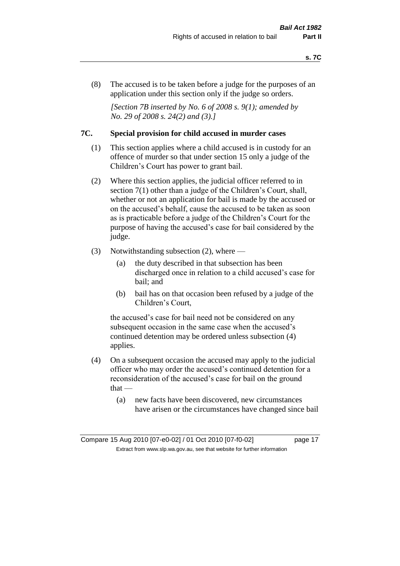(8) The accused is to be taken before a judge for the purposes of an application under this section only if the judge so orders.

*[Section 7B inserted by No. 6 of 2008 s. 9(1); amended by No. 29 of 2008 s. 24(2) and (3).]*

## **7C. Special provision for child accused in murder cases**

- (1) This section applies where a child accused is in custody for an offence of murder so that under section 15 only a judge of the Children's Court has power to grant bail.
- (2) Where this section applies, the judicial officer referred to in section 7(1) other than a judge of the Children's Court, shall, whether or not an application for bail is made by the accused or on the accused's behalf, cause the accused to be taken as soon as is practicable before a judge of the Children's Court for the purpose of having the accused's case for bail considered by the judge.
- (3) Notwithstanding subsection (2), where
	- (a) the duty described in that subsection has been discharged once in relation to a child accused's case for bail; and
	- (b) bail has on that occasion been refused by a judge of the Children's Court,

the accused's case for bail need not be considered on any subsequent occasion in the same case when the accused's continued detention may be ordered unless subsection (4) applies.

- (4) On a subsequent occasion the accused may apply to the judicial officer who may order the accused's continued detention for a reconsideration of the accused's case for bail on the ground  $that -$ 
	- (a) new facts have been discovered, new circumstances have arisen or the circumstances have changed since bail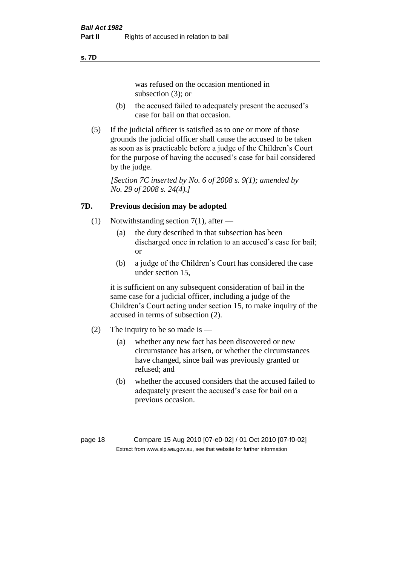#### **s. 7D**

was refused on the occasion mentioned in subsection (3); or

- (b) the accused failed to adequately present the accused's case for bail on that occasion.
- (5) If the judicial officer is satisfied as to one or more of those grounds the judicial officer shall cause the accused to be taken as soon as is practicable before a judge of the Children's Court for the purpose of having the accused's case for bail considered by the judge.

*[Section 7C inserted by No. 6 of 2008 s. 9(1); amended by No. 29 of 2008 s. 24(4).]*

## **7D. Previous decision may be adopted**

- (1) Notwithstanding section 7(1), after
	- (a) the duty described in that subsection has been discharged once in relation to an accused's case for bail; or
	- (b) a judge of the Children's Court has considered the case under section 15,

it is sufficient on any subsequent consideration of bail in the same case for a judicial officer, including a judge of the Children's Court acting under section 15, to make inquiry of the accused in terms of subsection (2).

- (2) The inquiry to be so made is  $-$ 
	- (a) whether any new fact has been discovered or new circumstance has arisen, or whether the circumstances have changed, since bail was previously granted or refused; and
	- (b) whether the accused considers that the accused failed to adequately present the accused's case for bail on a previous occasion.

page 18 Compare 15 Aug 2010 [07-e0-02] / 01 Oct 2010 [07-f0-02] Extract from www.slp.wa.gov.au, see that website for further information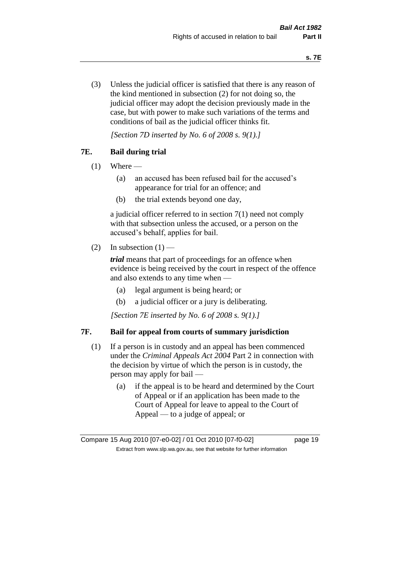(3) Unless the judicial officer is satisfied that there is any reason of the kind mentioned in subsection (2) for not doing so, the judicial officer may adopt the decision previously made in the case, but with power to make such variations of the terms and conditions of bail as the judicial officer thinks fit.

*[Section 7D inserted by No. 6 of 2008 s. 9(1).]*

## **7E. Bail during trial**

- $(1)$  Where
	- (a) an accused has been refused bail for the accused's appearance for trial for an offence; and
	- (b) the trial extends beyond one day,

a judicial officer referred to in section 7(1) need not comply with that subsection unless the accused, or a person on the accused's behalf, applies for bail.

(2) In subsection  $(1)$  —

*trial* means that part of proceedings for an offence when evidence is being received by the court in respect of the offence and also extends to any time when —

- (a) legal argument is being heard; or
- (b) a judicial officer or a jury is deliberating.

*[Section 7E inserted by No. 6 of 2008 s. 9(1).]*

## **7F. Bail for appeal from courts of summary jurisdiction**

- (1) If a person is in custody and an appeal has been commenced under the *Criminal Appeals Act 2004* Part 2 in connection with the decision by virtue of which the person is in custody, the person may apply for bail —
	- (a) if the appeal is to be heard and determined by the Court of Appeal or if an application has been made to the Court of Appeal for leave to appeal to the Court of Appeal — to a judge of appeal; or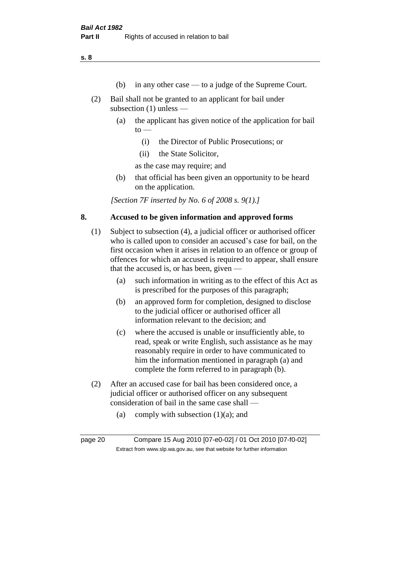**s. 8**

- (b) in any other case to a judge of the Supreme Court.
- (2) Bail shall not be granted to an applicant for bail under subsection (1) unless —
	- (a) the applicant has given notice of the application for bail  $to -$ 
		- (i) the Director of Public Prosecutions; or
		- (ii) the State Solicitor,

as the case may require; and

(b) that official has been given an opportunity to be heard on the application.

*[Section 7F inserted by No. 6 of 2008 s. 9(1).]*

## **8. Accused to be given information and approved forms**

- (1) Subject to subsection (4), a judicial officer or authorised officer who is called upon to consider an accused's case for bail, on the first occasion when it arises in relation to an offence or group of offences for which an accused is required to appear, shall ensure that the accused is, or has been, given —
	- (a) such information in writing as to the effect of this Act as is prescribed for the purposes of this paragraph;
	- (b) an approved form for completion, designed to disclose to the judicial officer or authorised officer all information relevant to the decision; and
	- (c) where the accused is unable or insufficiently able, to read, speak or write English, such assistance as he may reasonably require in order to have communicated to him the information mentioned in paragraph (a) and complete the form referred to in paragraph (b).
- (2) After an accused case for bail has been considered once, a judicial officer or authorised officer on any subsequent consideration of bail in the same case shall —
	- (a) comply with subsection  $(1)(a)$ ; and

page 20 Compare 15 Aug 2010 [07-e0-02] / 01 Oct 2010 [07-f0-02] Extract from www.slp.wa.gov.au, see that website for further information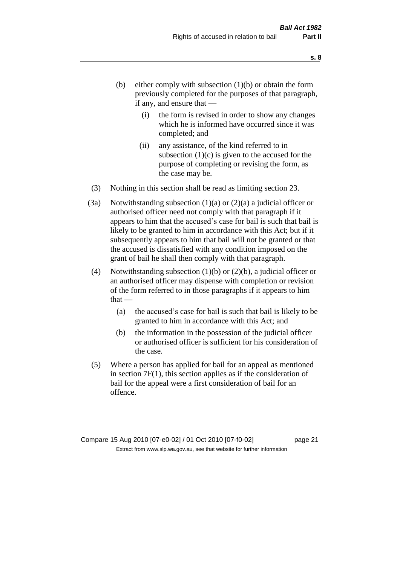- (b) either comply with subsection  $(1)(b)$  or obtain the form previously completed for the purposes of that paragraph, if any, and ensure that —
	- (i) the form is revised in order to show any changes which he is informed have occurred since it was completed; and
	- (ii) any assistance, of the kind referred to in subsection  $(1)(c)$  is given to the accused for the purpose of completing or revising the form, as the case may be.
- (3) Nothing in this section shall be read as limiting section 23.
- (3a) Notwithstanding subsection  $(1)(a)$  or  $(2)(a)$  a judicial officer or authorised officer need not comply with that paragraph if it appears to him that the accused's case for bail is such that bail is likely to be granted to him in accordance with this Act; but if it subsequently appears to him that bail will not be granted or that the accused is dissatisfied with any condition imposed on the grant of bail he shall then comply with that paragraph.
- (4) Notwithstanding subsection (1)(b) or (2)(b), a judicial officer or an authorised officer may dispense with completion or revision of the form referred to in those paragraphs if it appears to him  $that -$ 
	- (a) the accused's case for bail is such that bail is likely to be granted to him in accordance with this Act; and
	- (b) the information in the possession of the judicial officer or authorised officer is sufficient for his consideration of the case.
- (5) Where a person has applied for bail for an appeal as mentioned in section 7F(1), this section applies as if the consideration of bail for the appeal were a first consideration of bail for an offence.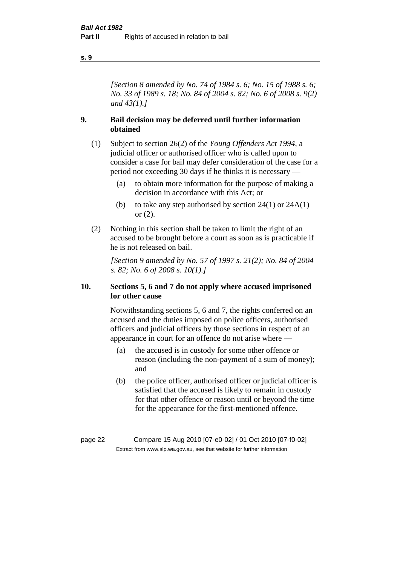#### **s. 9**

*[Section 8 amended by No. 74 of 1984 s. 6; No. 15 of 1988 s. 6; No. 33 of 1989 s. 18; No. 84 of 2004 s. 82; No. 6 of 2008 s. 9(2) and 43(1).]* 

## **9. Bail decision may be deferred until further information obtained**

- (1) Subject to section 26(2) of the *Young Offenders Act 1994*, a judicial officer or authorised officer who is called upon to consider a case for bail may defer consideration of the case for a period not exceeding 30 days if he thinks it is necessary —
	- (a) to obtain more information for the purpose of making a decision in accordance with this Act; or
	- (b) to take any step authorised by section  $24(1)$  or  $24A(1)$ or (2).
- (2) Nothing in this section shall be taken to limit the right of an accused to be brought before a court as soon as is practicable if he is not released on bail.

*[Section 9 amended by No. 57 of 1997 s. 21(2); No. 84 of 2004 s. 82; No. 6 of 2008 s. 10(1).]*

## **10. Sections 5, 6 and 7 do not apply where accused imprisoned for other cause**

Notwithstanding sections 5, 6 and 7, the rights conferred on an accused and the duties imposed on police officers, authorised officers and judicial officers by those sections in respect of an appearance in court for an offence do not arise where —

- (a) the accused is in custody for some other offence or reason (including the non-payment of a sum of money); and
- (b) the police officer, authorised officer or judicial officer is satisfied that the accused is likely to remain in custody for that other offence or reason until or beyond the time for the appearance for the first-mentioned offence.

page 22 Compare 15 Aug 2010 [07-e0-02] / 01 Oct 2010 [07-f0-02] Extract from www.slp.wa.gov.au, see that website for further information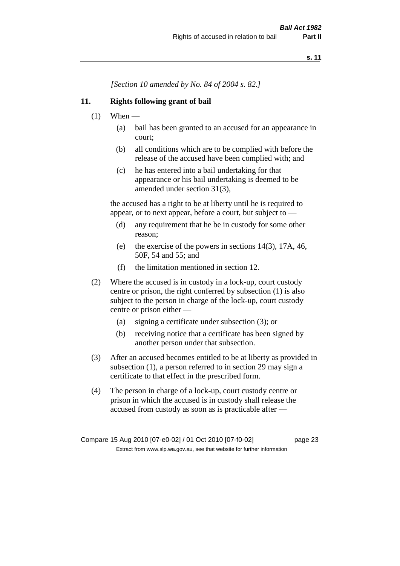*[Section 10 amended by No. 84 of 2004 s. 82.]*

## **11. Rights following grant of bail**

- $(1)$  When
	- (a) bail has been granted to an accused for an appearance in court;
	- (b) all conditions which are to be complied with before the release of the accused have been complied with; and
	- (c) he has entered into a bail undertaking for that appearance or his bail undertaking is deemed to be amended under section 31(3),

the accused has a right to be at liberty until he is required to appear, or to next appear, before a court, but subject to —

- (d) any requirement that he be in custody for some other reason;
- (e) the exercise of the powers in sections 14(3), 17A, 46, 50F, 54 and 55; and
- (f) the limitation mentioned in section 12.
- (2) Where the accused is in custody in a lock-up, court custody centre or prison, the right conferred by subsection (1) is also subject to the person in charge of the lock-up, court custody centre or prison either —
	- (a) signing a certificate under subsection (3); or
	- (b) receiving notice that a certificate has been signed by another person under that subsection.
- (3) After an accused becomes entitled to be at liberty as provided in subsection (1), a person referred to in section 29 may sign a certificate to that effect in the prescribed form.
- (4) The person in charge of a lock-up, court custody centre or prison in which the accused is in custody shall release the accused from custody as soon as is practicable after —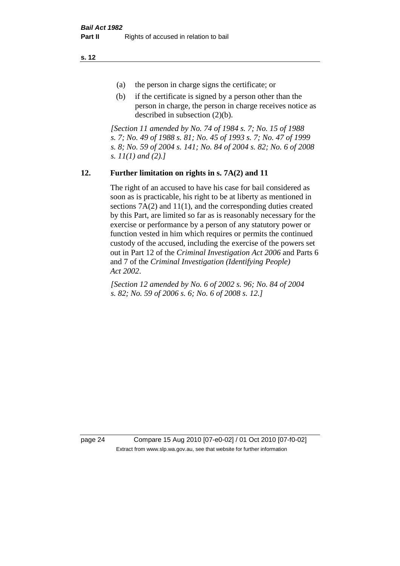**s. 12**

- (a) the person in charge signs the certificate; or
- (b) if the certificate is signed by a person other than the person in charge, the person in charge receives notice as described in subsection (2)(b).

*[Section 11 amended by No. 74 of 1984 s. 7; No. 15 of 1988 s. 7; No. 49 of 1988 s. 81; No. 45 of 1993 s. 7; No. 47 of 1999 s. 8; No. 59 of 2004 s. 141; No. 84 of 2004 s. 82; No. 6 of 2008 s. 11(1) and (2).]* 

## **12. Further limitation on rights in s. 7A(2) and 11**

The right of an accused to have his case for bail considered as soon as is practicable, his right to be at liberty as mentioned in sections 7A(2) and 11(1), and the corresponding duties created by this Part, are limited so far as is reasonably necessary for the exercise or performance by a person of any statutory power or function vested in him which requires or permits the continued custody of the accused, including the exercise of the powers set out in Part 12 of the *Criminal Investigation Act 2006* and Parts 6 and 7 of the *Criminal Investigation (Identifying People) Act 2002*.

*[Section 12 amended by No. 6 of 2002 s. 96; No. 84 of 2004 s. 82; No. 59 of 2006 s. 6; No. 6 of 2008 s. 12.]*

page 24 Compare 15 Aug 2010 [07-e0-02] / 01 Oct 2010 [07-f0-02] Extract from www.slp.wa.gov.au, see that website for further information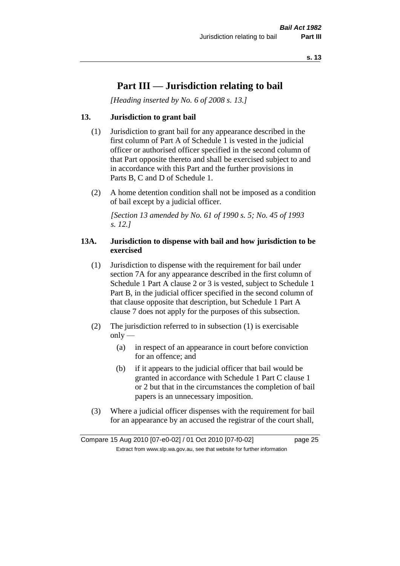## **Part III — Jurisdiction relating to bail**

*[Heading inserted by No. 6 of 2008 s. 13.]*

## **13. Jurisdiction to grant bail**

- (1) Jurisdiction to grant bail for any appearance described in the first column of Part A of Schedule 1 is vested in the judicial officer or authorised officer specified in the second column of that Part opposite thereto and shall be exercised subject to and in accordance with this Part and the further provisions in Parts B, C and D of Schedule 1.
- (2) A home detention condition shall not be imposed as a condition of bail except by a judicial officer.

*[Section 13 amended by No. 61 of 1990 s. 5; No. 45 of 1993 s. 12.]* 

## **13A. Jurisdiction to dispense with bail and how jurisdiction to be exercised**

- (1) Jurisdiction to dispense with the requirement for bail under section 7A for any appearance described in the first column of Schedule 1 Part A clause 2 or 3 is vested, subject to Schedule 1 Part B, in the judicial officer specified in the second column of that clause opposite that description, but Schedule 1 Part A clause 7 does not apply for the purposes of this subsection.
- (2) The jurisdiction referred to in subsection (1) is exercisable  $only$ —
	- (a) in respect of an appearance in court before conviction for an offence; and
	- (b) if it appears to the judicial officer that bail would be granted in accordance with Schedule 1 Part C clause 1 or 2 but that in the circumstances the completion of bail papers is an unnecessary imposition.
- (3) Where a judicial officer dispenses with the requirement for bail for an appearance by an accused the registrar of the court shall,

Compare 15 Aug 2010 [07-e0-02] / 01 Oct 2010 [07-f0-02] page 25 Extract from www.slp.wa.gov.au, see that website for further information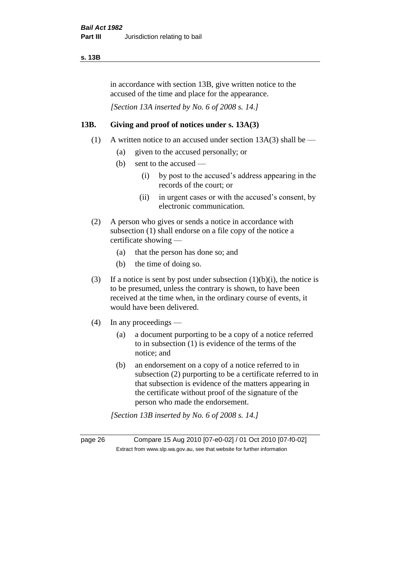#### **s. 13B**

in accordance with section 13B, give written notice to the accused of the time and place for the appearance.

*[Section 13A inserted by No. 6 of 2008 s. 14.]*

## **13B. Giving and proof of notices under s. 13A(3)**

- (1) A written notice to an accused under section  $13A(3)$  shall be
	- (a) given to the accused personally; or
	- (b) sent to the accused
		- (i) by post to the accused's address appearing in the records of the court; or
		- (ii) in urgent cases or with the accused's consent, by electronic communication.
- (2) A person who gives or sends a notice in accordance with subsection (1) shall endorse on a file copy of the notice a certificate showing —
	- (a) that the person has done so; and
	- (b) the time of doing so.
- (3) If a notice is sent by post under subsection  $(1)(b)(i)$ , the notice is to be presumed, unless the contrary is shown, to have been received at the time when, in the ordinary course of events, it would have been delivered.
- (4) In any proceedings
	- (a) a document purporting to be a copy of a notice referred to in subsection (1) is evidence of the terms of the notice; and
	- (b) an endorsement on a copy of a notice referred to in subsection (2) purporting to be a certificate referred to in that subsection is evidence of the matters appearing in the certificate without proof of the signature of the person who made the endorsement.

*[Section 13B inserted by No. 6 of 2008 s. 14.]*

page 26 Compare 15 Aug 2010 [07-e0-02] / 01 Oct 2010 [07-f0-02] Extract from www.slp.wa.gov.au, see that website for further information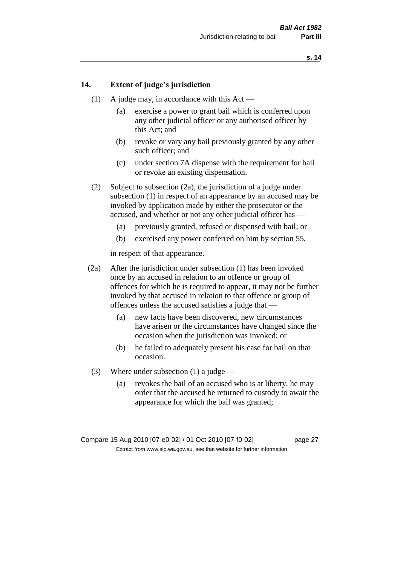## **14. Extent of judge's jurisdiction**

- (1) A judge may, in accordance with this Act
	- (a) exercise a power to grant bail which is conferred upon any other judicial officer or any authorised officer by this Act; and
	- (b) revoke or vary any bail previously granted by any other such officer; and
	- (c) under section 7A dispense with the requirement for bail or revoke an existing dispensation.
- (2) Subject to subsection (2a), the jurisdiction of a judge under subsection (1) in respect of an appearance by an accused may be invoked by application made by either the prosecutor or the accused, and whether or not any other judicial officer has —
	- (a) previously granted, refused or dispensed with bail; or
	- (b) exercised any power conferred on him by section 55,

in respect of that appearance.

- (2a) After the jurisdiction under subsection (1) has been invoked once by an accused in relation to an offence or group of offences for which he is required to appear, it may not be further invoked by that accused in relation to that offence or group of offences unless the accused satisfies a judge that —
	- (a) new facts have been discovered, new circumstances have arisen or the circumstances have changed since the occasion when the jurisdiction was invoked; or
	- (b) he failed to adequately present his case for bail on that occasion.
- (3) Where under subsection (1) a judge
	- (a) revokes the bail of an accused who is at liberty, he may order that the accused be returned to custody to await the appearance for which the bail was granted;

Compare 15 Aug 2010 [07-e0-02] / 01 Oct 2010 [07-f0-02] page 27 Extract from www.slp.wa.gov.au, see that website for further information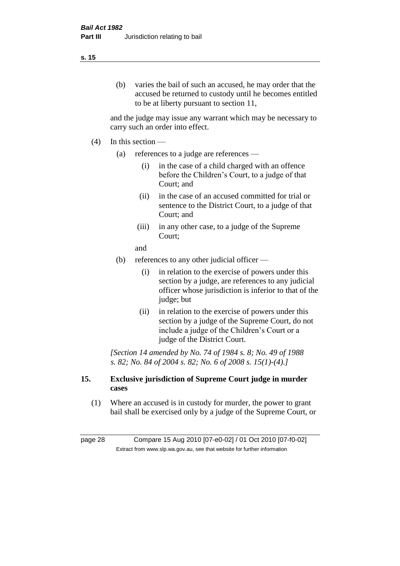#### **s. 15**

(b) varies the bail of such an accused, he may order that the accused be returned to custody until he becomes entitled to be at liberty pursuant to section 11,

and the judge may issue any warrant which may be necessary to carry such an order into effect.

- $(4)$  In this section
	- (a) references to a judge are references
		- (i) in the case of a child charged with an offence before the Children's Court, to a judge of that Court; and
		- (ii) in the case of an accused committed for trial or sentence to the District Court, to a judge of that Court; and
		- (iii) in any other case, to a judge of the Supreme Court;

and

- (b) references to any other judicial officer
	- (i) in relation to the exercise of powers under this section by a judge, are references to any judicial officer whose jurisdiction is inferior to that of the judge; but
	- (ii) in relation to the exercise of powers under this section by a judge of the Supreme Court, do not include a judge of the Children's Court or a judge of the District Court.

*[Section 14 amended by No. 74 of 1984 s. 8; No. 49 of 1988 s. 82; No. 84 of 2004 s. 82; No. 6 of 2008 s. 15(1)-(4).]* 

## **15. Exclusive jurisdiction of Supreme Court judge in murder cases**

(1) Where an accused is in custody for murder, the power to grant bail shall be exercised only by a judge of the Supreme Court, or

page 28 Compare 15 Aug 2010 [07-e0-02] / 01 Oct 2010 [07-f0-02] Extract from www.slp.wa.gov.au, see that website for further information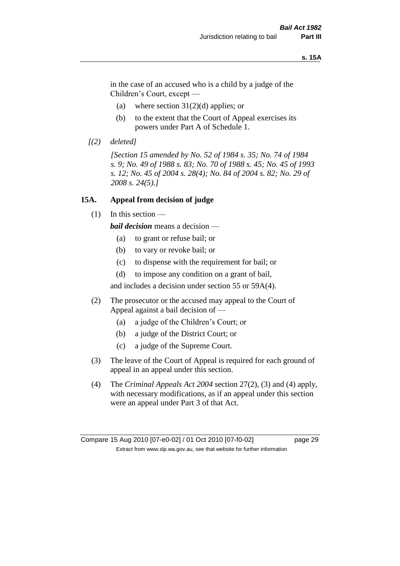#### **s. 15A**

in the case of an accused who is a child by a judge of the Children's Court, except —

- (a) where section  $31(2)(d)$  applies; or
- (b) to the extent that the Court of Appeal exercises its powers under Part A of Schedule 1.
- *[(2) deleted]*

*[Section 15 amended by No. 52 of 1984 s. 35; No. 74 of 1984 s. 9; No. 49 of 1988 s. 83; No. 70 of 1988 s. 45; No. 45 of 1993 s. 12; No. 45 of 2004 s. 28(4); No. 84 of 2004 s. 82; No. 29 of 2008 s. 24(5).]* 

### **15A. Appeal from decision of judge**

(1) In this section —

*bail decision* means a decision —

- (a) to grant or refuse bail; or
- (b) to vary or revoke bail; or
- (c) to dispense with the requirement for bail; or
- (d) to impose any condition on a grant of bail,

and includes a decision under section 55 or 59A(4).

- (2) The prosecutor or the accused may appeal to the Court of Appeal against a bail decision of —
	- (a) a judge of the Children's Court; or
	- (b) a judge of the District Court; or
	- (c) a judge of the Supreme Court.
- (3) The leave of the Court of Appeal is required for each ground of appeal in an appeal under this section.
- (4) The *Criminal Appeals Act 2004* section 27(2), (3) and (4) apply, with necessary modifications, as if an appeal under this section were an appeal under Part 3 of that Act.

Compare 15 Aug 2010 [07-e0-02] / 01 Oct 2010 [07-f0-02] page 29 Extract from www.slp.wa.gov.au, see that website for further information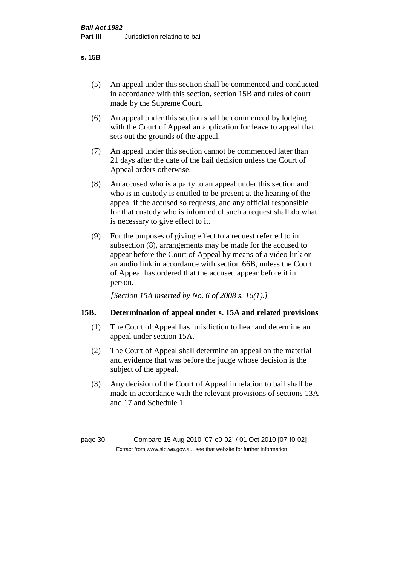- (5) An appeal under this section shall be commenced and conducted in accordance with this section, section 15B and rules of court made by the Supreme Court.
- (6) An appeal under this section shall be commenced by lodging with the Court of Appeal an application for leave to appeal that sets out the grounds of the appeal.
- (7) An appeal under this section cannot be commenced later than 21 days after the date of the bail decision unless the Court of Appeal orders otherwise.
- (8) An accused who is a party to an appeal under this section and who is in custody is entitled to be present at the hearing of the appeal if the accused so requests, and any official responsible for that custody who is informed of such a request shall do what is necessary to give effect to it.
- (9) For the purposes of giving effect to a request referred to in subsection (8), arrangements may be made for the accused to appear before the Court of Appeal by means of a video link or an audio link in accordance with section 66B, unless the Court of Appeal has ordered that the accused appear before it in person.

*[Section 15A inserted by No. 6 of 2008 s. 16(1).]*

## **15B. Determination of appeal under s. 15A and related provisions**

- (1) The Court of Appeal has jurisdiction to hear and determine an appeal under section 15A.
- (2) The Court of Appeal shall determine an appeal on the material and evidence that was before the judge whose decision is the subject of the appeal.
- (3) Any decision of the Court of Appeal in relation to bail shall be made in accordance with the relevant provisions of sections 13A and 17 and Schedule 1.

page 30 Compare 15 Aug 2010 [07-e0-02] / 01 Oct 2010 [07-f0-02] Extract from www.slp.wa.gov.au, see that website for further information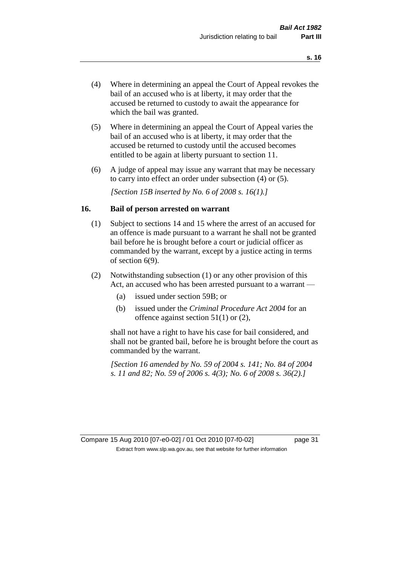- (4) Where in determining an appeal the Court of Appeal revokes the bail of an accused who is at liberty, it may order that the accused be returned to custody to await the appearance for which the bail was granted.
- (5) Where in determining an appeal the Court of Appeal varies the bail of an accused who is at liberty, it may order that the accused be returned to custody until the accused becomes entitled to be again at liberty pursuant to section 11.
- (6) A judge of appeal may issue any warrant that may be necessary to carry into effect an order under subsection (4) or (5).

*[Section 15B inserted by No. 6 of 2008 s. 16(1).]*

#### **16. Bail of person arrested on warrant**

- (1) Subject to sections 14 and 15 where the arrest of an accused for an offence is made pursuant to a warrant he shall not be granted bail before he is brought before a court or judicial officer as commanded by the warrant, except by a justice acting in terms of section 6(9).
- (2) Notwithstanding subsection (1) or any other provision of this Act, an accused who has been arrested pursuant to a warrant —
	- (a) issued under section 59B; or
	- (b) issued under the *Criminal Procedure Act 2004* for an offence against section 51(1) or (2),

shall not have a right to have his case for bail considered, and shall not be granted bail, before he is brought before the court as commanded by the warrant.

*[Section 16 amended by No. 59 of 2004 s. 141; No. 84 of 2004 s. 11 and 82; No. 59 of 2006 s. 4(3); No. 6 of 2008 s. 36(2).]*

Compare 15 Aug 2010 [07-e0-02] / 01 Oct 2010 [07-f0-02] page 31 Extract from www.slp.wa.gov.au, see that website for further information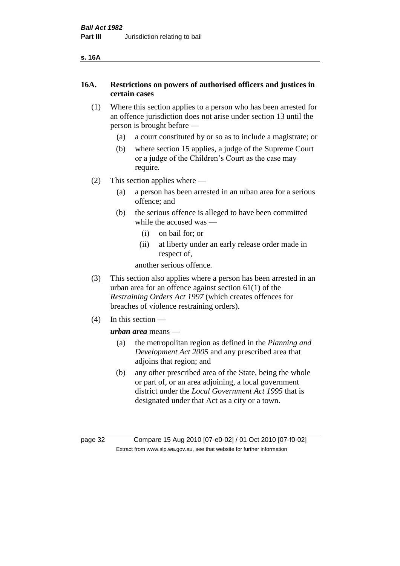## **16A. Restrictions on powers of authorised officers and justices in certain cases**

- (1) Where this section applies to a person who has been arrested for an offence jurisdiction does not arise under section 13 until the person is brought before —
	- (a) a court constituted by or so as to include a magistrate; or
	- (b) where section 15 applies, a judge of the Supreme Court or a judge of the Children's Court as the case may require.
- (2) This section applies where
	- (a) a person has been arrested in an urban area for a serious offence; and
	- (b) the serious offence is alleged to have been committed while the accused was —
		- (i) on bail for; or
		- (ii) at liberty under an early release order made in respect of,

another serious offence.

- (3) This section also applies where a person has been arrested in an urban area for an offence against section 61(1) of the *Restraining Orders Act 1997* (which creates offences for breaches of violence restraining orders).
- (4) In this section —

*urban area* means —

- (a) the metropolitan region as defined in the *Planning and Development Act 2005* and any prescribed area that adjoins that region; and
- (b) any other prescribed area of the State, being the whole or part of, or an area adjoining, a local government district under the *Local Government Act 1995* that is designated under that Act as a city or a town.

page 32 Compare 15 Aug 2010 [07-e0-02] / 01 Oct 2010 [07-f0-02] Extract from www.slp.wa.gov.au, see that website for further information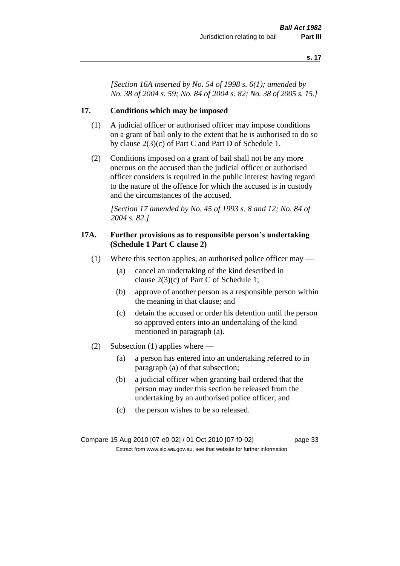*[Section 16A inserted by No. 54 of 1998 s. 6(1); amended by No. 38 of 2004 s. 59; No. 84 of 2004 s. 82; No. 38 of 2005 s. 15.]*

## **17. Conditions which may be imposed**

- (1) A judicial officer or authorised officer may impose conditions on a grant of bail only to the extent that he is authorised to do so by clause 2(3)(c) of Part C and Part D of Schedule 1.
- (2) Conditions imposed on a grant of bail shall not be any more onerous on the accused than the judicial officer or authorised officer considers is required in the public interest having regard to the nature of the offence for which the accused is in custody and the circumstances of the accused.

*[Section 17 amended by No. 45 of 1993 s. 8 and 12; No. 84 of 2004 s. 82.]* 

## **17A. Further provisions as to responsible person's undertaking (Schedule 1 Part C clause 2)**

- (1) Where this section applies, an authorised police officer may
	- (a) cancel an undertaking of the kind described in clause 2(3)(c) of Part C of Schedule 1;
	- (b) approve of another person as a responsible person within the meaning in that clause; and
	- (c) detain the accused or order his detention until the person so approved enters into an undertaking of the kind mentioned in paragraph (a).
- (2) Subsection (1) applies where
	- (a) a person has entered into an undertaking referred to in paragraph (a) of that subsection;
	- (b) a judicial officer when granting bail ordered that the person may under this section be released from the undertaking by an authorised police officer; and
	- (c) the person wishes to be so released.

Compare 15 Aug 2010 [07-e0-02] / 01 Oct 2010 [07-f0-02] page 33 Extract from www.slp.wa.gov.au, see that website for further information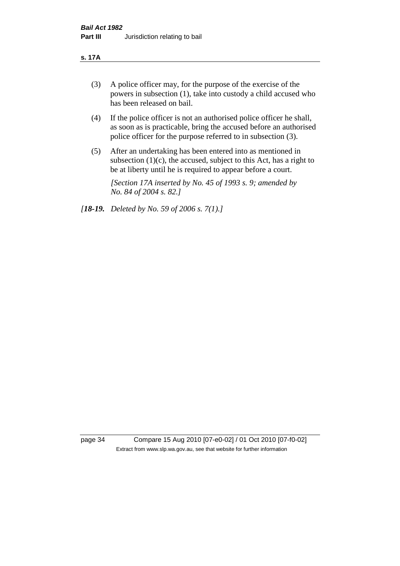#### **s. 17A**

- (3) A police officer may, for the purpose of the exercise of the powers in subsection (1), take into custody a child accused who has been released on bail.
- (4) If the police officer is not an authorised police officer he shall, as soon as is practicable, bring the accused before an authorised police officer for the purpose referred to in subsection (3).
- (5) After an undertaking has been entered into as mentioned in subsection  $(1)(c)$ , the accused, subject to this Act, has a right to be at liberty until he is required to appear before a court.

*[Section 17A inserted by No. 45 of 1993 s. 9; amended by No. 84 of 2004 s. 82.]* 

*[18-19. Deleted by No. 59 of 2006 s. 7(1).]*

page 34 Compare 15 Aug 2010 [07-e0-02] / 01 Oct 2010 [07-f0-02] Extract from www.slp.wa.gov.au, see that website for further information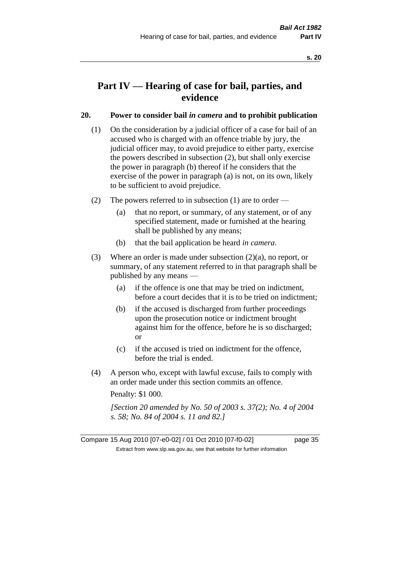# **Part IV — Hearing of case for bail, parties, and evidence**

## **20. Power to consider bail** *in camera* **and to prohibit publication**

- (1) On the consideration by a judicial officer of a case for bail of an accused who is charged with an offence triable by jury, the judicial officer may, to avoid prejudice to either party, exercise the powers described in subsection (2), but shall only exercise the power in paragraph (b) thereof if he considers that the exercise of the power in paragraph (a) is not, on its own, likely to be sufficient to avoid prejudice.
- (2) The powers referred to in subsection (1) are to order
	- (a) that no report, or summary, of any statement, or of any specified statement, made or furnished at the hearing shall be published by any means;
	- (b) that the bail application be heard *in camera*.
- (3) Where an order is made under subsection (2)(a), no report, or summary, of any statement referred to in that paragraph shall be published by any means —
	- (a) if the offence is one that may be tried on indictment, before a court decides that it is to be tried on indictment;
	- (b) if the accused is discharged from further proceedings upon the prosecution notice or indictment brought against him for the offence, before he is so discharged; or
	- (c) if the accused is tried on indictment for the offence, before the trial is ended.
- (4) A person who, except with lawful excuse, fails to comply with an order made under this section commits an offence.

Penalty: \$1 000.

*[Section 20 amended by No. 50 of 2003 s. 37(2); No. 4 of 2004 s. 58; No. 84 of 2004 s. 11 and 82.]*

Compare 15 Aug 2010 [07-e0-02] / 01 Oct 2010 [07-f0-02] page 35 Extract from www.slp.wa.gov.au, see that website for further information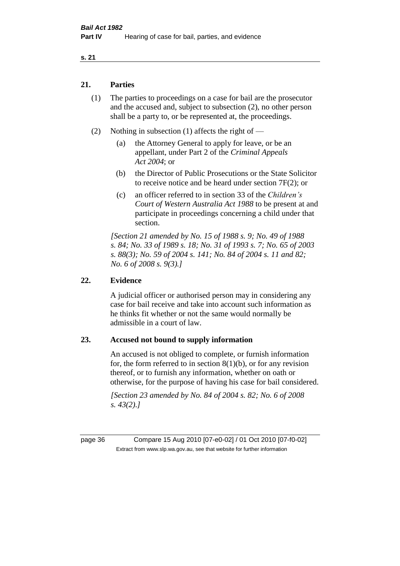## **21. Parties**

- (1) The parties to proceedings on a case for bail are the prosecutor and the accused and, subject to subsection (2), no other person shall be a party to, or be represented at, the proceedings.
- (2) Nothing in subsection (1) affects the right of
	- (a) the Attorney General to apply for leave, or be an appellant, under Part 2 of the *Criminal Appeals Act 2004*; or
	- (b) the Director of Public Prosecutions or the State Solicitor to receive notice and be heard under section 7F(2); or
	- (c) an officer referred to in section 33 of the *Children's Court of Western Australia Act 1988* to be present at and participate in proceedings concerning a child under that section.

*[Section 21 amended by No. 15 of 1988 s. 9; No. 49 of 1988 s. 84; No. 33 of 1989 s. 18; No. 31 of 1993 s. 7; No. 65 of 2003 s. 88(3); No. 59 of 2004 s. 141; No. 84 of 2004 s. 11 and 82; No. 6 of 2008 s. 9(3).]* 

## **22. Evidence**

A judicial officer or authorised person may in considering any case for bail receive and take into account such information as he thinks fit whether or not the same would normally be admissible in a court of law.

## **23. Accused not bound to supply information**

An accused is not obliged to complete, or furnish information for, the form referred to in section  $8(1)(b)$ , or for any revision thereof, or to furnish any information, whether on oath or otherwise, for the purpose of having his case for bail considered.

*[Section 23 amended by No. 84 of 2004 s. 82; No. 6 of 2008 s. 43(2).]* 

page 36 Compare 15 Aug 2010 [07-e0-02] / 01 Oct 2010 [07-f0-02] Extract from www.slp.wa.gov.au, see that website for further information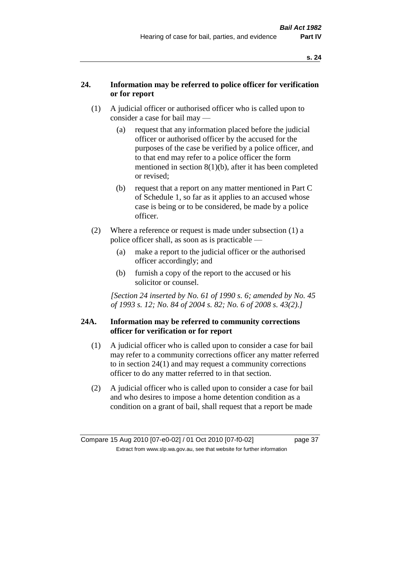# **24. Information may be referred to police officer for verification or for report**

- (1) A judicial officer or authorised officer who is called upon to consider a case for bail may —
	- (a) request that any information placed before the judicial officer or authorised officer by the accused for the purposes of the case be verified by a police officer, and to that end may refer to a police officer the form mentioned in section 8(1)(b), after it has been completed or revised;
	- (b) request that a report on any matter mentioned in Part C of Schedule 1, so far as it applies to an accused whose case is being or to be considered, be made by a police officer.
- (2) Where a reference or request is made under subsection (1) a police officer shall, as soon as is practicable —
	- (a) make a report to the judicial officer or the authorised officer accordingly; and
	- (b) furnish a copy of the report to the accused or his solicitor or counsel.

*[Section 24 inserted by No. 61 of 1990 s. 6; amended by No. 45 of 1993 s. 12; No. 84 of 2004 s. 82; No. 6 of 2008 s. 43(2).]* 

# **24A. Information may be referred to community corrections officer for verification or for report**

- (1) A judicial officer who is called upon to consider a case for bail may refer to a community corrections officer any matter referred to in section 24(1) and may request a community corrections officer to do any matter referred to in that section.
- (2) A judicial officer who is called upon to consider a case for bail and who desires to impose a home detention condition as a condition on a grant of bail, shall request that a report be made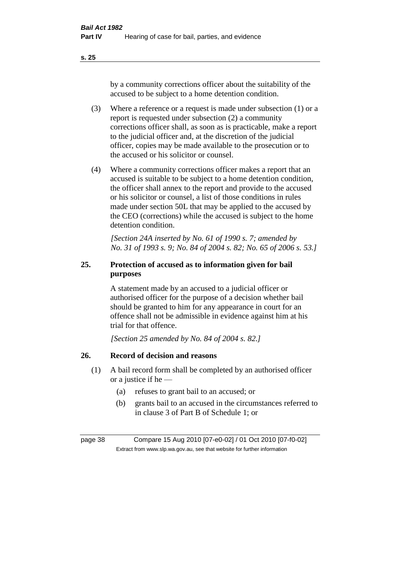by a community corrections officer about the suitability of the accused to be subject to a home detention condition.

- (3) Where a reference or a request is made under subsection (1) or a report is requested under subsection (2) a community corrections officer shall, as soon as is practicable, make a report to the judicial officer and, at the discretion of the judicial officer, copies may be made available to the prosecution or to the accused or his solicitor or counsel.
- (4) Where a community corrections officer makes a report that an accused is suitable to be subject to a home detention condition, the officer shall annex to the report and provide to the accused or his solicitor or counsel, a list of those conditions in rules made under section 50L that may be applied to the accused by the CEO (corrections) while the accused is subject to the home detention condition.

*[Section 24A inserted by No. 61 of 1990 s. 7; amended by No. 31 of 1993 s. 9; No. 84 of 2004 s. 82; No. 65 of 2006 s. 53.]* 

# **25. Protection of accused as to information given for bail purposes**

A statement made by an accused to a judicial officer or authorised officer for the purpose of a decision whether bail should be granted to him for any appearance in court for an offence shall not be admissible in evidence against him at his trial for that offence.

*[Section 25 amended by No. 84 of 2004 s. 82.]* 

# **26. Record of decision and reasons**

- (1) A bail record form shall be completed by an authorised officer or a justice if he —
	- (a) refuses to grant bail to an accused; or
	- (b) grants bail to an accused in the circumstances referred to in clause 3 of Part B of Schedule 1; or

page 38 Compare 15 Aug 2010 [07-e0-02] / 01 Oct 2010 [07-f0-02] Extract from www.slp.wa.gov.au, see that website for further information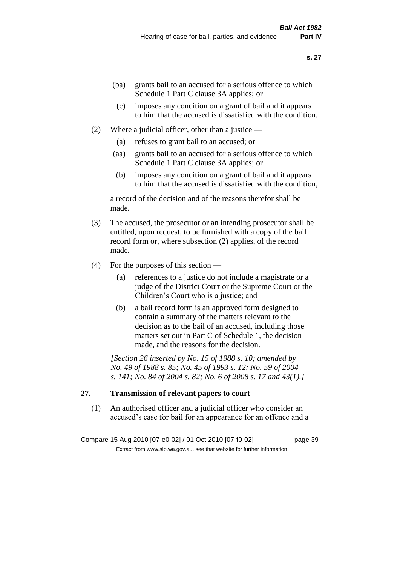- (ba) grants bail to an accused for a serious offence to which Schedule 1 Part C clause 3A applies; or
- (c) imposes any condition on a grant of bail and it appears to him that the accused is dissatisfied with the condition.
- (2) Where a judicial officer, other than a justice
	- (a) refuses to grant bail to an accused; or
	- (aa) grants bail to an accused for a serious offence to which Schedule 1 Part C clause 3A applies; or
	- (b) imposes any condition on a grant of bail and it appears to him that the accused is dissatisfied with the condition,

a record of the decision and of the reasons therefor shall be made.

- (3) The accused, the prosecutor or an intending prosecutor shall be entitled, upon request, to be furnished with a copy of the bail record form or, where subsection (2) applies, of the record made.
- (4) For the purposes of this section
	- (a) references to a justice do not include a magistrate or a judge of the District Court or the Supreme Court or the Children's Court who is a justice; and
	- (b) a bail record form is an approved form designed to contain a summary of the matters relevant to the decision as to the bail of an accused, including those matters set out in Part C of Schedule 1, the decision made, and the reasons for the decision.

*[Section 26 inserted by No. 15 of 1988 s. 10; amended by No. 49 of 1988 s. 85; No. 45 of 1993 s. 12; No. 59 of 2004 s. 141; No. 84 of 2004 s. 82; No. 6 of 2008 s. 17 and 43(1).]* 

# **27. Transmission of relevant papers to court**

(1) An authorised officer and a judicial officer who consider an accused's case for bail for an appearance for an offence and a

Compare 15 Aug 2010 [07-e0-02] / 01 Oct 2010 [07-f0-02] page 39 Extract from www.slp.wa.gov.au, see that website for further information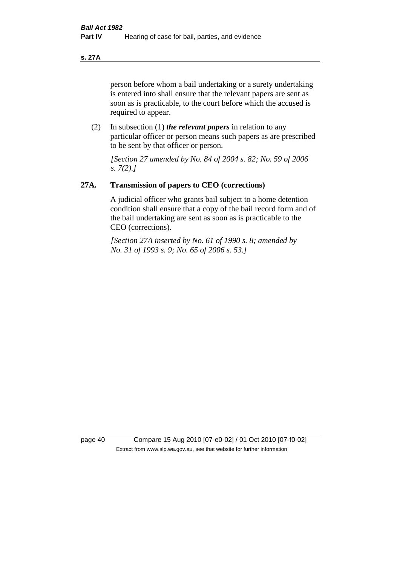#### **s. 27A**

person before whom a bail undertaking or a surety undertaking is entered into shall ensure that the relevant papers are sent as soon as is practicable, to the court before which the accused is required to appear.

(2) In subsection (1) *the relevant papers* in relation to any particular officer or person means such papers as are prescribed to be sent by that officer or person.

*[Section 27 amended by No. 84 of 2004 s. 82; No. 59 of 2006 s. 7(2).]* 

## **27A. Transmission of papers to CEO (corrections)**

A judicial officer who grants bail subject to a home detention condition shall ensure that a copy of the bail record form and of the bail undertaking are sent as soon as is practicable to the CEO (corrections).

*[Section 27A inserted by No. 61 of 1990 s. 8; amended by No. 31 of 1993 s. 9; No. 65 of 2006 s. 53.]* 

page 40 Compare 15 Aug 2010 [07-e0-02] / 01 Oct 2010 [07-f0-02] Extract from www.slp.wa.gov.au, see that website for further information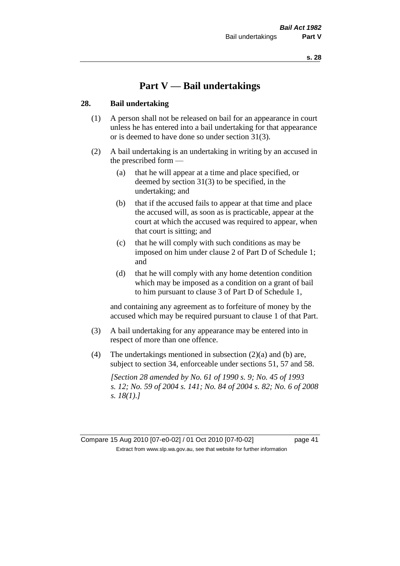# **Part V — Bail undertakings**

#### **28. Bail undertaking**

- (1) A person shall not be released on bail for an appearance in court unless he has entered into a bail undertaking for that appearance or is deemed to have done so under section 31(3).
- (2) A bail undertaking is an undertaking in writing by an accused in the prescribed form —
	- (a) that he will appear at a time and place specified, or deemed by section 31(3) to be specified, in the undertaking; and
	- (b) that if the accused fails to appear at that time and place the accused will, as soon as is practicable, appear at the court at which the accused was required to appear, when that court is sitting; and
	- (c) that he will comply with such conditions as may be imposed on him under clause 2 of Part D of Schedule 1; and
	- (d) that he will comply with any home detention condition which may be imposed as a condition on a grant of bail to him pursuant to clause 3 of Part D of Schedule 1,

and containing any agreement as to forfeiture of money by the accused which may be required pursuant to clause 1 of that Part.

- (3) A bail undertaking for any appearance may be entered into in respect of more than one offence.
- (4) The undertakings mentioned in subsection (2)(a) and (b) are, subject to section 34, enforceable under sections 51, 57 and 58.

*[Section 28 amended by No. 61 of 1990 s. 9; No. 45 of 1993 s. 12; No. 59 of 2004 s. 141; No. 84 of 2004 s. 82; No. 6 of 2008 s. 18(1).]* 

Compare 15 Aug 2010 [07-e0-02] / 01 Oct 2010 [07-f0-02] page 41 Extract from www.slp.wa.gov.au, see that website for further information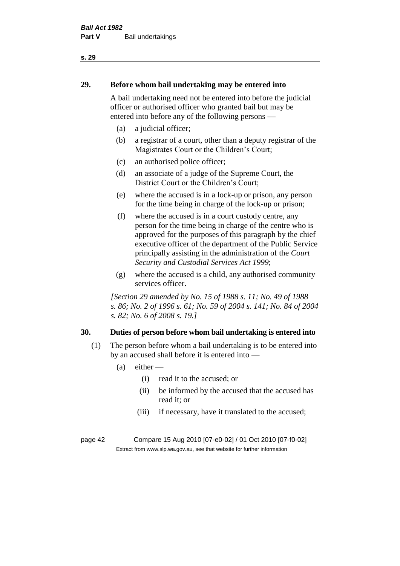# **29. Before whom bail undertaking may be entered into**

A bail undertaking need not be entered into before the judicial officer or authorised officer who granted bail but may be entered into before any of the following persons —

- (a) a judicial officer;
- (b) a registrar of a court, other than a deputy registrar of the Magistrates Court or the Children's Court;
- (c) an authorised police officer;
- (d) an associate of a judge of the Supreme Court, the District Court or the Children's Court;
- (e) where the accused is in a lock-up or prison, any person for the time being in charge of the lock-up or prison;
- (f) where the accused is in a court custody centre, any person for the time being in charge of the centre who is approved for the purposes of this paragraph by the chief executive officer of the department of the Public Service principally assisting in the administration of the *Court Security and Custodial Services Act 1999*;
- (g) where the accused is a child, any authorised community services officer.

*[Section 29 amended by No. 15 of 1988 s. 11; No. 49 of 1988 s. 86; No. 2 of 1996 s. 61; No. 59 of 2004 s. 141; No. 84 of 2004 s. 82; No. 6 of 2008 s. 19.]* 

# **30. Duties of person before whom bail undertaking is entered into**

- (1) The person before whom a bail undertaking is to be entered into by an accused shall before it is entered into —
	- $(a)$  either
		- (i) read it to the accused; or
		- (ii) be informed by the accused that the accused has read it; or
		- (iii) if necessary, have it translated to the accused;

page 42 Compare 15 Aug 2010 [07-e0-02] / 01 Oct 2010 [07-f0-02] Extract from www.slp.wa.gov.au, see that website for further information

#### **s. 29**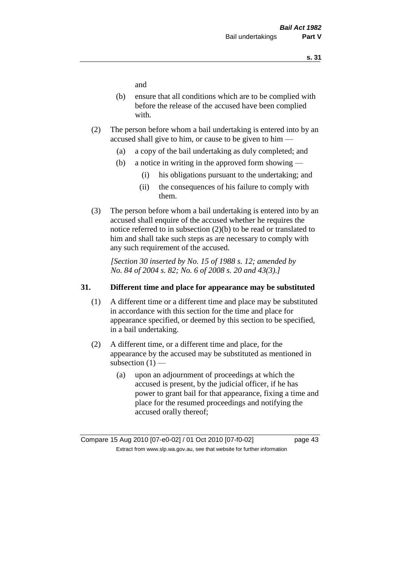and

- (b) ensure that all conditions which are to be complied with before the release of the accused have been complied with.
- (2) The person before whom a bail undertaking is entered into by an accused shall give to him, or cause to be given to him —
	- (a) a copy of the bail undertaking as duly completed; and
	- (b) a notice in writing in the approved form showing
		- (i) his obligations pursuant to the undertaking; and
		- (ii) the consequences of his failure to comply with them.
- (3) The person before whom a bail undertaking is entered into by an accused shall enquire of the accused whether he requires the notice referred to in subsection (2)(b) to be read or translated to him and shall take such steps as are necessary to comply with any such requirement of the accused.

*[Section 30 inserted by No. 15 of 1988 s. 12; amended by No. 84 of 2004 s. 82; No. 6 of 2008 s. 20 and 43(3).]* 

## **31. Different time and place for appearance may be substituted**

- (1) A different time or a different time and place may be substituted in accordance with this section for the time and place for appearance specified, or deemed by this section to be specified, in a bail undertaking.
- (2) A different time, or a different time and place, for the appearance by the accused may be substituted as mentioned in subsection  $(1)$  —
	- (a) upon an adjournment of proceedings at which the accused is present, by the judicial officer, if he has power to grant bail for that appearance, fixing a time and place for the resumed proceedings and notifying the accused orally thereof;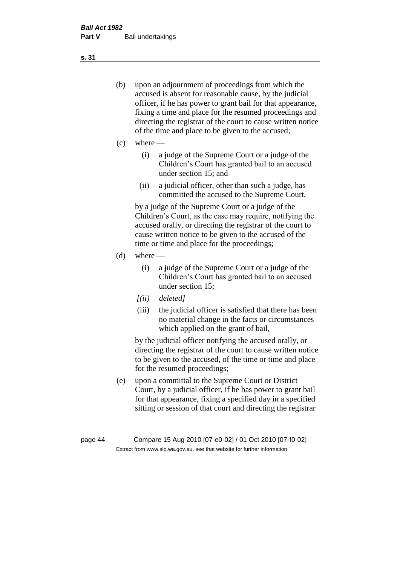- (b) upon an adjournment of proceedings from which the accused is absent for reasonable cause, by the judicial officer, if he has power to grant bail for that appearance, fixing a time and place for the resumed proceedings and directing the registrar of the court to cause written notice of the time and place to be given to the accused;
- (c) where
	- (i) a judge of the Supreme Court or a judge of the Children's Court has granted bail to an accused under section 15; and
	- (ii) a judicial officer, other than such a judge, has committed the accused to the Supreme Court,

by a judge of the Supreme Court or a judge of the Children's Court, as the case may require, notifying the accused orally, or directing the registrar of the court to cause written notice to be given to the accused of the time or time and place for the proceedings;

- $(d)$  where
	- (i) a judge of the Supreme Court or a judge of the Children's Court has granted bail to an accused under section 15;
	- *[(ii) deleted]*
	- (iii) the judicial officer is satisfied that there has been no material change in the facts or circumstances which applied on the grant of bail,

by the judicial officer notifying the accused orally, or directing the registrar of the court to cause written notice to be given to the accused, of the time or time and place for the resumed proceedings;

(e) upon a committal to the Supreme Court or District Court, by a judicial officer, if he has power to grant bail for that appearance, fixing a specified day in a specified sitting or session of that court and directing the registrar

**s. 31**

page 44 Compare 15 Aug 2010 [07-e0-02] / 01 Oct 2010 [07-f0-02] Extract from www.slp.wa.gov.au, see that website for further information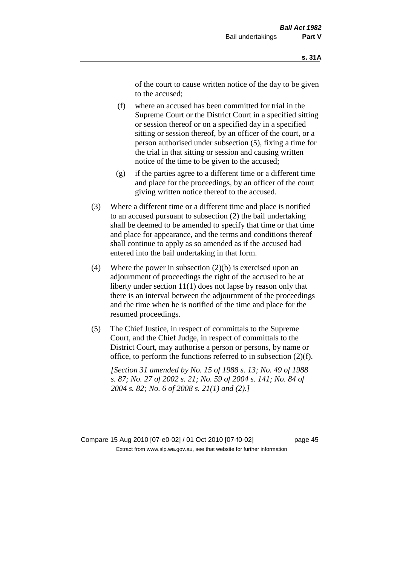of the court to cause written notice of the day to be given to the accused;

- (f) where an accused has been committed for trial in the Supreme Court or the District Court in a specified sitting or session thereof or on a specified day in a specified sitting or session thereof, by an officer of the court, or a person authorised under subsection (5), fixing a time for the trial in that sitting or session and causing written notice of the time to be given to the accused;
- (g) if the parties agree to a different time or a different time and place for the proceedings, by an officer of the court giving written notice thereof to the accused.
- (3) Where a different time or a different time and place is notified to an accused pursuant to subsection (2) the bail undertaking shall be deemed to be amended to specify that time or that time and place for appearance, and the terms and conditions thereof shall continue to apply as so amended as if the accused had entered into the bail undertaking in that form.
- (4) Where the power in subsection  $(2)(b)$  is exercised upon an adjournment of proceedings the right of the accused to be at liberty under section 11(1) does not lapse by reason only that there is an interval between the adjournment of the proceedings and the time when he is notified of the time and place for the resumed proceedings.
- (5) The Chief Justice, in respect of committals to the Supreme Court, and the Chief Judge, in respect of committals to the District Court, may authorise a person or persons, by name or office, to perform the functions referred to in subsection (2)(f).

*[Section 31 amended by No. 15 of 1988 s. 13; No. 49 of 1988 s. 87; No. 27 of 2002 s. 21; No. 59 of 2004 s. 141; No. 84 of 2004 s. 82; No. 6 of 2008 s. 21(1) and (2).]* 

Compare 15 Aug 2010 [07-e0-02] / 01 Oct 2010 [07-f0-02] page 45 Extract from www.slp.wa.gov.au, see that website for further information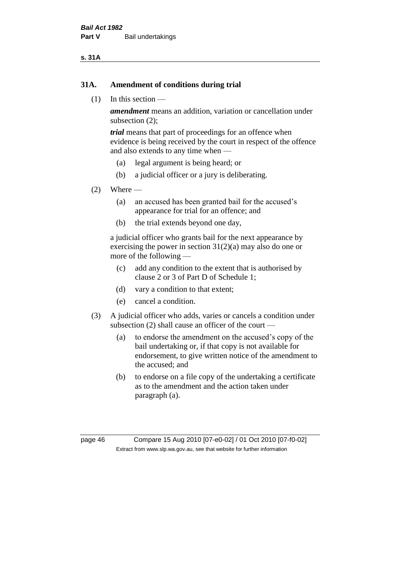#### **s. 31A**

#### **31A. Amendment of conditions during trial**

(1) In this section —

*amendment* means an addition, variation or cancellation under subsection (2);

*trial* means that part of proceedings for an offence when evidence is being received by the court in respect of the offence and also extends to any time when —

- (a) legal argument is being heard; or
- (b) a judicial officer or a jury is deliberating.

#### $(2)$  Where —

- (a) an accused has been granted bail for the accused's appearance for trial for an offence; and
- (b) the trial extends beyond one day,

a judicial officer who grants bail for the next appearance by exercising the power in section  $31(2)(a)$  may also do one or more of the following —

- (c) add any condition to the extent that is authorised by clause 2 or 3 of Part D of Schedule 1;
- (d) vary a condition to that extent;
- (e) cancel a condition.
- (3) A judicial officer who adds, varies or cancels a condition under subsection (2) shall cause an officer of the court —
	- (a) to endorse the amendment on the accused's copy of the bail undertaking or, if that copy is not available for endorsement, to give written notice of the amendment to the accused; and
	- (b) to endorse on a file copy of the undertaking a certificate as to the amendment and the action taken under paragraph (a).

page 46 Compare 15 Aug 2010 [07-e0-02] / 01 Oct 2010 [07-f0-02] Extract from www.slp.wa.gov.au, see that website for further information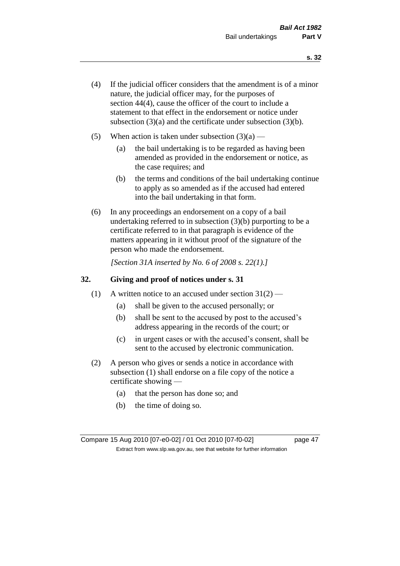- (4) If the judicial officer considers that the amendment is of a minor nature, the judicial officer may, for the purposes of section 44(4), cause the officer of the court to include a statement to that effect in the endorsement or notice under subsection (3)(a) and the certificate under subsection (3)(b).
- (5) When action is taken under subsection  $(3)(a)$ 
	- (a) the bail undertaking is to be regarded as having been amended as provided in the endorsement or notice, as the case requires; and
	- (b) the terms and conditions of the bail undertaking continue to apply as so amended as if the accused had entered into the bail undertaking in that form.
- (6) In any proceedings an endorsement on a copy of a bail undertaking referred to in subsection (3)(b) purporting to be a certificate referred to in that paragraph is evidence of the matters appearing in it without proof of the signature of the person who made the endorsement.

*[Section 31A inserted by No. 6 of 2008 s. 22(1).]*

## **32. Giving and proof of notices under s. 31**

- (1) A written notice to an accused under section  $31(2)$ 
	- (a) shall be given to the accused personally; or
	- (b) shall be sent to the accused by post to the accused's address appearing in the records of the court; or
	- (c) in urgent cases or with the accused's consent, shall be sent to the accused by electronic communication.
- (2) A person who gives or sends a notice in accordance with subsection (1) shall endorse on a file copy of the notice a certificate showing —
	- (a) that the person has done so; and
	- (b) the time of doing so.

Compare 15 Aug 2010 [07-e0-02] / 01 Oct 2010 [07-f0-02] page 47 Extract from www.slp.wa.gov.au, see that website for further information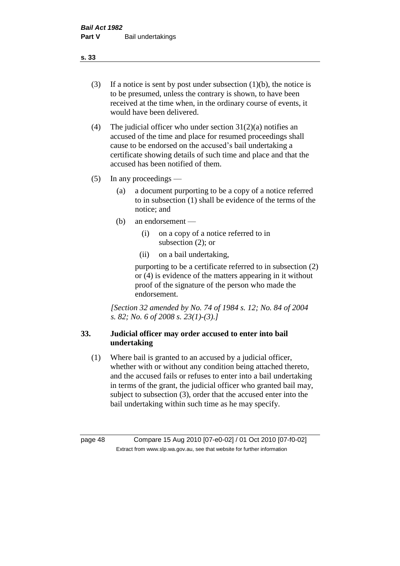- (3) If a notice is sent by post under subsection  $(1)(b)$ , the notice is to be presumed, unless the contrary is shown, to have been received at the time when, in the ordinary course of events, it would have been delivered.
- (4) The judicial officer who under section  $31(2)(a)$  notifies an accused of the time and place for resumed proceedings shall cause to be endorsed on the accused's bail undertaking a certificate showing details of such time and place and that the accused has been notified of them.
- (5) In any proceedings
	- (a) a document purporting to be a copy of a notice referred to in subsection (1) shall be evidence of the terms of the notice; and
	- (b) an endorsement
		- (i) on a copy of a notice referred to in subsection (2); or
		- (ii) on a bail undertaking,

purporting to be a certificate referred to in subsection (2) or (4) is evidence of the matters appearing in it without proof of the signature of the person who made the endorsement.

*[Section 32 amended by No. 74 of 1984 s. 12; No. 84 of 2004 s. 82; No. 6 of 2008 s. 23(1)-(3).]* 

# **33. Judicial officer may order accused to enter into bail undertaking**

(1) Where bail is granted to an accused by a judicial officer, whether with or without any condition being attached thereto, and the accused fails or refuses to enter into a bail undertaking in terms of the grant, the judicial officer who granted bail may, subject to subsection (3), order that the accused enter into the bail undertaking within such time as he may specify.

page 48 Compare 15 Aug 2010 [07-e0-02] / 01 Oct 2010 [07-f0-02] Extract from www.slp.wa.gov.au, see that website for further information

**s. 33**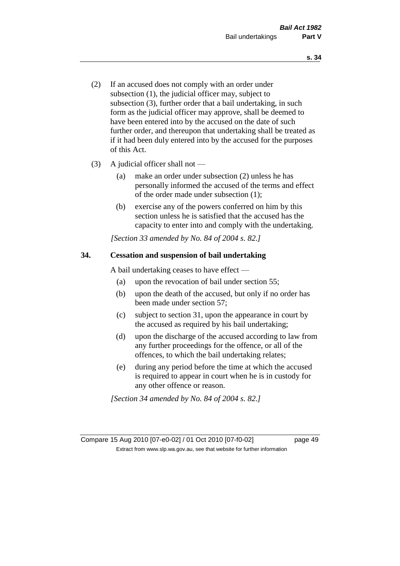- (2) If an accused does not comply with an order under subsection (1), the judicial officer may, subject to subsection (3), further order that a bail undertaking, in such form as the judicial officer may approve, shall be deemed to have been entered into by the accused on the date of such further order, and thereupon that undertaking shall be treated as if it had been duly entered into by the accused for the purposes of this Act.
- (3) A judicial officer shall not
	- (a) make an order under subsection (2) unless he has personally informed the accused of the terms and effect of the order made under subsection (1);
	- (b) exercise any of the powers conferred on him by this section unless he is satisfied that the accused has the capacity to enter into and comply with the undertaking.

*[Section 33 amended by No. 84 of 2004 s. 82.]* 

## **34. Cessation and suspension of bail undertaking**

A bail undertaking ceases to have effect —

- (a) upon the revocation of bail under section 55;
- (b) upon the death of the accused, but only if no order has been made under section 57;
- (c) subject to section 31, upon the appearance in court by the accused as required by his bail undertaking;
- (d) upon the discharge of the accused according to law from any further proceedings for the offence, or all of the offences, to which the bail undertaking relates;
- (e) during any period before the time at which the accused is required to appear in court when he is in custody for any other offence or reason.

*[Section 34 amended by No. 84 of 2004 s. 82.]* 

Compare 15 Aug 2010 [07-e0-02] / 01 Oct 2010 [07-f0-02] page 49 Extract from www.slp.wa.gov.au, see that website for further information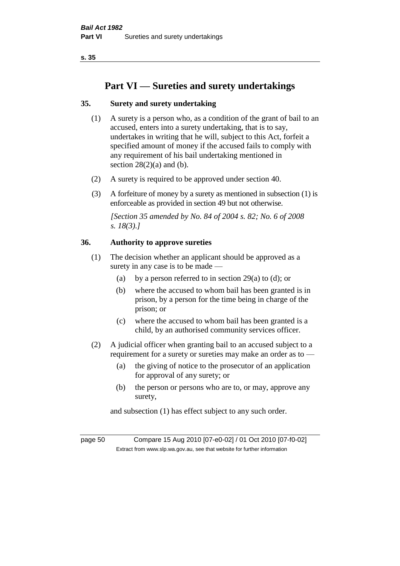# **Part VI — Sureties and surety undertakings**

# **35. Surety and surety undertaking**

- (1) A surety is a person who, as a condition of the grant of bail to an accused, enters into a surety undertaking, that is to say, undertakes in writing that he will, subject to this Act, forfeit a specified amount of money if the accused fails to comply with any requirement of his bail undertaking mentioned in section  $28(2)(a)$  and (b).
- (2) A surety is required to be approved under section 40.
- (3) A forfeiture of money by a surety as mentioned in subsection (1) is enforceable as provided in section 49 but not otherwise.

*[Section 35 amended by No. 84 of 2004 s. 82; No. 6 of 2008 s. 18(3).]* 

## **36. Authority to approve sureties**

- (1) The decision whether an applicant should be approved as a surety in any case is to be made —
	- (a) by a person referred to in section 29(a) to (d); or
	- (b) where the accused to whom bail has been granted is in prison, by a person for the time being in charge of the prison; or
	- (c) where the accused to whom bail has been granted is a child, by an authorised community services officer.
- (2) A judicial officer when granting bail to an accused subject to a requirement for a surety or sureties may make an order as to —
	- (a) the giving of notice to the prosecutor of an application for approval of any surety; or
	- (b) the person or persons who are to, or may, approve any surety,

and subsection (1) has effect subject to any such order.

page 50 Compare 15 Aug 2010 [07-e0-02] / 01 Oct 2010 [07-f0-02] Extract from www.slp.wa.gov.au, see that website for further information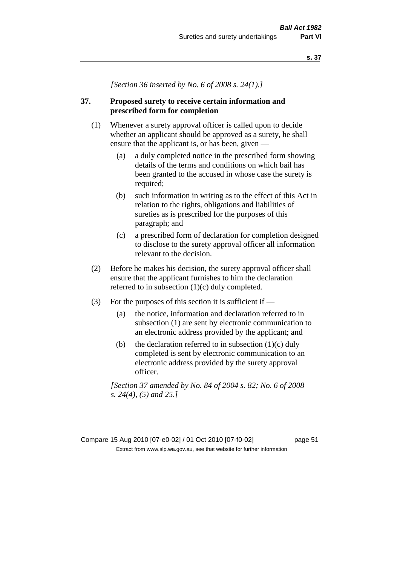*[Section 36 inserted by No. 6 of 2008 s. 24(1).]*

# **37. Proposed surety to receive certain information and prescribed form for completion**

- (1) Whenever a surety approval officer is called upon to decide whether an applicant should be approved as a surety, he shall ensure that the applicant is, or has been, given —
	- (a) a duly completed notice in the prescribed form showing details of the terms and conditions on which bail has been granted to the accused in whose case the surety is required;
	- (b) such information in writing as to the effect of this Act in relation to the rights, obligations and liabilities of sureties as is prescribed for the purposes of this paragraph; and
	- (c) a prescribed form of declaration for completion designed to disclose to the surety approval officer all information relevant to the decision.
- (2) Before he makes his decision, the surety approval officer shall ensure that the applicant furnishes to him the declaration referred to in subsection (1)(c) duly completed.
- (3) For the purposes of this section it is sufficient if  $-$ 
	- (a) the notice, information and declaration referred to in subsection (1) are sent by electronic communication to an electronic address provided by the applicant; and
	- (b) the declaration referred to in subsection  $(1)(c)$  duly completed is sent by electronic communication to an electronic address provided by the surety approval officer.

*[Section 37 amended by No. 84 of 2004 s. 82; No. 6 of 2008 s. 24(4), (5) and 25.]*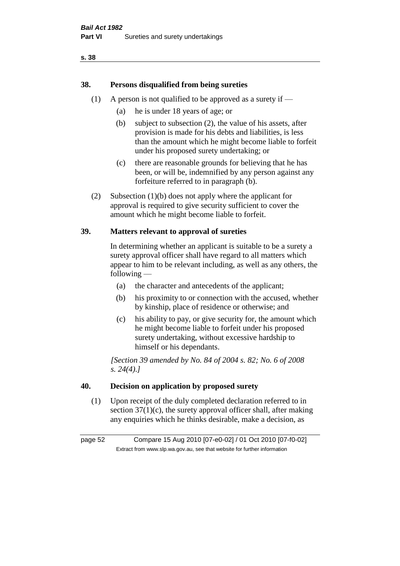# **38. Persons disqualified from being sureties**

- (1) A person is not qualified to be approved as a surety if  $-$ 
	- (a) he is under 18 years of age; or
	- (b) subject to subsection (2), the value of his assets, after provision is made for his debts and liabilities, is less than the amount which he might become liable to forfeit under his proposed surety undertaking; or
	- (c) there are reasonable grounds for believing that he has been, or will be, indemnified by any person against any forfeiture referred to in paragraph (b).
- (2) Subsection (1)(b) does not apply where the applicant for approval is required to give security sufficient to cover the amount which he might become liable to forfeit.

## **39. Matters relevant to approval of sureties**

In determining whether an applicant is suitable to be a surety a surety approval officer shall have regard to all matters which appear to him to be relevant including, as well as any others, the following —

- (a) the character and antecedents of the applicant;
- (b) his proximity to or connection with the accused, whether by kinship, place of residence or otherwise; and
- (c) his ability to pay, or give security for, the amount which he might become liable to forfeit under his proposed surety undertaking, without excessive hardship to himself or his dependants.

*[Section 39 amended by No. 84 of 2004 s. 82; No. 6 of 2008 s. 24(4).]* 

## **40. Decision on application by proposed surety**

(1) Upon receipt of the duly completed declaration referred to in section  $37(1)(c)$ , the surety approval officer shall, after making any enquiries which he thinks desirable, make a decision, as

page 52 Compare 15 Aug 2010 [07-e0-02] / 01 Oct 2010 [07-f0-02] Extract from www.slp.wa.gov.au, see that website for further information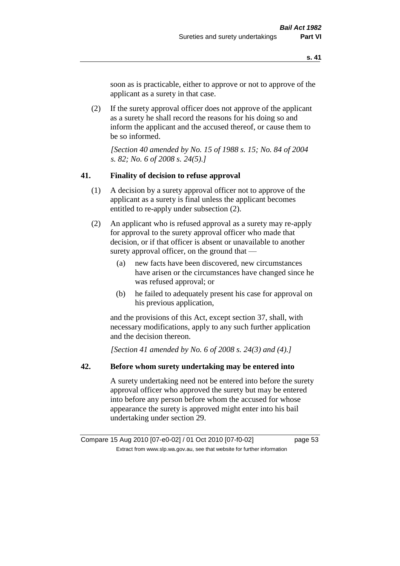soon as is practicable, either to approve or not to approve of the applicant as a surety in that case.

(2) If the surety approval officer does not approve of the applicant as a surety he shall record the reasons for his doing so and inform the applicant and the accused thereof, or cause them to be so informed.

*[Section 40 amended by No. 15 of 1988 s. 15; No. 84 of 2004 s. 82; No. 6 of 2008 s. 24(5).]* 

#### **41. Finality of decision to refuse approval**

- (1) A decision by a surety approval officer not to approve of the applicant as a surety is final unless the applicant becomes entitled to re-apply under subsection (2).
- (2) An applicant who is refused approval as a surety may re-apply for approval to the surety approval officer who made that decision, or if that officer is absent or unavailable to another surety approval officer, on the ground that —
	- (a) new facts have been discovered, new circumstances have arisen or the circumstances have changed since he was refused approval; or
	- (b) he failed to adequately present his case for approval on his previous application,

and the provisions of this Act, except section 37, shall, with necessary modifications, apply to any such further application and the decision thereon.

*[Section 41 amended by No. 6 of 2008 s. 24(3) and (4).]*

#### **42. Before whom surety undertaking may be entered into**

A surety undertaking need not be entered into before the surety approval officer who approved the surety but may be entered into before any person before whom the accused for whose appearance the surety is approved might enter into his bail undertaking under section 29.

Compare 15 Aug 2010 [07-e0-02] / 01 Oct 2010 [07-f0-02] page 53 Extract from www.slp.wa.gov.au, see that website for further information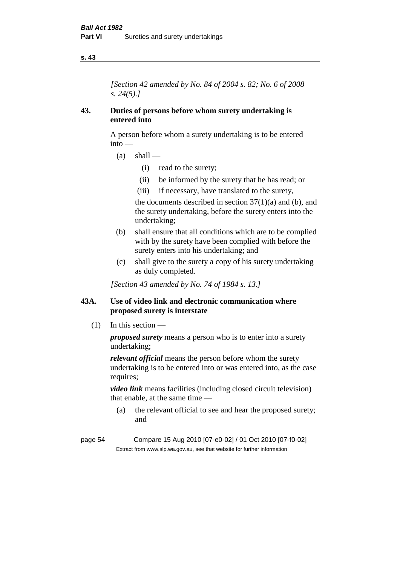*[Section 42 amended by No. 84 of 2004 s. 82; No. 6 of 2008 s. 24(5).]* 

## **43. Duties of persons before whom surety undertaking is entered into**

A person before whom a surety undertaking is to be entered into —

- $(a)$  shall
	- (i) read to the surety;
	- (ii) be informed by the surety that he has read; or
	- (iii) if necessary, have translated to the surety,

the documents described in section  $37(1)(a)$  and (b), and the surety undertaking, before the surety enters into the undertaking;

- (b) shall ensure that all conditions which are to be complied with by the surety have been complied with before the surety enters into his undertaking; and
- (c) shall give to the surety a copy of his surety undertaking as duly completed.

*[Section 43 amended by No. 74 of 1984 s. 13.]* 

## **43A. Use of video link and electronic communication where proposed surety is interstate**

(1) In this section —

*proposed surety* means a person who is to enter into a surety undertaking;

*relevant official* means the person before whom the surety undertaking is to be entered into or was entered into, as the case requires;

*video link* means facilities (including closed circuit television) that enable, at the same time —

(a) the relevant official to see and hear the proposed surety; and

page 54 Compare 15 Aug 2010 [07-e0-02] / 01 Oct 2010 [07-f0-02] Extract from www.slp.wa.gov.au, see that website for further information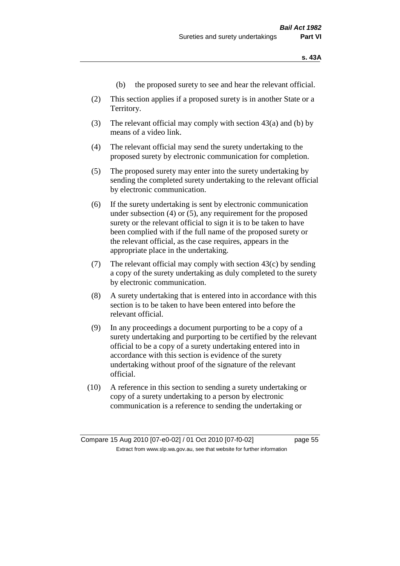- (b) the proposed surety to see and hear the relevant official.
- (2) This section applies if a proposed surety is in another State or a Territory.
- (3) The relevant official may comply with section 43(a) and (b) by means of a video link.
- (4) The relevant official may send the surety undertaking to the proposed surety by electronic communication for completion.
- (5) The proposed surety may enter into the surety undertaking by sending the completed surety undertaking to the relevant official by electronic communication.
- (6) If the surety undertaking is sent by electronic communication under subsection (4) or (5), any requirement for the proposed surety or the relevant official to sign it is to be taken to have been complied with if the full name of the proposed surety or the relevant official, as the case requires, appears in the appropriate place in the undertaking.
- (7) The relevant official may comply with section  $43(c)$  by sending a copy of the surety undertaking as duly completed to the surety by electronic communication.
- (8) A surety undertaking that is entered into in accordance with this section is to be taken to have been entered into before the relevant official.
- (9) In any proceedings a document purporting to be a copy of a surety undertaking and purporting to be certified by the relevant official to be a copy of a surety undertaking entered into in accordance with this section is evidence of the surety undertaking without proof of the signature of the relevant official.
- (10) A reference in this section to sending a surety undertaking or copy of a surety undertaking to a person by electronic communication is a reference to sending the undertaking or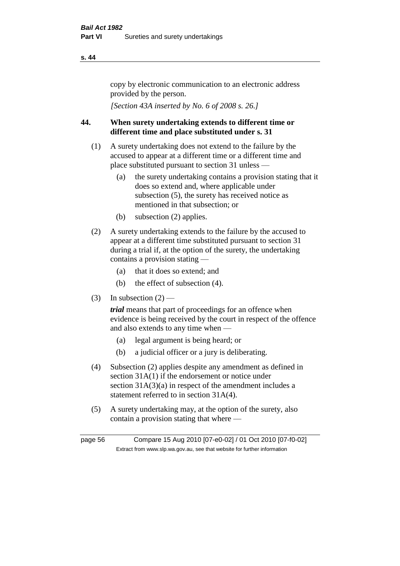copy by electronic communication to an electronic address provided by the person.

*[Section 43A inserted by No. 6 of 2008 s. 26.]*

# **44. When surety undertaking extends to different time or different time and place substituted under s. 31**

- (1) A surety undertaking does not extend to the failure by the accused to appear at a different time or a different time and place substituted pursuant to section 31 unless —
	- (a) the surety undertaking contains a provision stating that it does so extend and, where applicable under subsection (5), the surety has received notice as mentioned in that subsection; or
	- (b) subsection (2) applies.
- (2) A surety undertaking extends to the failure by the accused to appear at a different time substituted pursuant to section 31 during a trial if, at the option of the surety, the undertaking contains a provision stating —
	- (a) that it does so extend; and
	- (b) the effect of subsection (4).
- (3) In subsection  $(2)$  —

*trial* means that part of proceedings for an offence when evidence is being received by the court in respect of the offence and also extends to any time when —

- (a) legal argument is being heard; or
- (b) a judicial officer or a jury is deliberating.
- (4) Subsection (2) applies despite any amendment as defined in section 31A(1) if the endorsement or notice under section 31A(3)(a) in respect of the amendment includes a statement referred to in section 31A(4).
- (5) A surety undertaking may, at the option of the surety, also contain a provision stating that where —

page 56 Compare 15 Aug 2010 [07-e0-02] / 01 Oct 2010 [07-f0-02] Extract from www.slp.wa.gov.au, see that website for further information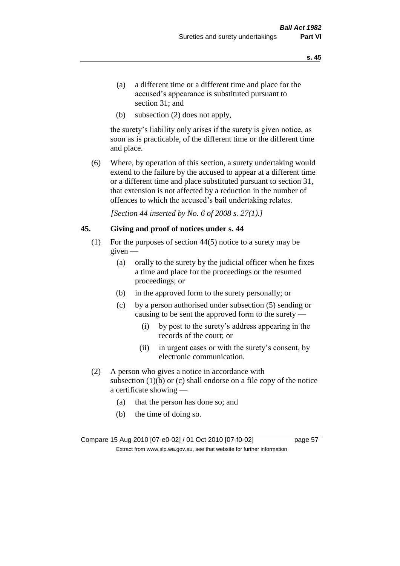- (a) a different time or a different time and place for the accused's appearance is substituted pursuant to section 31; and
- (b) subsection (2) does not apply,

the surety's liability only arises if the surety is given notice, as soon as is practicable, of the different time or the different time and place.

(6) Where, by operation of this section, a surety undertaking would extend to the failure by the accused to appear at a different time or a different time and place substituted pursuant to section 31, that extension is not affected by a reduction in the number of offences to which the accused's bail undertaking relates.

*[Section 44 inserted by No. 6 of 2008 s. 27(1).]*

#### **45. Giving and proof of notices under s. 44**

- (1) For the purposes of section 44(5) notice to a surety may be given —
	- (a) orally to the surety by the judicial officer when he fixes a time and place for the proceedings or the resumed proceedings; or
	- (b) in the approved form to the surety personally; or
	- (c) by a person authorised under subsection (5) sending or causing to be sent the approved form to the surety —
		- (i) by post to the surety's address appearing in the records of the court; or
		- (ii) in urgent cases or with the surety's consent, by electronic communication.
- (2) A person who gives a notice in accordance with subsection  $(1)(b)$  or  $(c)$  shall endorse on a file copy of the notice a certificate showing —
	- (a) that the person has done so; and
	- (b) the time of doing so.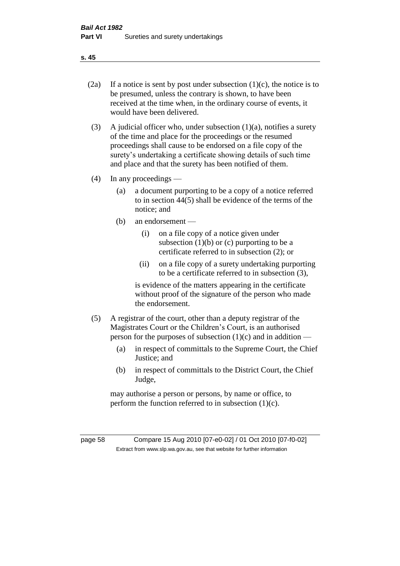- 
- (2a) If a notice is sent by post under subsection  $(1)(c)$ , the notice is to be presumed, unless the contrary is shown, to have been received at the time when, in the ordinary course of events, it would have been delivered.
- (3) A judicial officer who, under subsection  $(1)(a)$ , notifies a surety of the time and place for the proceedings or the resumed proceedings shall cause to be endorsed on a file copy of the surety's undertaking a certificate showing details of such time and place and that the surety has been notified of them.
- (4) In any proceedings
	- (a) a document purporting to be a copy of a notice referred to in section 44(5) shall be evidence of the terms of the notice; and
	- (b) an endorsement
		- (i) on a file copy of a notice given under subsection  $(1)(b)$  or  $(c)$  purporting to be a certificate referred to in subsection (2); or
		- (ii) on a file copy of a surety undertaking purporting to be a certificate referred to in subsection (3),

is evidence of the matters appearing in the certificate without proof of the signature of the person who made the endorsement.

- (5) A registrar of the court, other than a deputy registrar of the Magistrates Court or the Children's Court, is an authorised person for the purposes of subsection  $(1)(c)$  and in addition —
	- (a) in respect of committals to the Supreme Court, the Chief Justice; and
	- (b) in respect of committals to the District Court, the Chief Judge,

may authorise a person or persons, by name or office, to perform the function referred to in subsection  $(1)(c)$ .

page 58 Compare 15 Aug 2010 [07-e0-02] / 01 Oct 2010 [07-f0-02] Extract from www.slp.wa.gov.au, see that website for further information

**s. 45**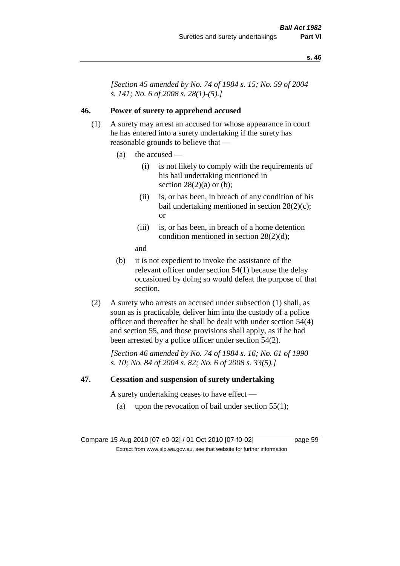*[Section 45 amended by No. 74 of 1984 s. 15; No. 59 of 2004 s. 141; No. 6 of 2008 s. 28(1)-(5).]* 

## **46. Power of surety to apprehend accused**

- (1) A surety may arrest an accused for whose appearance in court he has entered into a surety undertaking if the surety has reasonable grounds to believe that —
	- (a) the accused
		- (i) is not likely to comply with the requirements of his bail undertaking mentioned in section  $28(2)(a)$  or (b);
		- (ii) is, or has been, in breach of any condition of his bail undertaking mentioned in section 28(2)(c); or
		- (iii) is, or has been, in breach of a home detention condition mentioned in section 28(2)(d);
		- and
	- (b) it is not expedient to invoke the assistance of the relevant officer under section 54(1) because the delay occasioned by doing so would defeat the purpose of that section.
- (2) A surety who arrests an accused under subsection (1) shall, as soon as is practicable, deliver him into the custody of a police officer and thereafter he shall be dealt with under section 54(4) and section 55, and those provisions shall apply, as if he had been arrested by a police officer under section 54(2).

*[Section 46 amended by No. 74 of 1984 s. 16; No. 61 of 1990 s. 10; No. 84 of 2004 s. 82; No. 6 of 2008 s. 33(5).]* 

#### **47. Cessation and suspension of surety undertaking**

A surety undertaking ceases to have effect —

(a) upon the revocation of bail under section  $55(1)$ ;

Compare 15 Aug 2010 [07-e0-02] / 01 Oct 2010 [07-f0-02] page 59 Extract from www.slp.wa.gov.au, see that website for further information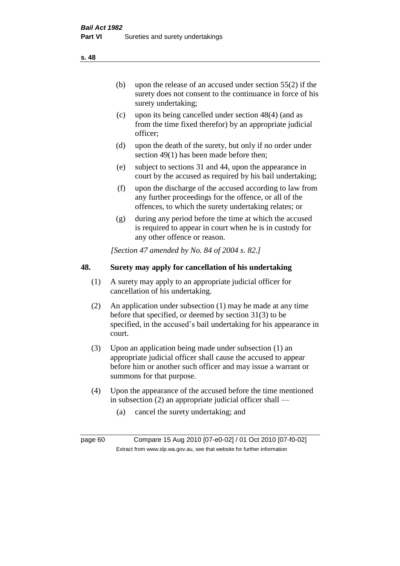(b) upon the release of an accused under section 55(2) if the surety does not consent to the continuance in force of his surety undertaking;

- (c) upon its being cancelled under section 48(4) (and as from the time fixed therefor) by an appropriate judicial officer;
- (d) upon the death of the surety, but only if no order under section 49(1) has been made before then;
- (e) subject to sections 31 and 44, upon the appearance in court by the accused as required by his bail undertaking;
- (f) upon the discharge of the accused according to law from any further proceedings for the offence, or all of the offences, to which the surety undertaking relates; or
- (g) during any period before the time at which the accused is required to appear in court when he is in custody for any other offence or reason.

*[Section 47 amended by No. 84 of 2004 s. 82.]* 

# **48. Surety may apply for cancellation of his undertaking**

- (1) A surety may apply to an appropriate judicial officer for cancellation of his undertaking.
- (2) An application under subsection (1) may be made at any time before that specified, or deemed by section 31(3) to be specified, in the accused's bail undertaking for his appearance in court.
- (3) Upon an application being made under subsection (1) an appropriate judicial officer shall cause the accused to appear before him or another such officer and may issue a warrant or summons for that purpose.
- (4) Upon the appearance of the accused before the time mentioned in subsection (2) an appropriate judicial officer shall —
	- (a) cancel the surety undertaking; and

page 60 Compare 15 Aug 2010 [07-e0-02] / 01 Oct 2010 [07-f0-02] Extract from www.slp.wa.gov.au, see that website for further information

**s. 48**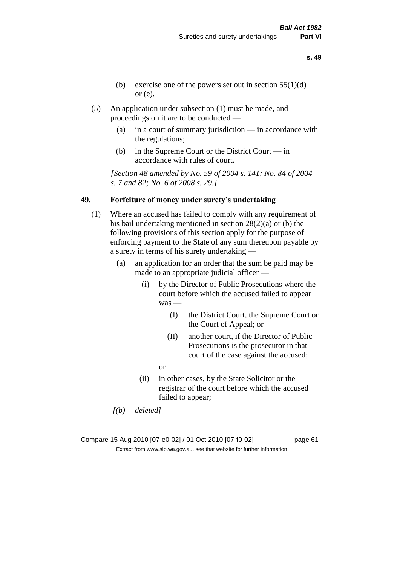- **s. 49**
- (b) exercise one of the powers set out in section  $55(1)(d)$ or (e).
- (5) An application under subsection (1) must be made, and proceedings on it are to be conducted —
	- (a) in a court of summary jurisdiction in accordance with the regulations;
	- (b) in the Supreme Court or the District Court in accordance with rules of court.

*[Section 48 amended by No. 59 of 2004 s. 141; No. 84 of 2004 s. 7 and 82; No. 6 of 2008 s. 29.]* 

## **49. Forfeiture of money under surety's undertaking**

- (1) Where an accused has failed to comply with any requirement of his bail undertaking mentioned in section 28(2)(a) or (b) the following provisions of this section apply for the purpose of enforcing payment to the State of any sum thereupon payable by a surety in terms of his surety undertaking —
	- (a) an application for an order that the sum be paid may be made to an appropriate judicial officer —
		- (i) by the Director of Public Prosecutions where the court before which the accused failed to appear was —
			- (I) the District Court, the Supreme Court or the Court of Appeal; or
			- (II) another court, if the Director of Public Prosecutions is the prosecutor in that court of the case against the accused;
			- or
		- (ii) in other cases, by the State Solicitor or the registrar of the court before which the accused failed to appear;
	- *[(b) deleted]*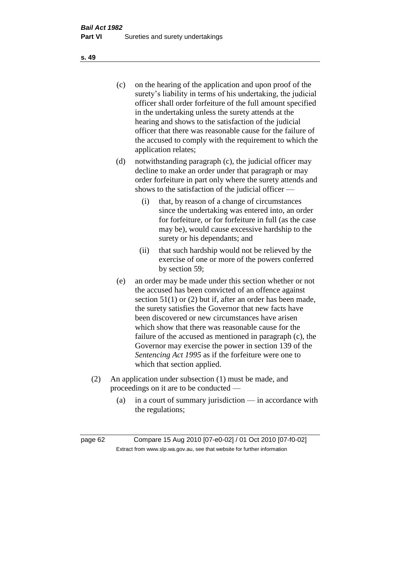(c) on the hearing of the application and upon proof of the surety's liability in terms of his undertaking, the judicial officer shall order forfeiture of the full amount specified in the undertaking unless the surety attends at the hearing and shows to the satisfaction of the judicial officer that there was reasonable cause for the failure of the accused to comply with the requirement to which the application relates;

- (d) notwithstanding paragraph (c), the judicial officer may decline to make an order under that paragraph or may order forfeiture in part only where the surety attends and shows to the satisfaction of the judicial officer —
	- (i) that, by reason of a change of circumstances since the undertaking was entered into, an order for forfeiture, or for forfeiture in full (as the case may be), would cause excessive hardship to the surety or his dependants; and
	- (ii) that such hardship would not be relieved by the exercise of one or more of the powers conferred by section 59;
- (e) an order may be made under this section whether or not the accused has been convicted of an offence against section 51(1) or (2) but if, after an order has been made, the surety satisfies the Governor that new facts have been discovered or new circumstances have arisen which show that there was reasonable cause for the failure of the accused as mentioned in paragraph (c), the Governor may exercise the power in section 139 of the *Sentencing Act 1995* as if the forfeiture were one to which that section applied.
- (2) An application under subsection (1) must be made, and proceedings on it are to be conducted —
	- (a) in a court of summary jurisdiction in accordance with the regulations;

**s. 49**

page 62 Compare 15 Aug 2010 [07-e0-02] / 01 Oct 2010 [07-f0-02] Extract from www.slp.wa.gov.au, see that website for further information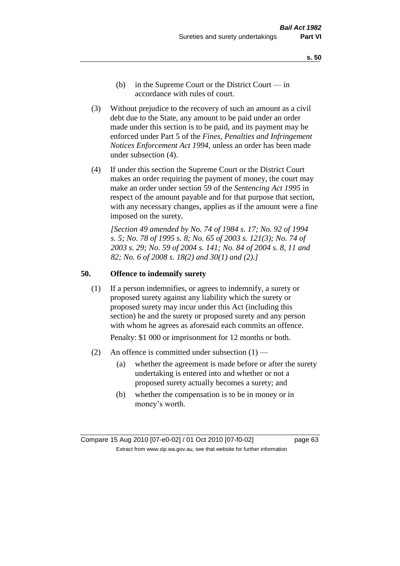- **s. 50**
- (b) in the Supreme Court or the District Court  $-\text{in}$ accordance with rules of court.
- (3) Without prejudice to the recovery of such an amount as a civil debt due to the State, any amount to be paid under an order made under this section is to be paid, and its payment may be enforced under Part 5 of the *Fines, Penalties and Infringement Notices Enforcement Act 1994*, unless an order has been made under subsection (4).
- (4) If under this section the Supreme Court or the District Court makes an order requiring the payment of money, the court may make an order under section 59 of the *Sentencing Act 1995* in respect of the amount payable and for that purpose that section, with any necessary changes, applies as if the amount were a fine imposed on the surety.

*[Section 49 amended by No. 74 of 1984 s. 17; No. 92 of 1994 s. 5; No. 78 of 1995 s. 8; No. 65 of 2003 s. 121(3); No. 74 of 2003 s. 29; No. 59 of 2004 s. 141; No. 84 of 2004 s. 8, 11 and 82; No. 6 of 2008 s. 18(2) and 30(1) and (2).]* 

#### **50. Offence to indemnify surety**

(1) If a person indemnifies, or agrees to indemnify, a surety or proposed surety against any liability which the surety or proposed surety may incur under this Act (including this section) he and the surety or proposed surety and any person with whom he agrees as aforesaid each commits an offence.

Penalty: \$1 000 or imprisonment for 12 months or both.

- (2) An offence is committed under subsection  $(1)$ 
	- (a) whether the agreement is made before or after the surety undertaking is entered into and whether or not a proposed surety actually becomes a surety; and
	- (b) whether the compensation is to be in money or in money's worth.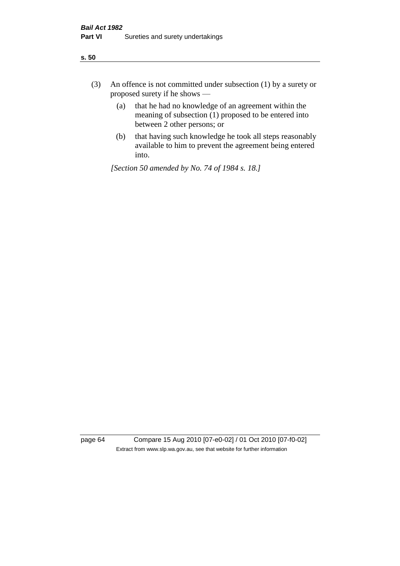- (3) An offence is not committed under subsection (1) by a surety or proposed surety if he shows —
	- (a) that he had no knowledge of an agreement within the meaning of subsection (1) proposed to be entered into between 2 other persons; or
	- (b) that having such knowledge he took all steps reasonably available to him to prevent the agreement being entered into.

*[Section 50 amended by No. 74 of 1984 s. 18.]* 

page 64 Compare 15 Aug 2010 [07-e0-02] / 01 Oct 2010 [07-f0-02] Extract from www.slp.wa.gov.au, see that website for further information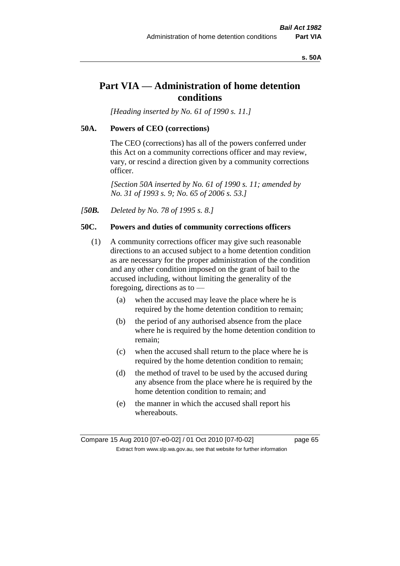#### **s. 50A**

# **Part VIA — Administration of home detention conditions**

*[Heading inserted by No. 61 of 1990 s. 11.]* 

#### **50A. Powers of CEO (corrections)**

The CEO (corrections) has all of the powers conferred under this Act on a community corrections officer and may review, vary, or rescind a direction given by a community corrections officer.

*[Section 50A inserted by No. 61 of 1990 s. 11; amended by No. 31 of 1993 s. 9; No. 65 of 2006 s. 53.]* 

*[50B. Deleted by No. 78 of 1995 s. 8.]* 

## **50C. Powers and duties of community corrections officers**

- (1) A community corrections officer may give such reasonable directions to an accused subject to a home detention condition as are necessary for the proper administration of the condition and any other condition imposed on the grant of bail to the accused including, without limiting the generality of the foregoing, directions as to —
	- (a) when the accused may leave the place where he is required by the home detention condition to remain;
	- (b) the period of any authorised absence from the place where he is required by the home detention condition to remain;
	- (c) when the accused shall return to the place where he is required by the home detention condition to remain;
	- (d) the method of travel to be used by the accused during any absence from the place where he is required by the home detention condition to remain; and
	- (e) the manner in which the accused shall report his whereabouts.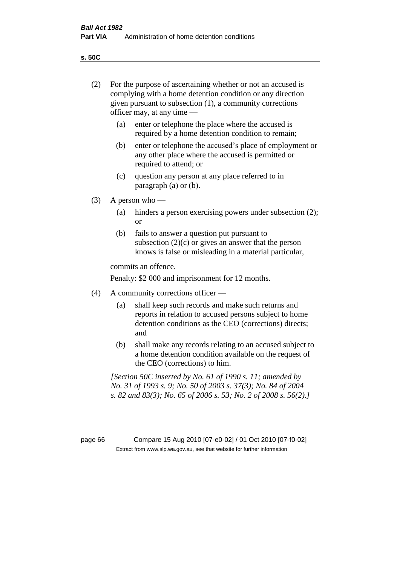**s. 50C**

| (2)     | For the purpose of ascertaining whether or not an accused is<br>complying with a home detention condition or any direction<br>given pursuant to subsection (1), a community corrections<br>officer may, at any time — |                                                                                                                                                                                              |  |
|---------|-----------------------------------------------------------------------------------------------------------------------------------------------------------------------------------------------------------------------|----------------------------------------------------------------------------------------------------------------------------------------------------------------------------------------------|--|
|         | (a)                                                                                                                                                                                                                   | enter or telephone the place where the accused is<br>required by a home detention condition to remain;                                                                                       |  |
|         | (b)                                                                                                                                                                                                                   | enter or telephone the accused's place of employment or<br>any other place where the accused is permitted or<br>required to attend; or                                                       |  |
|         | (c)                                                                                                                                                                                                                   | question any person at any place referred to in<br>paragraph $(a)$ or $(b)$ .                                                                                                                |  |
| (3)     | A person who $-$                                                                                                                                                                                                      |                                                                                                                                                                                              |  |
|         | (a)                                                                                                                                                                                                                   | hinders a person exercising powers under subsection (2);<br><sub>or</sub>                                                                                                                    |  |
|         | (b)                                                                                                                                                                                                                   | fails to answer a question put pursuant to<br>subsection $(2)(c)$ or gives an answer that the person<br>knows is false or misleading in a material particular,                               |  |
|         |                                                                                                                                                                                                                       | commits an offence.                                                                                                                                                                          |  |
|         |                                                                                                                                                                                                                       | Penalty: \$2 000 and imprisonment for 12 months.                                                                                                                                             |  |
| (4)     | A community corrections officer —                                                                                                                                                                                     |                                                                                                                                                                                              |  |
|         | (a)                                                                                                                                                                                                                   | shall keep such records and make such returns and<br>reports in relation to accused persons subject to home<br>detention conditions as the CEO (corrections) directs;<br>and                 |  |
|         | (b)                                                                                                                                                                                                                   | shall make any records relating to an accused subject to<br>a home detention condition available on the request of<br>the CEO (corrections) to him.                                          |  |
|         |                                                                                                                                                                                                                       | [Section 50C inserted by No. 61 of 1990 s. 11; amended by<br>No. 31 of 1993 s. 9; No. 50 of 2003 s. 37(3); No. 84 of 2004<br>s. 82 and 83(3); No. 65 of 2006 s. 53; No. 2 of 2008 s. 56(2).] |  |
|         |                                                                                                                                                                                                                       |                                                                                                                                                                                              |  |
| page 66 |                                                                                                                                                                                                                       | Compare 15 Aug 2010 [07-e0-02] / 01 Oct 2010 [07-f0-02]<br>Extract from www.slp.wa.gov.au, see that website for further information                                                          |  |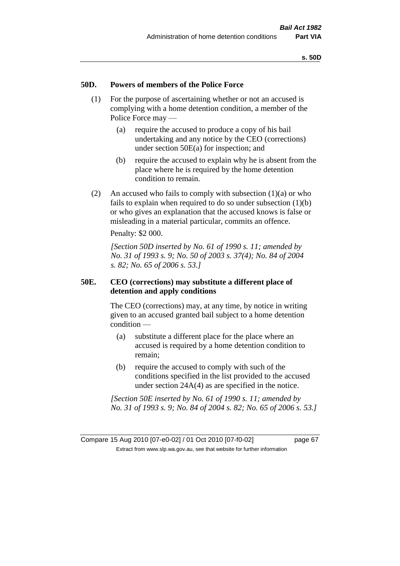## **50D. Powers of members of the Police Force**

- (1) For the purpose of ascertaining whether or not an accused is complying with a home detention condition, a member of the Police Force may —
	- (a) require the accused to produce a copy of his bail undertaking and any notice by the CEO (corrections) under section 50E(a) for inspection; and
	- (b) require the accused to explain why he is absent from the place where he is required by the home detention condition to remain.
- (2) An accused who fails to comply with subsection  $(1)(a)$  or who fails to explain when required to do so under subsection (1)(b) or who gives an explanation that the accused knows is false or misleading in a material particular, commits an offence.

Penalty: \$2 000.

*[Section 50D inserted by No. 61 of 1990 s. 11; amended by No. 31 of 1993 s. 9; No. 50 of 2003 s. 37(4); No. 84 of 2004 s. 82; No. 65 of 2006 s. 53.]* 

## **50E. CEO (corrections) may substitute a different place of detention and apply conditions**

The CEO (corrections) may, at any time, by notice in writing given to an accused granted bail subject to a home detention condition —

- (a) substitute a different place for the place where an accused is required by a home detention condition to remain;
- (b) require the accused to comply with such of the conditions specified in the list provided to the accused under section 24A(4) as are specified in the notice.

*[Section 50E inserted by No. 61 of 1990 s. 11; amended by No. 31 of 1993 s. 9; No. 84 of 2004 s. 82; No. 65 of 2006 s. 53.]*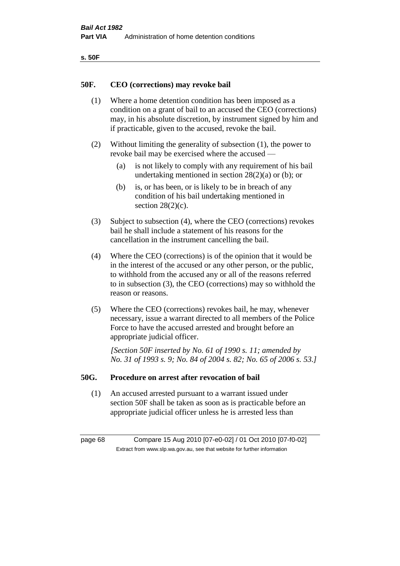| ۰.<br>×<br>-<br>۰.<br>× |  |
|-------------------------|--|
|-------------------------|--|

#### **50F. CEO (corrections) may revoke bail**

- (1) Where a home detention condition has been imposed as a condition on a grant of bail to an accused the CEO (corrections) may, in his absolute discretion, by instrument signed by him and if practicable, given to the accused, revoke the bail.
- (2) Without limiting the generality of subsection (1), the power to revoke bail may be exercised where the accused —
	- (a) is not likely to comply with any requirement of his bail undertaking mentioned in section  $28(2)(a)$  or (b); or
	- (b) is, or has been, or is likely to be in breach of any condition of his bail undertaking mentioned in section  $28(2)(c)$ .
- (3) Subject to subsection (4), where the CEO (corrections) revokes bail he shall include a statement of his reasons for the cancellation in the instrument cancelling the bail.
- (4) Where the CEO (corrections) is of the opinion that it would be in the interest of the accused or any other person, or the public, to withhold from the accused any or all of the reasons referred to in subsection (3), the CEO (corrections) may so withhold the reason or reasons.
- (5) Where the CEO (corrections) revokes bail, he may, whenever necessary, issue a warrant directed to all members of the Police Force to have the accused arrested and brought before an appropriate judicial officer.

*[Section 50F inserted by No. 61 of 1990 s. 11; amended by No. 31 of 1993 s. 9; No. 84 of 2004 s. 82; No. 65 of 2006 s. 53.]* 

#### **50G. Procedure on arrest after revocation of bail**

(1) An accused arrested pursuant to a warrant issued under section 50F shall be taken as soon as is practicable before an appropriate judicial officer unless he is arrested less than

page 68 Compare 15 Aug 2010 [07-e0-02] / 01 Oct 2010 [07-f0-02] Extract from www.slp.wa.gov.au, see that website for further information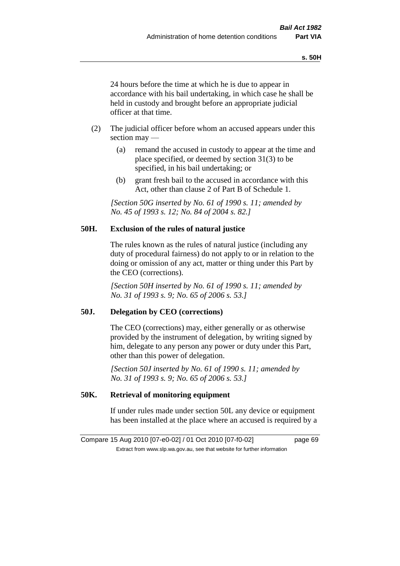24 hours before the time at which he is due to appear in accordance with his bail undertaking, in which case he shall be held in custody and brought before an appropriate judicial officer at that time.

- (2) The judicial officer before whom an accused appears under this section may —
	- (a) remand the accused in custody to appear at the time and place specified, or deemed by section 31(3) to be specified, in his bail undertaking; or
	- (b) grant fresh bail to the accused in accordance with this Act, other than clause 2 of Part B of Schedule 1.

*[Section 50G inserted by No. 61 of 1990 s. 11; amended by No. 45 of 1993 s. 12; No. 84 of 2004 s. 82.]* 

## **50H. Exclusion of the rules of natural justice**

The rules known as the rules of natural justice (including any duty of procedural fairness) do not apply to or in relation to the doing or omission of any act, matter or thing under this Part by the CEO (corrections).

*[Section 50H inserted by No. 61 of 1990 s. 11; amended by No. 31 of 1993 s. 9; No. 65 of 2006 s. 53.]* 

## **50J. Delegation by CEO (corrections)**

The CEO (corrections) may, either generally or as otherwise provided by the instrument of delegation, by writing signed by him, delegate to any person any power or duty under this Part, other than this power of delegation.

*[Section 50J inserted by No. 61 of 1990 s. 11; amended by No. 31 of 1993 s. 9; No. 65 of 2006 s. 53.]* 

## **50K. Retrieval of monitoring equipment**

If under rules made under section 50L any device or equipment has been installed at the place where an accused is required by a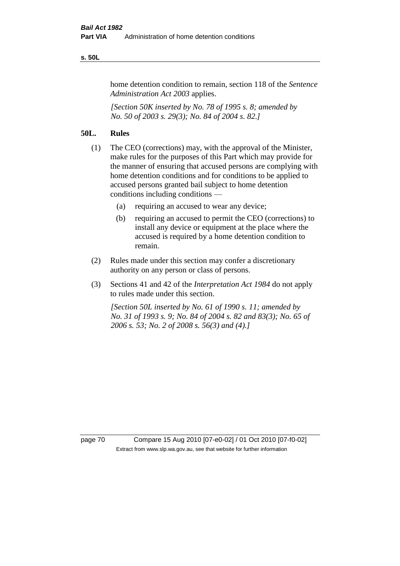#### **s. 50L**

home detention condition to remain, section 118 of the *Sentence Administration Act 2003* applies.

*[Section 50K inserted by No. 78 of 1995 s. 8; amended by No. 50 of 2003 s. 29(3); No. 84 of 2004 s. 82.]* 

## **50L. Rules**

- (1) The CEO (corrections) may, with the approval of the Minister, make rules for the purposes of this Part which may provide for the manner of ensuring that accused persons are complying with home detention conditions and for conditions to be applied to accused persons granted bail subject to home detention conditions including conditions —
	- (a) requiring an accused to wear any device;
	- (b) requiring an accused to permit the CEO (corrections) to install any device or equipment at the place where the accused is required by a home detention condition to remain.
- (2) Rules made under this section may confer a discretionary authority on any person or class of persons.
- (3) Sections 41 and 42 of the *Interpretation Act 1984* do not apply to rules made under this section.

*[Section 50L inserted by No. 61 of 1990 s. 11; amended by No. 31 of 1993 s. 9; No. 84 of 2004 s. 82 and 83(3); No. 65 of 2006 s. 53; No. 2 of 2008 s. 56(3) and (4).]* 

page 70 Compare 15 Aug 2010 [07-e0-02] / 01 Oct 2010 [07-f0-02] Extract from www.slp.wa.gov.au, see that website for further information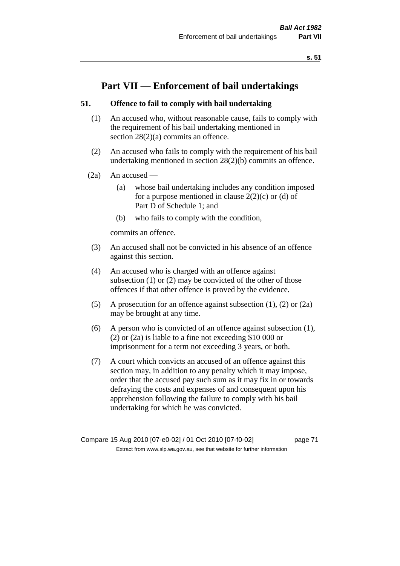# **Part VII — Enforcement of bail undertakings**

## **51. Offence to fail to comply with bail undertaking**

- (1) An accused who, without reasonable cause, fails to comply with the requirement of his bail undertaking mentioned in section 28(2)(a) commits an offence.
- (2) An accused who fails to comply with the requirement of his bail undertaking mentioned in section 28(2)(b) commits an offence.
- $(2a)$  An accused
	- (a) whose bail undertaking includes any condition imposed for a purpose mentioned in clause  $2(2)(c)$  or (d) of Part D of Schedule 1; and
	- (b) who fails to comply with the condition,

commits an offence.

- (3) An accused shall not be convicted in his absence of an offence against this section.
- (4) An accused who is charged with an offence against subsection (1) or (2) may be convicted of the other of those offences if that other offence is proved by the evidence.
- (5) A prosecution for an offence against subsection (1), (2) or (2a) may be brought at any time.
- (6) A person who is convicted of an offence against subsection (1), (2) or (2a) is liable to a fine not exceeding \$10 000 or imprisonment for a term not exceeding 3 years, or both.
- (7) A court which convicts an accused of an offence against this section may, in addition to any penalty which it may impose, order that the accused pay such sum as it may fix in or towards defraying the costs and expenses of and consequent upon his apprehension following the failure to comply with his bail undertaking for which he was convicted.

Compare 15 Aug 2010 [07-e0-02] / 01 Oct 2010 [07-f0-02] page 71 Extract from www.slp.wa.gov.au, see that website for further information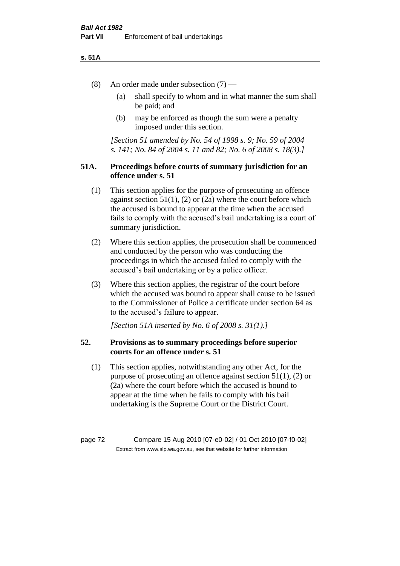#### **s. 51A**

- (8) An order made under subsection (7)
	- (a) shall specify to whom and in what manner the sum shall be paid; and
	- (b) may be enforced as though the sum were a penalty imposed under this section.

*[Section 51 amended by No. 54 of 1998 s. 9; No. 59 of 2004 s. 141; No. 84 of 2004 s. 11 and 82; No. 6 of 2008 s. 18(3).]*

## **51A. Proceedings before courts of summary jurisdiction for an offence under s. 51**

- (1) This section applies for the purpose of prosecuting an offence against section  $51(1)$ ,  $(2)$  or  $(2a)$  where the court before which the accused is bound to appear at the time when the accused fails to comply with the accused's bail undertaking is a court of summary jurisdiction.
- (2) Where this section applies, the prosecution shall be commenced and conducted by the person who was conducting the proceedings in which the accused failed to comply with the accused's bail undertaking or by a police officer.
- (3) Where this section applies, the registrar of the court before which the accused was bound to appear shall cause to be issued to the Commissioner of Police a certificate under section 64 as to the accused's failure to appear.

*[Section 51A inserted by No. 6 of 2008 s. 31(1).]*

# **52. Provisions as to summary proceedings before superior courts for an offence under s. 51**

(1) This section applies, notwithstanding any other Act, for the purpose of prosecuting an offence against section 51(1), (2) or (2a) where the court before which the accused is bound to appear at the time when he fails to comply with his bail undertaking is the Supreme Court or the District Court.

page 72 Compare 15 Aug 2010 [07-e0-02] / 01 Oct 2010 [07-f0-02] Extract from www.slp.wa.gov.au, see that website for further information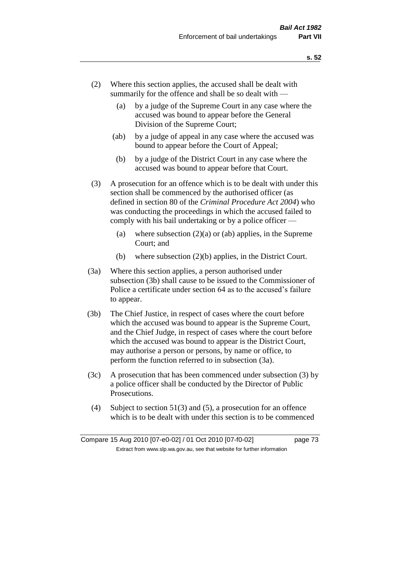- (2) Where this section applies, the accused shall be dealt with summarily for the offence and shall be so dealt with —
	- (a) by a judge of the Supreme Court in any case where the accused was bound to appear before the General Division of the Supreme Court;
	- (ab) by a judge of appeal in any case where the accused was bound to appear before the Court of Appeal;
	- (b) by a judge of the District Court in any case where the accused was bound to appear before that Court.
- (3) A prosecution for an offence which is to be dealt with under this section shall be commenced by the authorised officer (as defined in section 80 of the *Criminal Procedure Act 2004*) who was conducting the proceedings in which the accused failed to comply with his bail undertaking or by a police officer —
	- (a) where subsection  $(2)(a)$  or (ab) applies, in the Supreme Court; and
	- (b) where subsection (2)(b) applies, in the District Court.
- (3a) Where this section applies, a person authorised under subsection (3b) shall cause to be issued to the Commissioner of Police a certificate under section 64 as to the accused's failure to appear.
- (3b) The Chief Justice, in respect of cases where the court before which the accused was bound to appear is the Supreme Court, and the Chief Judge, in respect of cases where the court before which the accused was bound to appear is the District Court, may authorise a person or persons, by name or office, to perform the function referred to in subsection (3a).
- (3c) A prosecution that has been commenced under subsection (3) by a police officer shall be conducted by the Director of Public Prosecutions.
- (4) Subject to section 51(3) and (5), a prosecution for an offence which is to be dealt with under this section is to be commenced

Compare 15 Aug 2010 [07-e0-02] / 01 Oct 2010 [07-f0-02] page 73 Extract from www.slp.wa.gov.au, see that website for further information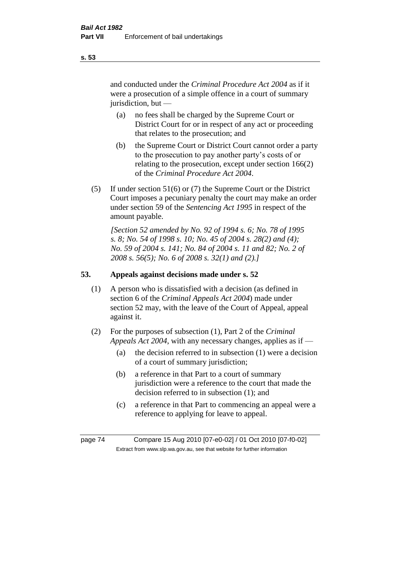and conducted under the *Criminal Procedure Act 2004* as if it were a prosecution of a simple offence in a court of summary jurisdiction, but —

- (a) no fees shall be charged by the Supreme Court or District Court for or in respect of any act or proceeding that relates to the prosecution; and
- (b) the Supreme Court or District Court cannot order a party to the prosecution to pay another party's costs of or relating to the prosecution, except under section 166(2) of the *Criminal Procedure Act 2004*.
- (5) If under section 51(6) or (7) the Supreme Court or the District Court imposes a pecuniary penalty the court may make an order under section 59 of the *Sentencing Act 1995* in respect of the amount payable.

*[Section 52 amended by No. 92 of 1994 s. 6; No. 78 of 1995 s. 8; No. 54 of 1998 s. 10; No. 45 of 2004 s. 28(2) and (4); No. 59 of 2004 s. 141; No. 84 of 2004 s. 11 and 82; No. 2 of 2008 s. 56(5); No. 6 of 2008 s. 32(1) and (2).]* 

# **53. Appeals against decisions made under s. 52**

- (1) A person who is dissatisfied with a decision (as defined in section 6 of the *Criminal Appeals Act 2004*) made under section 52 may, with the leave of the Court of Appeal, appeal against it.
- (2) For the purposes of subsection (1), Part 2 of the *Criminal Appeals Act 2004*, with any necessary changes, applies as if —
	- (a) the decision referred to in subsection (1) were a decision of a court of summary jurisdiction;
	- (b) a reference in that Part to a court of summary jurisdiction were a reference to the court that made the decision referred to in subsection (1); and
	- (c) a reference in that Part to commencing an appeal were a reference to applying for leave to appeal.

page 74 Compare 15 Aug 2010 [07-e0-02] / 01 Oct 2010 [07-f0-02] Extract from www.slp.wa.gov.au, see that website for further information

**s. 53**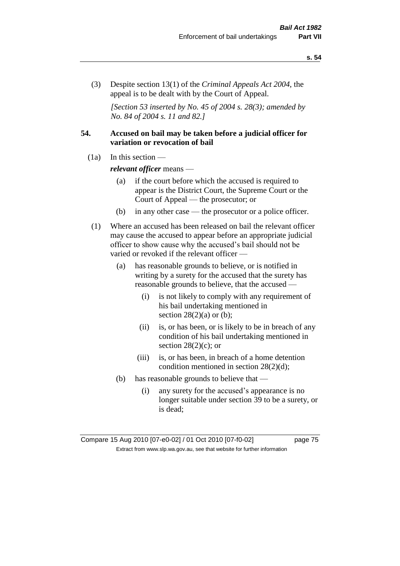(3) Despite section 13(1) of the *Criminal Appeals Act 2004*, the appeal is to be dealt with by the Court of Appeal.

*[Section 53 inserted by No. 45 of 2004 s. 28(3); amended by No. 84 of 2004 s. 11 and 82.]*

# **54. Accused on bail may be taken before a judicial officer for variation or revocation of bail**

(1a) In this section —

*relevant officer* means —

- (a) if the court before which the accused is required to appear is the District Court, the Supreme Court or the Court of Appeal — the prosecutor; or
- (b) in any other case the prosecutor or a police officer.
- (1) Where an accused has been released on bail the relevant officer may cause the accused to appear before an appropriate judicial officer to show cause why the accused's bail should not be varied or revoked if the relevant officer —
	- (a) has reasonable grounds to believe, or is notified in writing by a surety for the accused that the surety has reasonable grounds to believe, that the accused —
		- (i) is not likely to comply with any requirement of his bail undertaking mentioned in section  $28(2)(a)$  or (b);
		- (ii) is, or has been, or is likely to be in breach of any condition of his bail undertaking mentioned in section  $28(2)(c)$ ; or
		- (iii) is, or has been, in breach of a home detention condition mentioned in section 28(2)(d);
	- (b) has reasonable grounds to believe that
		- (i) any surety for the accused's appearance is no longer suitable under section 39 to be a surety, or is dead;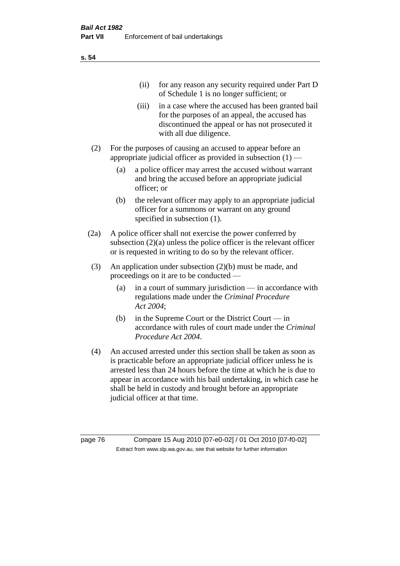| (11)  | for any reason any security required under Part D<br>of Schedule 1 is no longer sufficient; or                                                                                     |
|-------|------------------------------------------------------------------------------------------------------------------------------------------------------------------------------------|
| (iii) | in a case where the accused has been granted bail<br>for the purposes of an appeal, the accused has<br>discontinued the appeal or has not prosecuted it<br>with all due diligence. |

- (2) For the purposes of causing an accused to appear before an appropriate judicial officer as provided in subsection  $(1)$  —
	- (a) a police officer may arrest the accused without warrant and bring the accused before an appropriate judicial officer; or
	- (b) the relevant officer may apply to an appropriate judicial officer for a summons or warrant on any ground specified in subsection  $(1)$ .
- (2a) A police officer shall not exercise the power conferred by subsection (2)(a) unless the police officer is the relevant officer or is requested in writing to do so by the relevant officer.
- (3) An application under subsection (2)(b) must be made, and proceedings on it are to be conducted —
	- (a) in a court of summary jurisdiction in accordance with regulations made under the *Criminal Procedure Act 2004*;
	- (b) in the Supreme Court or the District Court in accordance with rules of court made under the *Criminal Procedure Act 2004*.
- (4) An accused arrested under this section shall be taken as soon as is practicable before an appropriate judicial officer unless he is arrested less than 24 hours before the time at which he is due to appear in accordance with his bail undertaking, in which case he shall be held in custody and brought before an appropriate judicial officer at that time.

page 76 Compare 15 Aug 2010 [07-e0-02] / 01 Oct 2010 [07-f0-02] Extract from www.slp.wa.gov.au, see that website for further information

**s. 54**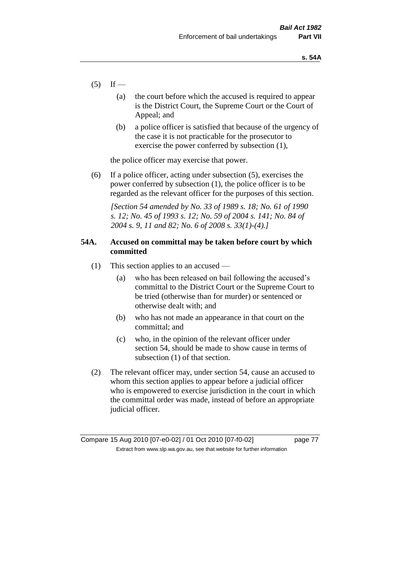- $(5)$  If
	- (a) the court before which the accused is required to appear is the District Court, the Supreme Court or the Court of Appeal; and
	- (b) a police officer is satisfied that because of the urgency of the case it is not practicable for the prosecutor to exercise the power conferred by subsection (1),

the police officer may exercise that power.

(6) If a police officer, acting under subsection (5), exercises the power conferred by subsection (1), the police officer is to be regarded as the relevant officer for the purposes of this section.

*[Section 54 amended by No. 33 of 1989 s. 18; No. 61 of 1990 s. 12; No. 45 of 1993 s. 12; No. 59 of 2004 s. 141; No. 84 of 2004 s. 9, 11 and 82; No. 6 of 2008 s. 33(1)-(4).]* 

# **54A. Accused on committal may be taken before court by which committed**

- (1) This section applies to an accused
	- (a) who has been released on bail following the accused's committal to the District Court or the Supreme Court to be tried (otherwise than for murder) or sentenced or otherwise dealt with; and
	- (b) who has not made an appearance in that court on the committal; and
	- (c) who, in the opinion of the relevant officer under section 54, should be made to show cause in terms of subsection (1) of that section.
- (2) The relevant officer may, under section 54, cause an accused to whom this section applies to appear before a judicial officer who is empowered to exercise jurisdiction in the court in which the committal order was made, instead of before an appropriate judicial officer.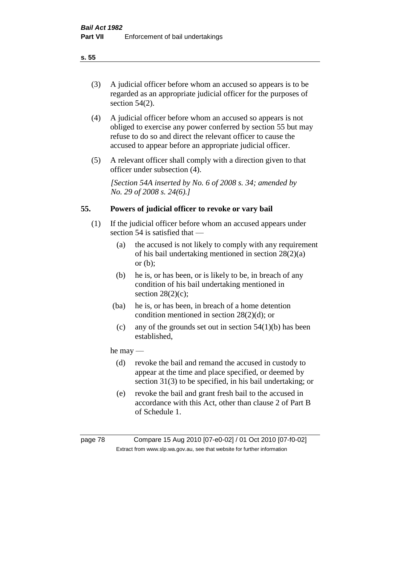(3) A judicial officer before whom an accused so appears is to be regarded as an appropriate judicial officer for the purposes of section 54(2).

- (4) A judicial officer before whom an accused so appears is not obliged to exercise any power conferred by section 55 but may refuse to do so and direct the relevant officer to cause the accused to appear before an appropriate judicial officer.
- (5) A relevant officer shall comply with a direction given to that officer under subsection (4).

*[Section 54A inserted by No. 6 of 2008 s. 34; amended by No. 29 of 2008 s. 24(6).]*

# **55. Powers of judicial officer to revoke or vary bail**

- (1) If the judicial officer before whom an accused appears under section 54 is satisfied that —
	- (a) the accused is not likely to comply with any requirement of his bail undertaking mentioned in section 28(2)(a) or (b);
	- (b) he is, or has been, or is likely to be, in breach of any condition of his bail undertaking mentioned in section  $28(2)(c)$ ;
	- (ba) he is, or has been, in breach of a home detention condition mentioned in section 28(2)(d); or
		- (c) any of the grounds set out in section  $54(1)(b)$  has been established,

# he may —

- (d) revoke the bail and remand the accused in custody to appear at the time and place specified, or deemed by section 31(3) to be specified, in his bail undertaking; or
- (e) revoke the bail and grant fresh bail to the accused in accordance with this Act, other than clause 2 of Part B of Schedule 1.

page 78 Compare 15 Aug 2010 [07-e0-02] / 01 Oct 2010 [07-f0-02] Extract from www.slp.wa.gov.au, see that website for further information

## **s. 55**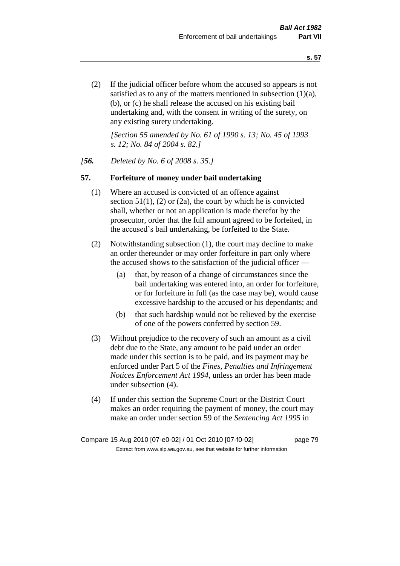(2) If the judicial officer before whom the accused so appears is not satisfied as to any of the matters mentioned in subsection (1)(a), (b), or (c) he shall release the accused on his existing bail undertaking and, with the consent in writing of the surety, on any existing surety undertaking.

*[Section 55 amended by No. 61 of 1990 s. 13; No. 45 of 1993 s. 12; No. 84 of 2004 s. 82.]* 

### *[56. Deleted by No. 6 of 2008 s. 35.]*

### **57. Forfeiture of money under bail undertaking**

- (1) Where an accused is convicted of an offence against section  $51(1)$ , (2) or (2a), the court by which he is convicted shall, whether or not an application is made therefor by the prosecutor, order that the full amount agreed to be forfeited, in the accused's bail undertaking, be forfeited to the State.
- (2) Notwithstanding subsection (1), the court may decline to make an order thereunder or may order forfeiture in part only where the accused shows to the satisfaction of the judicial officer —
	- (a) that, by reason of a change of circumstances since the bail undertaking was entered into, an order for forfeiture, or for forfeiture in full (as the case may be), would cause excessive hardship to the accused or his dependants; and
	- (b) that such hardship would not be relieved by the exercise of one of the powers conferred by section 59.
- (3) Without prejudice to the recovery of such an amount as a civil debt due to the State, any amount to be paid under an order made under this section is to be paid, and its payment may be enforced under Part 5 of the *Fines, Penalties and Infringement Notices Enforcement Act 1994*, unless an order has been made under subsection (4).
- (4) If under this section the Supreme Court or the District Court makes an order requiring the payment of money, the court may make an order under section 59 of the *Sentencing Act 1995* in

Compare 15 Aug 2010 [07-e0-02] / 01 Oct 2010 [07-f0-02] page 79 Extract from www.slp.wa.gov.au, see that website for further information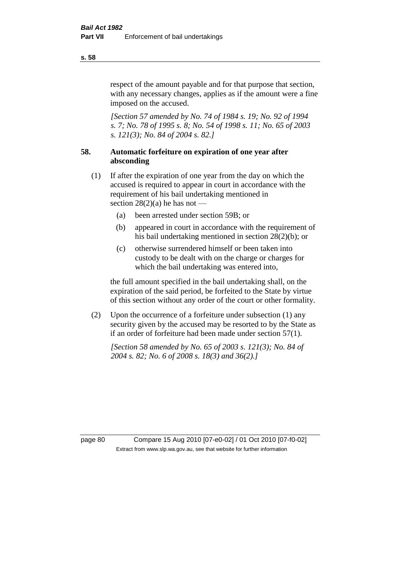respect of the amount payable and for that purpose that section, with any necessary changes, applies as if the amount were a fine imposed on the accused.

*[Section 57 amended by No. 74 of 1984 s. 19; No. 92 of 1994 s. 7; No. 78 of 1995 s. 8; No. 54 of 1998 s. 11; No. 65 of 2003 s. 121(3); No. 84 of 2004 s. 82.]* 

# **58. Automatic forfeiture on expiration of one year after absconding**

- (1) If after the expiration of one year from the day on which the accused is required to appear in court in accordance with the requirement of his bail undertaking mentioned in section  $28(2)(a)$  he has not —
	- (a) been arrested under section 59B; or
	- (b) appeared in court in accordance with the requirement of his bail undertaking mentioned in section 28(2)(b); or
	- (c) otherwise surrendered himself or been taken into custody to be dealt with on the charge or charges for which the bail undertaking was entered into,

the full amount specified in the bail undertaking shall, on the expiration of the said period, be forfeited to the State by virtue of this section without any order of the court or other formality.

(2) Upon the occurrence of a forfeiture under subsection (1) any security given by the accused may be resorted to by the State as if an order of forfeiture had been made under section 57(1).

*[Section 58 amended by No. 65 of 2003 s. 121(3); No. 84 of 2004 s. 82; No. 6 of 2008 s. 18(3) and 36(2).]*

page 80 Compare 15 Aug 2010 [07-e0-02] / 01 Oct 2010 [07-f0-02] Extract from www.slp.wa.gov.au, see that website for further information

#### **s. 58**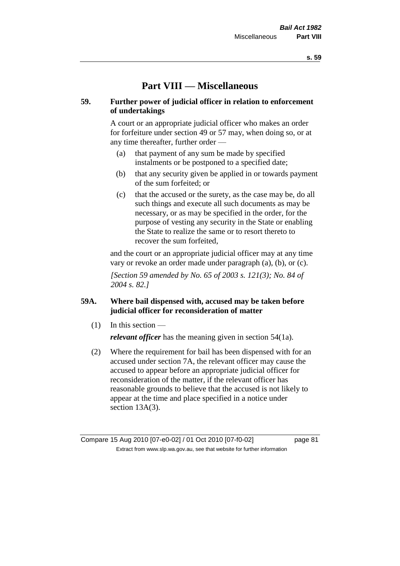# **Part VIII — Miscellaneous**

# **59. Further power of judicial officer in relation to enforcement of undertakings**

A court or an appropriate judicial officer who makes an order for forfeiture under section 49 or 57 may, when doing so, or at any time thereafter, further order —

- (a) that payment of any sum be made by specified instalments or be postponed to a specified date;
- (b) that any security given be applied in or towards payment of the sum forfeited; or
- (c) that the accused or the surety, as the case may be, do all such things and execute all such documents as may be necessary, or as may be specified in the order, for the purpose of vesting any security in the State or enabling the State to realize the same or to resort thereto to recover the sum forfeited,

and the court or an appropriate judicial officer may at any time vary or revoke an order made under paragraph (a), (b), or (c).

*[Section 59 amended by No. 65 of 2003 s. 121(3); No. 84 of 2004 s. 82.]*

# **59A. Where bail dispensed with, accused may be taken before judicial officer for reconsideration of matter**

- $(1)$  In this section *relevant officer* has the meaning given in section 54(1a).
- (2) Where the requirement for bail has been dispensed with for an accused under section 7A, the relevant officer may cause the accused to appear before an appropriate judicial officer for reconsideration of the matter, if the relevant officer has reasonable grounds to believe that the accused is not likely to appear at the time and place specified in a notice under section 13A(3).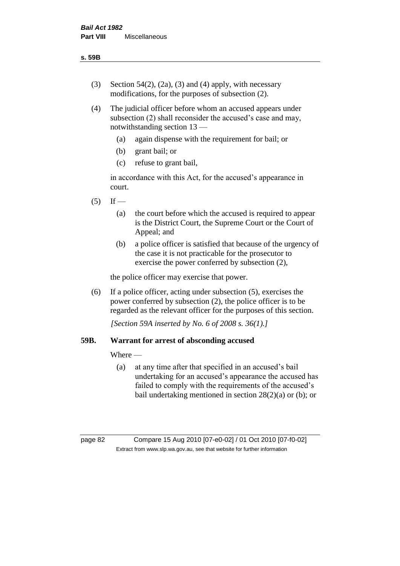- (3) Section 54(2), (2a), (3) and (4) apply, with necessary modifications, for the purposes of subsection (2).
- (4) The judicial officer before whom an accused appears under subsection (2) shall reconsider the accused's case and may, notwithstanding section 13 —
	- (a) again dispense with the requirement for bail; or
	- (b) grant bail; or
	- (c) refuse to grant bail,

in accordance with this Act, for the accused's appearance in court.

- $(5)$  If
	- (a) the court before which the accused is required to appear is the District Court, the Supreme Court or the Court of Appeal; and
	- (b) a police officer is satisfied that because of the urgency of the case it is not practicable for the prosecutor to exercise the power conferred by subsection (2),

the police officer may exercise that power.

(6) If a police officer, acting under subsection (5), exercises the power conferred by subsection (2), the police officer is to be regarded as the relevant officer for the purposes of this section.

*[Section 59A inserted by No. 6 of 2008 s. 36(1).]*

# **59B. Warrant for arrest of absconding accused**

Where —

(a) at any time after that specified in an accused's bail undertaking for an accused's appearance the accused has failed to comply with the requirements of the accused's bail undertaking mentioned in section 28(2)(a) or (b); or

page 82 Compare 15 Aug 2010 [07-e0-02] / 01 Oct 2010 [07-f0-02] Extract from www.slp.wa.gov.au, see that website for further information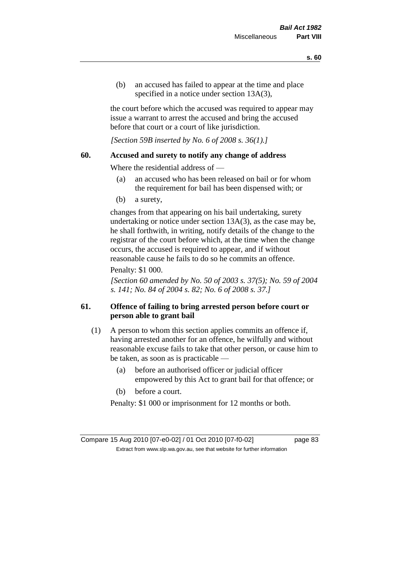(b) an accused has failed to appear at the time and place specified in a notice under section 13A(3).

the court before which the accused was required to appear may issue a warrant to arrest the accused and bring the accused before that court or a court of like jurisdiction.

*[Section 59B inserted by No. 6 of 2008 s. 36(1).]*

### **60. Accused and surety to notify any change of address**

Where the residential address of —

- (a) an accused who has been released on bail or for whom the requirement for bail has been dispensed with; or
- (b) a surety,

changes from that appearing on his bail undertaking, surety undertaking or notice under section 13A(3), as the case may be, he shall forthwith, in writing, notify details of the change to the registrar of the court before which, at the time when the change occurs, the accused is required to appear, and if without reasonable cause he fails to do so he commits an offence.

#### Penalty: \$1 000.

*[Section 60 amended by No. 50 of 2003 s. 37(5); No. 59 of 2004 s. 141; No. 84 of 2004 s. 82; No. 6 of 2008 s. 37.]*

# **61. Offence of failing to bring arrested person before court or person able to grant bail**

- (1) A person to whom this section applies commits an offence if, having arrested another for an offence, he wilfully and without reasonable excuse fails to take that other person, or cause him to be taken, as soon as is practicable —
	- (a) before an authorised officer or judicial officer empowered by this Act to grant bail for that offence; or
	- (b) before a court.

Penalty: \$1 000 or imprisonment for 12 months or both.

Compare 15 Aug 2010 [07-e0-02] / 01 Oct 2010 [07-f0-02] page 83 Extract from www.slp.wa.gov.au, see that website for further information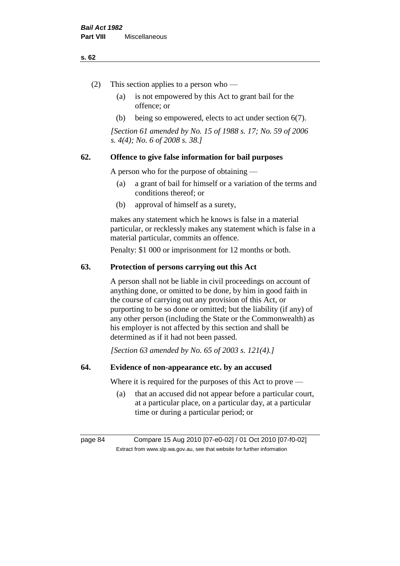#### **s. 62**

- (2) This section applies to a person who
	- (a) is not empowered by this Act to grant bail for the offence; or
	- (b) being so empowered, elects to act under section 6(7).

*[Section 61 amended by No. 15 of 1988 s. 17; No. 59 of 2006 s. 4(4); No. 6 of 2008 s. 38.]* 

# **62. Offence to give false information for bail purposes**

A person who for the purpose of obtaining —

- (a) a grant of bail for himself or a variation of the terms and conditions thereof; or
- (b) approval of himself as a surety,

makes any statement which he knows is false in a material particular, or recklessly makes any statement which is false in a material particular, commits an offence.

Penalty: \$1 000 or imprisonment for 12 months or both.

#### **63. Protection of persons carrying out this Act**

A person shall not be liable in civil proceedings on account of anything done, or omitted to be done, by him in good faith in the course of carrying out any provision of this Act, or purporting to be so done or omitted; but the liability (if any) of any other person (including the State or the Commonwealth) as his employer is not affected by this section and shall be determined as if it had not been passed.

*[Section 63 amended by No. 65 of 2003 s. 121(4).]*

#### **64. Evidence of non-appearance etc. by an accused**

Where it is required for the purposes of this Act to prove —

(a) that an accused did not appear before a particular court, at a particular place, on a particular day, at a particular time or during a particular period; or

page 84 Compare 15 Aug 2010 [07-e0-02] / 01 Oct 2010 [07-f0-02] Extract from www.slp.wa.gov.au, see that website for further information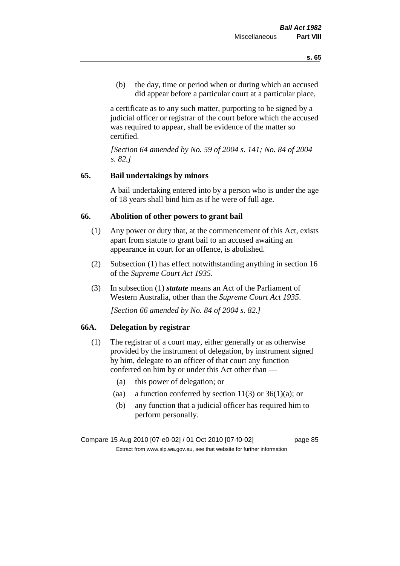(b) the day, time or period when or during which an accused did appear before a particular court at a particular place,

a certificate as to any such matter, purporting to be signed by a judicial officer or registrar of the court before which the accused was required to appear, shall be evidence of the matter so certified.

*[Section 64 amended by No. 59 of 2004 s. 141; No. 84 of 2004 s. 82.]* 

# **65. Bail undertakings by minors**

A bail undertaking entered into by a person who is under the age of 18 years shall bind him as if he were of full age.

#### **66. Abolition of other powers to grant bail**

- (1) Any power or duty that, at the commencement of this Act, exists apart from statute to grant bail to an accused awaiting an appearance in court for an offence, is abolished.
- (2) Subsection (1) has effect notwithstanding anything in section 16 of the *Supreme Court Act 1935*.
- (3) In subsection (1) *statute* means an Act of the Parliament of Western Australia, other than the *Supreme Court Act 1935*.

*[Section 66 amended by No. 84 of 2004 s. 82.]*

### **66A. Delegation by registrar**

- (1) The registrar of a court may, either generally or as otherwise provided by the instrument of delegation, by instrument signed by him, delegate to an officer of that court any function conferred on him by or under this Act other than —
	- (a) this power of delegation; or
	- (aa) a function conferred by section  $11(3)$  or  $36(1)(a)$ ; or
	- (b) any function that a judicial officer has required him to perform personally.

Compare 15 Aug 2010 [07-e0-02] / 01 Oct 2010 [07-f0-02] page 85 Extract from www.slp.wa.gov.au, see that website for further information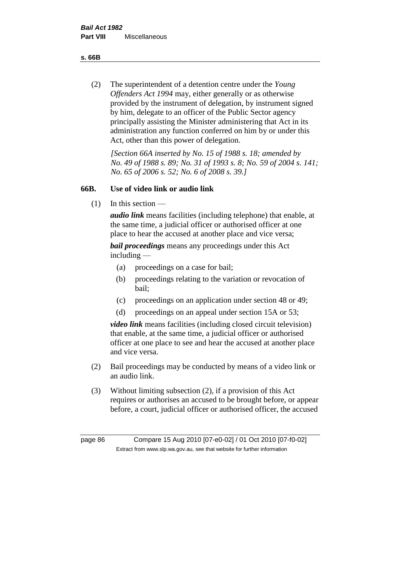**s. 66B**

(2) The superintendent of a detention centre under the *Young Offenders Act 1994* may, either generally or as otherwise provided by the instrument of delegation, by instrument signed by him, delegate to an officer of the Public Sector agency principally assisting the Minister administering that Act in its administration any function conferred on him by or under this Act, other than this power of delegation.

*[Section 66A inserted by No. 15 of 1988 s. 18; amended by No. 49 of 1988 s. 89; No. 31 of 1993 s. 8; No. 59 of 2004 s. 141; No. 65 of 2006 s. 52; No. 6 of 2008 s. 39.]* 

# **66B. Use of video link or audio link**

(1) In this section —

*audio link* means facilities (including telephone) that enable, at the same time, a judicial officer or authorised officer at one place to hear the accused at another place and vice versa;

*bail proceedings* means any proceedings under this Act including —

- (a) proceedings on a case for bail;
- (b) proceedings relating to the variation or revocation of bail;
- (c) proceedings on an application under section 48 or 49;
- (d) proceedings on an appeal under section 15A or 53;

*video link* means facilities (including closed circuit television) that enable, at the same time, a judicial officer or authorised officer at one place to see and hear the accused at another place and vice versa.

- (2) Bail proceedings may be conducted by means of a video link or an audio link.
- (3) Without limiting subsection (2), if a provision of this Act requires or authorises an accused to be brought before, or appear before, a court, judicial officer or authorised officer, the accused

page 86 Compare 15 Aug 2010 [07-e0-02] / 01 Oct 2010 [07-f0-02] Extract from www.slp.wa.gov.au, see that website for further information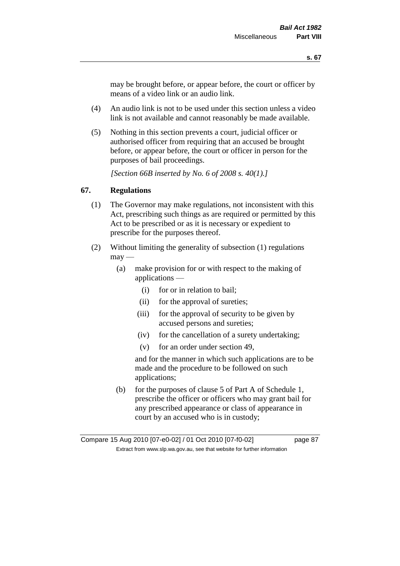may be brought before, or appear before, the court or officer by means of a video link or an audio link.

- (4) An audio link is not to be used under this section unless a video link is not available and cannot reasonably be made available.
- (5) Nothing in this section prevents a court, judicial officer or authorised officer from requiring that an accused be brought before, or appear before, the court or officer in person for the purposes of bail proceedings.

*[Section 66B inserted by No. 6 of 2008 s. 40(1).]*

# **67. Regulations**

- (1) The Governor may make regulations, not inconsistent with this Act, prescribing such things as are required or permitted by this Act to be prescribed or as it is necessary or expedient to prescribe for the purposes thereof.
- (2) Without limiting the generality of subsection (1) regulations  $\text{max}$  —
	- (a) make provision for or with respect to the making of applications —
		- (i) for or in relation to bail;
		- (ii) for the approval of sureties;
		- (iii) for the approval of security to be given by accused persons and sureties;
		- (iv) for the cancellation of a surety undertaking;
		- (v) for an order under section 49,

and for the manner in which such applications are to be made and the procedure to be followed on such applications;

(b) for the purposes of clause 5 of Part A of Schedule 1, prescribe the officer or officers who may grant bail for any prescribed appearance or class of appearance in court by an accused who is in custody;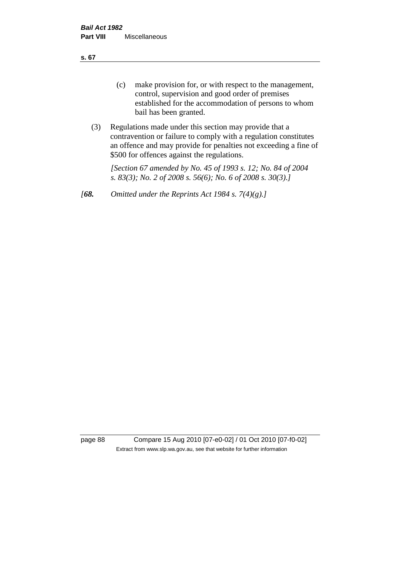**s. 67**

- (c) make provision for, or with respect to the management, control, supervision and good order of premises established for the accommodation of persons to whom bail has been granted.
- (3) Regulations made under this section may provide that a contravention or failure to comply with a regulation constitutes an offence and may provide for penalties not exceeding a fine of \$500 for offences against the regulations.

*[Section 67 amended by No. 45 of 1993 s. 12; No. 84 of 2004 s. 83(3); No. 2 of 2008 s. 56(6); No. 6 of 2008 s. 30(3).]* 

*[68. Omitted under the Reprints Act 1984 s. 7(4)(g).]*

page 88 Compare 15 Aug 2010 [07-e0-02] / 01 Oct 2010 [07-f0-02] Extract from www.slp.wa.gov.au, see that website for further information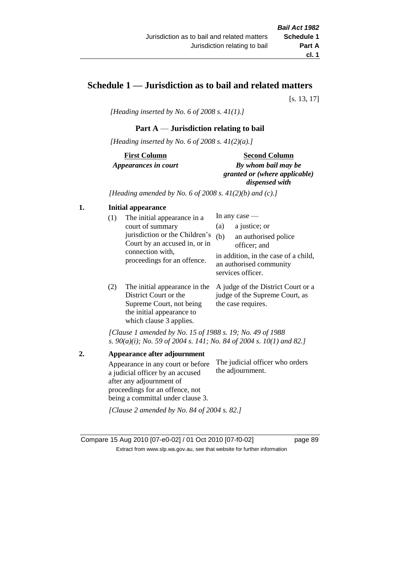# **Schedule 1 — Jurisdiction as to bail and related matters**

[s. 13, 17]

*[Heading inserted by No. 6 of 2008 s. 41(1).]*

#### **Part A** — **Jurisdiction relating to bail**

*[Heading inserted by No. 6 of 2008 s. 41(2)(a).]*

**First Column** *Appearances in court* 

#### **Second Column**

*By whom bail may be granted or (where applicable) dispensed with*

*[Heading amended by No. 6 of 2008 s. 41(2)(b) and (c).]*

### **1. Initial appearance**

| (1) | The initial appearance in a<br>court of summary<br>jurisdiction or the Children's<br>Court by an accused in, or in<br>connection with,<br>proceedings for an offence. | In any case $-$<br>a justice; or<br>(a)<br>(b)<br>an authorised police<br>officer; and<br>in addition, in the case of a child,<br>an authorised community<br>services officer. |
|-----|-----------------------------------------------------------------------------------------------------------------------------------------------------------------------|--------------------------------------------------------------------------------------------------------------------------------------------------------------------------------|
| (2) |                                                                                                                                                                       | The initial ennoymence in the $\Lambda$ indee of the District Court on $\epsilon$                                                                                              |

(2) The initial appearance in the A judge of the District Court or a District Court or the Supreme Court, not being the initial appearance to which clause 3 applies. judge of the Supreme Court, as the case requires.

*[Clause 1 amended by No. 15 of 1988 s. 19; No. 49 of 1988 s. 90(a)(i); No. 59 of 2004 s. 141; No. 84 of 2004 s. 10(1) and 82.]*

**2. Appearance after adjournment** Appearance in any court or before a judicial officer by an accused after any adjournment of proceedings for an offence, not being a committal under clause 3. The judicial officer who orders the adjournment. *[Clause 2 amended by No. 84 of 2004 s. 82.]*

Compare 15 Aug 2010 [07-e0-02] / 01 Oct 2010 [07-f0-02] page 89 Extract from www.slp.wa.gov.au, see that website for further information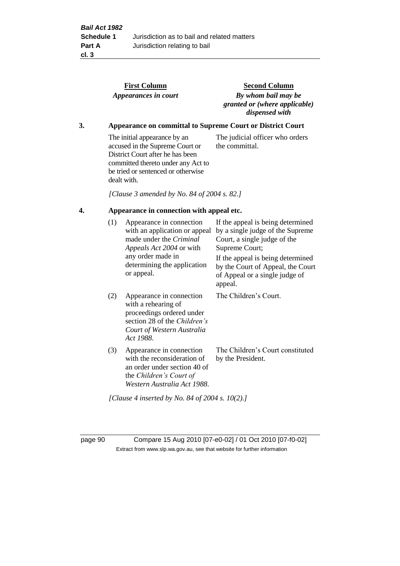|    |                                                                   | <b>First Column</b><br>Appearances in court                                                                                                                                                    | <b>Second Column</b><br>By whom bail may be<br>granted or (where applicable)<br>dispensed with                                                                                                                                                 |  |  |  |
|----|-------------------------------------------------------------------|------------------------------------------------------------------------------------------------------------------------------------------------------------------------------------------------|------------------------------------------------------------------------------------------------------------------------------------------------------------------------------------------------------------------------------------------------|--|--|--|
| 3. | <b>Appearance on committal to Supreme Court or District Court</b> |                                                                                                                                                                                                |                                                                                                                                                                                                                                                |  |  |  |
|    |                                                                   | The initial appearance by an<br>accused in the Supreme Court or<br>District Court after he has been<br>committed thereto under any Act to<br>be tried or sentenced or otherwise<br>dealt with. | The judicial officer who orders<br>the committal.                                                                                                                                                                                              |  |  |  |
|    |                                                                   | [Clause 3 amended by No. 84 of 2004 s. 82.]                                                                                                                                                    |                                                                                                                                                                                                                                                |  |  |  |
| 4. | Appearance in connection with appeal etc.                         |                                                                                                                                                                                                |                                                                                                                                                                                                                                                |  |  |  |
|    | (1)                                                               | Appearance in connection<br>with an application or appeal<br>made under the Criminal<br>Appeals Act 2004 or with<br>any order made in<br>determining the application<br>or appeal.             | If the appeal is being determined<br>by a single judge of the Supreme<br>Court, a single judge of the<br>Supreme Court;<br>If the appeal is being determined<br>by the Court of Appeal, the Court<br>of Appeal or a single judge of<br>appeal. |  |  |  |
|    | (2)                                                               | Appearance in connection<br>with a rehearing of<br>proceedings ordered under<br>section 28 of the Children's<br>Court of Western Australia<br>Act 1988.                                        | The Children's Court.                                                                                                                                                                                                                          |  |  |  |
|    | (3)                                                               | Appearance in connection<br>with the reconsideration of<br>an order under section 40 of<br>the Children's Court of<br>Western Australia Act 1988.                                              | The Children's Court constituted<br>by the President.                                                                                                                                                                                          |  |  |  |

*[Clause 4 inserted by No. 84 of 2004 s. 10(2).]*

page 90 Compare 15 Aug 2010 [07-e0-02] / 01 Oct 2010 [07-f0-02] Extract from www.slp.wa.gov.au, see that website for further information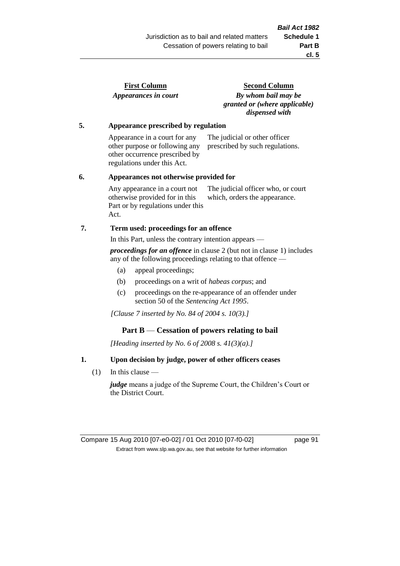| <b>First Column</b>  |  |
|----------------------|--|
| Appearances in court |  |

**Second Column** *By whom bail may be granted or (where applicable) dispensed with*

#### **5. Appearance prescribed by regulation**

Appearance in a court for any other purpose or following any other occurrence prescribed by regulations under this Act. The judicial or other officer prescribed by such regulations.

#### **6. Appearances not otherwise provided for**

Any appearance in a court not otherwise provided for in this Part or by regulations under this Act. The judicial officer who, or court which, orders the appearance.

#### **7. Term used: proceedings for an offence**

In this Part, unless the contrary intention appears —

*proceedings for an offence* in clause 2 (but not in clause 1) includes any of the following proceedings relating to that offence —

- (a) appeal proceedings;
- (b) proceedings on a writ of *habeas corpus*; and
- (c) proceedings on the re-appearance of an offender under section 50 of the *Sentencing Act 1995*.

*[Clause 7 inserted by No. 84 of 2004 s. 10(3).]*

#### **Part B** — **Cessation of powers relating to bail**

*[Heading inserted by No. 6 of 2008 s. 41(3)(a).]*

#### **1. Upon decision by judge, power of other officers ceases**

(1) In this clause —

*judge* means a judge of the Supreme Court, the Children's Court or the District Court.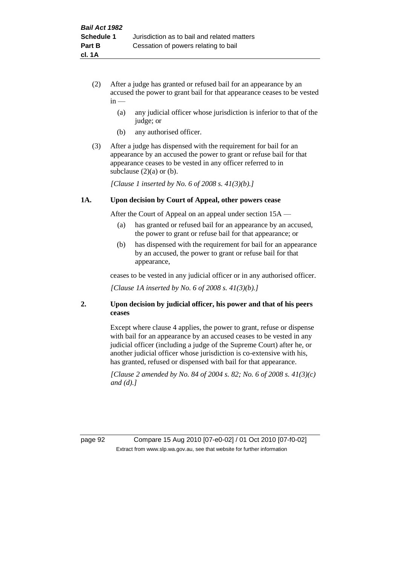- (2) After a judge has granted or refused bail for an appearance by an accused the power to grant bail for that appearance ceases to be vested  $in -$ 
	- (a) any judicial officer whose jurisdiction is inferior to that of the judge; or
	- (b) any authorised officer.
- (3) After a judge has dispensed with the requirement for bail for an appearance by an accused the power to grant or refuse bail for that appearance ceases to be vested in any officer referred to in subclause  $(2)(a)$  or  $(b)$ .

*[Clause 1 inserted by No. 6 of 2008 s. 41(3)(b).]*

#### **1A. Upon decision by Court of Appeal, other powers cease**

After the Court of Appeal on an appeal under section 15A —

- (a) has granted or refused bail for an appearance by an accused, the power to grant or refuse bail for that appearance; or
- (b) has dispensed with the requirement for bail for an appearance by an accused, the power to grant or refuse bail for that appearance,

ceases to be vested in any judicial officer or in any authorised officer.

*[Clause 1A inserted by No. 6 of 2008 s. 41(3)(b).]*

#### **2. Upon decision by judicial officer, his power and that of his peers ceases**

Except where clause 4 applies, the power to grant, refuse or dispense with bail for an appearance by an accused ceases to be vested in any judicial officer (including a judge of the Supreme Court) after he, or another judicial officer whose jurisdiction is co-extensive with his, has granted, refused or dispensed with bail for that appearance.

*[Clause 2 amended by No. 84 of 2004 s. 82; No. 6 of 2008 s. 41(3)(c) and (d).]*

page 92 Compare 15 Aug 2010 [07-e0-02] / 01 Oct 2010 [07-f0-02] Extract from www.slp.wa.gov.au, see that website for further information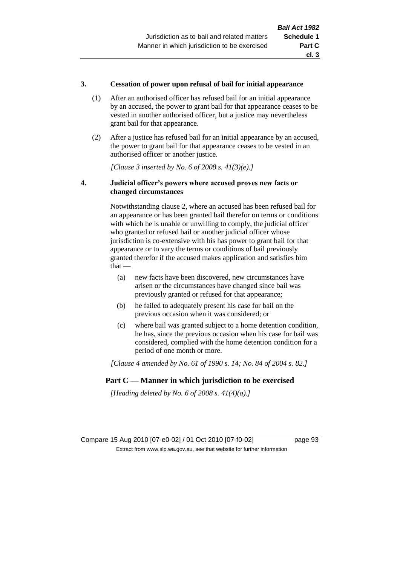#### **3. Cessation of power upon refusal of bail for initial appearance**

- (1) After an authorised officer has refused bail for an initial appearance by an accused, the power to grant bail for that appearance ceases to be vested in another authorised officer, but a justice may nevertheless grant bail for that appearance.
- (2) After a justice has refused bail for an initial appearance by an accused, the power to grant bail for that appearance ceases to be vested in an authorised officer or another justice.

*[Clause 3 inserted by No. 6 of 2008 s. 41(3)(e).]*

#### **4. Judicial officer's powers where accused proves new facts or changed circumstances**

Notwithstanding clause 2, where an accused has been refused bail for an appearance or has been granted bail therefor on terms or conditions with which he is unable or unwilling to comply, the judicial officer who granted or refused bail or another judicial officer whose jurisdiction is co-extensive with his has power to grant bail for that appearance or to vary the terms or conditions of bail previously granted therefor if the accused makes application and satisfies him  $that -$ 

- (a) new facts have been discovered, new circumstances have arisen or the circumstances have changed since bail was previously granted or refused for that appearance;
- (b) he failed to adequately present his case for bail on the previous occasion when it was considered; or
- (c) where bail was granted subject to a home detention condition, he has, since the previous occasion when his case for bail was considered, complied with the home detention condition for a period of one month or more.

*[Clause 4 amended by No. 61 of 1990 s. 14; No. 84 of 2004 s. 82.]*

# **Part C — Manner in which jurisdiction to be exercised**

*[Heading deleted by No. 6 of 2008 s. 41(4)(a).]*

Compare 15 Aug 2010 [07-e0-02] / 01 Oct 2010 [07-f0-02] page 93 Extract from www.slp.wa.gov.au, see that website for further information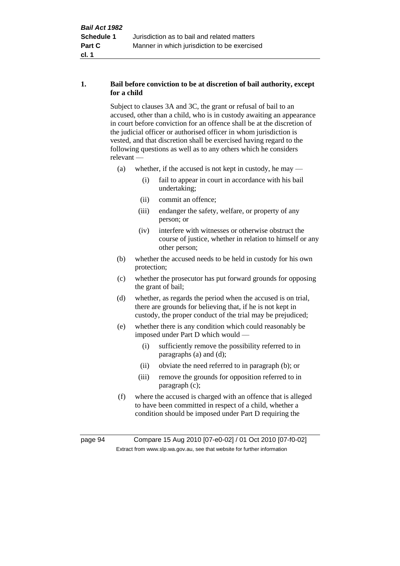#### **1. Bail before conviction to be at discretion of bail authority, except for a child**

Subject to clauses 3A and 3C, the grant or refusal of bail to an accused, other than a child, who is in custody awaiting an appearance in court before conviction for an offence shall be at the discretion of the judicial officer or authorised officer in whom jurisdiction is vested, and that discretion shall be exercised having regard to the following questions as well as to any others which he considers relevant —

- (a) whether, if the accused is not kept in custody, he may
	- (i) fail to appear in court in accordance with his bail undertaking;
	- (ii) commit an offence;
	- (iii) endanger the safety, welfare, or property of any person; or
	- (iv) interfere with witnesses or otherwise obstruct the course of justice, whether in relation to himself or any other person;
- (b) whether the accused needs to be held in custody for his own protection;
- (c) whether the prosecutor has put forward grounds for opposing the grant of bail;
- (d) whether, as regards the period when the accused is on trial, there are grounds for believing that, if he is not kept in custody, the proper conduct of the trial may be prejudiced;
- (e) whether there is any condition which could reasonably be imposed under Part D which would —
	- (i) sufficiently remove the possibility referred to in paragraphs (a) and (d);
	- (ii) obviate the need referred to in paragraph (b); or
	- (iii) remove the grounds for opposition referred to in paragraph (c);
- (f) where the accused is charged with an offence that is alleged to have been committed in respect of a child, whether a condition should be imposed under Part D requiring the

page 94 Compare 15 Aug 2010 [07-e0-02] / 01 Oct 2010 [07-f0-02] Extract from www.slp.wa.gov.au, see that website for further information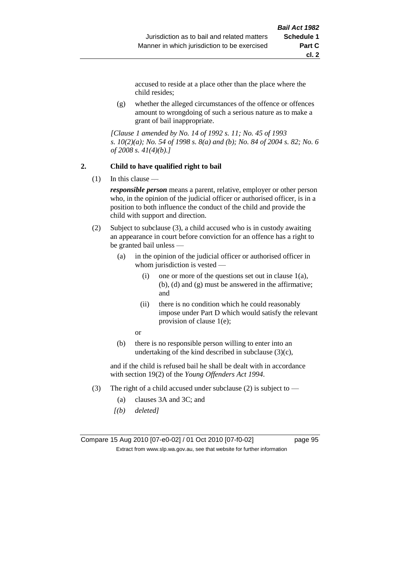accused to reside at a place other than the place where the child resides;

(g) whether the alleged circumstances of the offence or offences amount to wrongdoing of such a serious nature as to make a grant of bail inappropriate.

*[Clause 1 amended by No. 14 of 1992 s. 11; No. 45 of 1993 s. 10(2)(a); No. 54 of 1998 s. 8(a) and (b); No. 84 of 2004 s. 82; No. 6 of 2008 s. 41(4)(b).]*

#### **2. Child to have qualified right to bail**

 $(1)$  In this clause —

*responsible person* means a parent, relative, employer or other person who, in the opinion of the judicial officer or authorised officer, is in a position to both influence the conduct of the child and provide the child with support and direction.

- (2) Subject to subclause (3), a child accused who is in custody awaiting an appearance in court before conviction for an offence has a right to be granted bail unless —
	- (a) in the opinion of the judicial officer or authorised officer in whom jurisdiction is vested —
		- (i) one or more of the questions set out in clause  $1(a)$ , (b), (d) and (g) must be answered in the affirmative; and
		- (ii) there is no condition which he could reasonably impose under Part D which would satisfy the relevant provision of clause 1(e);
		- or
	- (b) there is no responsible person willing to enter into an undertaking of the kind described in subclause  $(3)(c)$ ,

and if the child is refused bail he shall be dealt with in accordance with section 19(2) of the *Young Offenders Act 1994*.

- (3) The right of a child accused under subclause (2) is subject to
	- (a) clauses 3A and 3C; and
	- *[(b) deleted]*

Compare 15 Aug 2010 [07-e0-02] / 01 Oct 2010 [07-f0-02] page 95 Extract from www.slp.wa.gov.au, see that website for further information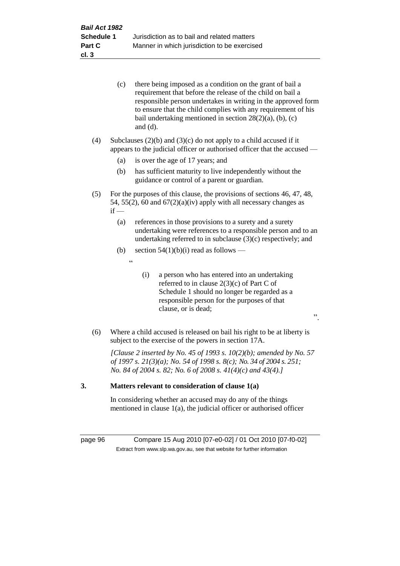|     | (c)    | there being imposed as a condition on the grant of bail a<br>requirement that before the release of the child on bail a<br>responsible person undertakes in writing in the approved form<br>to ensure that the child complies with any requirement of his<br>bail undertaking mentioned in section $28(2)(a)$ , (b), (c)<br>and $(d)$ . |
|-----|--------|-----------------------------------------------------------------------------------------------------------------------------------------------------------------------------------------------------------------------------------------------------------------------------------------------------------------------------------------|
| (4) |        | Subclauses $(2)(b)$ and $(3)(c)$ do not apply to a child accused if it<br>appears to the judicial officer or authorised officer that the accused —                                                                                                                                                                                      |
|     | (a)    | is over the age of 17 years; and                                                                                                                                                                                                                                                                                                        |
|     | (b)    | has sufficient maturity to live independently without the<br>guidance or control of a parent or guardian.                                                                                                                                                                                                                               |
| (5) | $if -$ | For the purposes of this clause, the provisions of sections 46, 47, 48,<br>54, 55(2), 60 and $67(2)(a)(iv)$ apply with all necessary changes as                                                                                                                                                                                         |
|     | (a)    | references in those provisions to a surety and a surety<br>undertaking were references to a responsible person and to an<br>undertaking referred to in subclause $(3)(c)$ respectively; and                                                                                                                                             |
|     | (b)    | section $54(1)(b)(i)$ read as follows —                                                                                                                                                                                                                                                                                                 |
|     |        | $\boldsymbol{\zeta}$ $\boldsymbol{\zeta}$                                                                                                                                                                                                                                                                                               |
|     |        | (i)<br>a person who has entered into an undertaking<br>referred to in clause $2(3)(c)$ of Part C of<br>Schedule 1 should no longer be regarded as a<br>responsible person for the purposes of that<br>clause, or is dead;<br>$\ddot{\phantom{0}}$                                                                                       |
| (6) |        | Where a child accused is released on bail his right to be at liberty is<br>subject to the exercise of the powers in section 17A.                                                                                                                                                                                                        |
|     |        | [Clause 2 inserted by No. 45 of 1993 s. $10(2)(b)$ ; amended by No. 57<br>of 1997 s. 21(3)(a); No. 54 of 1998 s. 8(c); No. 34 of 2004 s. 251;<br>No. 84 of 2004 s. 82; No. 6 of 2008 s. $41(4)(c)$ and $43(4)$ .]                                                                                                                       |
| 3.  |        | Matters relevant to consideration of clause 1(a)                                                                                                                                                                                                                                                                                        |

In considering whether an accused may do any of the things mentioned in clause 1(a), the judicial officer or authorised officer

page 96 Compare 15 Aug 2010 [07-e0-02] / 01 Oct 2010 [07-f0-02] Extract from www.slp.wa.gov.au, see that website for further information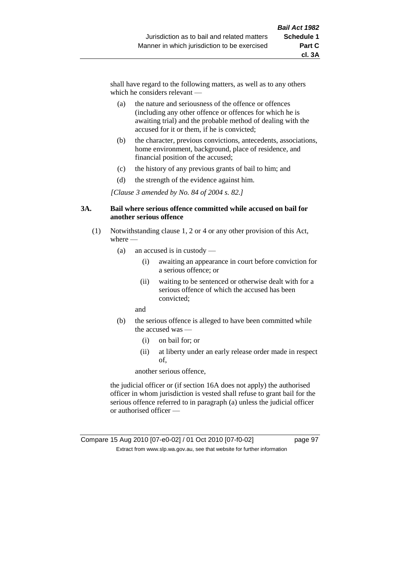shall have regard to the following matters, as well as to any others which he considers relevant —

- (a) the nature and seriousness of the offence or offences (including any other offence or offences for which he is awaiting trial) and the probable method of dealing with the accused for it or them, if he is convicted;
- (b) the character, previous convictions, antecedents, associations, home environment, background, place of residence, and financial position of the accused;
- (c) the history of any previous grants of bail to him; and
- (d) the strength of the evidence against him.

*[Clause 3 amended by No. 84 of 2004 s. 82.]*

#### **3A. Bail where serious offence committed while accused on bail for another serious offence**

- (1) Notwithstanding clause 1, 2 or 4 or any other provision of this Act, where —
	- (a) an accused is in custody
		- (i) awaiting an appearance in court before conviction for a serious offence; or
		- (ii) waiting to be sentenced or otherwise dealt with for a serious offence of which the accused has been convicted;

and

- (b) the serious offence is alleged to have been committed while the accused was —
	- (i) on bail for; or
	- (ii) at liberty under an early release order made in respect of,

another serious offence,

the judicial officer or (if section 16A does not apply) the authorised officer in whom jurisdiction is vested shall refuse to grant bail for the serious offence referred to in paragraph (a) unless the judicial officer or authorised officer —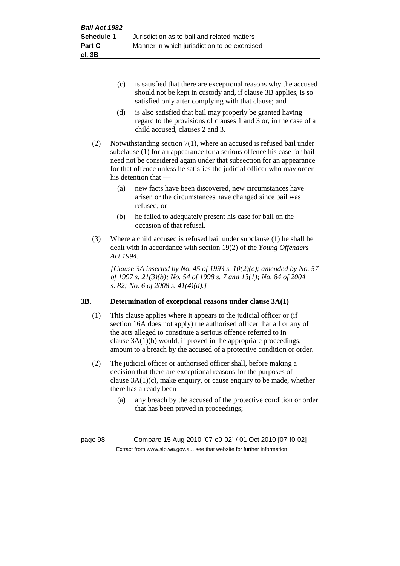- (c) is satisfied that there are exceptional reasons why the accused should not be kept in custody and, if clause 3B applies, is so satisfied only after complying with that clause; and
- (d) is also satisfied that bail may properly be granted having regard to the provisions of clauses 1 and 3 or, in the case of a child accused, clauses 2 and 3.
- (2) Notwithstanding section 7(1), where an accused is refused bail under subclause (1) for an appearance for a serious offence his case for bail need not be considered again under that subsection for an appearance for that offence unless he satisfies the judicial officer who may order his detention that —
	- (a) new facts have been discovered, new circumstances have arisen or the circumstances have changed since bail was refused; or
	- (b) he failed to adequately present his case for bail on the occasion of that refusal.
- (3) Where a child accused is refused bail under subclause (1) he shall be dealt with in accordance with section 19(2) of the *Young Offenders Act 1994*.

*[Clause 3A inserted by No. 45 of 1993 s. 10(2)(c); amended by No. 57 of 1997 s. 21(3)(b); No. 54 of 1998 s. 7 and 13(1); No. 84 of 2004 s. 82; No. 6 of 2008 s. 41(4)(d).]*

# **3B. Determination of exceptional reasons under clause 3A(1)**

- (1) This clause applies where it appears to the judicial officer or (if section 16A does not apply) the authorised officer that all or any of the acts alleged to constitute a serious offence referred to in clause 3A(1)(b) would, if proved in the appropriate proceedings, amount to a breach by the accused of a protective condition or order.
- (2) The judicial officer or authorised officer shall, before making a decision that there are exceptional reasons for the purposes of clause  $3A(1)(c)$ , make enquiry, or cause enquiry to be made, whether there has already been —
	- (a) any breach by the accused of the protective condition or order that has been proved in proceedings;

page 98 Compare 15 Aug 2010 [07-e0-02] / 01 Oct 2010 [07-f0-02] Extract from www.slp.wa.gov.au, see that website for further information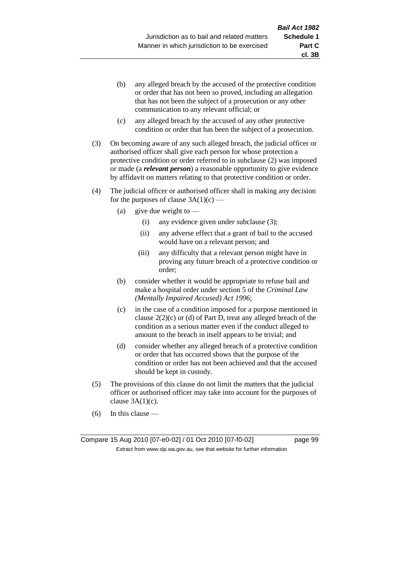- (b) any alleged breach by the accused of the protective condition or order that has not been so proved, including an allegation that has not been the subject of a prosecution or any other communication to any relevant official; or
- (c) any alleged breach by the accused of any other protective condition or order that has been the subject of a prosecution.
- (3) On becoming aware of any such alleged breach, the judicial officer or authorised officer shall give each person for whose protection a protective condition or order referred to in subclause (2) was imposed or made (a *relevant person*) a reasonable opportunity to give evidence by affidavit on matters relating to that protective condition or order.
- (4) The judicial officer or authorised officer shall in making any decision for the purposes of clause  $3A(1)(c)$  —
	- (a) give due weight to  $-$ 
		- (i) any evidence given under subclause (3);
		- (ii) any adverse effect that a grant of bail to the accused would have on a relevant person; and
		- (iii) any difficulty that a relevant person might have in proving any future breach of a protective condition or order;
	- (b) consider whether it would be appropriate to refuse bail and make a hospital order under section 5 of the *Criminal Law (Mentally Impaired Accused) Act 1996*;
	- (c) in the case of a condition imposed for a purpose mentioned in clause  $2(2)(c)$  or (d) of Part D, treat any alleged breach of the condition as a serious matter even if the conduct alleged to amount to the breach in itself appears to be trivial; and
	- (d) consider whether any alleged breach of a protective condition or order that has occurred shows that the purpose of the condition or order has not been achieved and that the accused should be kept in custody.
- (5) The provisions of this clause do not limit the matters that the judicial officer or authorised officer may take into account for the purposes of clause  $3A(1)(c)$ .
- (6) In this clause —

Compare 15 Aug 2010 [07-e0-02] / 01 Oct 2010 [07-f0-02] page 99 Extract from www.slp.wa.gov.au, see that website for further information

**cl. 3B**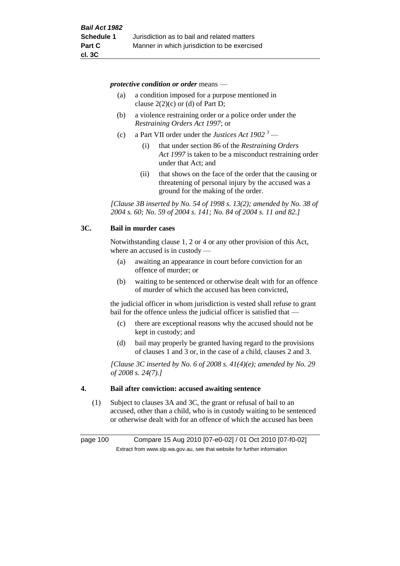*protective condition or order* means —

- (a) a condition imposed for a purpose mentioned in clause  $2(2)(c)$  or (d) of Part D;
- (b) a violence restraining order or a police order under the *Restraining Orders Act 1997*; or
- (c) a Part VII order under the *Justices Act 1902* <sup>3</sup>
	- (i) that under section 86 of the *Restraining Orders Act 1997* is taken to be a misconduct restraining order under that Act; and
	- (ii) that shows on the face of the order that the causing or threatening of personal injury by the accused was a ground for the making of the order.

*[Clause 3B inserted by No. 54 of 1998 s. 13(2); amended by No. 38 of 2004 s. 60; No. 59 of 2004 s. 141; No. 84 of 2004 s. 11 and 82.]*

#### **3C. Bail in murder cases**

Notwithstanding clause 1, 2 or 4 or any other provision of this Act, where an accused is in custody —

- (a) awaiting an appearance in court before conviction for an offence of murder; or
- (b) waiting to be sentenced or otherwise dealt with for an offence of murder of which the accused has been convicted,

the judicial officer in whom jurisdiction is vested shall refuse to grant bail for the offence unless the judicial officer is satisfied that —

- (c) there are exceptional reasons why the accused should not be kept in custody; and
- (d) bail may properly be granted having regard to the provisions of clauses 1 and 3 or, in the case of a child, clauses 2 and 3.

*[Clause 3C inserted by No. 6 of 2008 s. 41(4)(e); amended by No. 29 of 2008 s. 24(7).]*

#### **4. Bail after conviction: accused awaiting sentence**

(1) Subject to clauses 3A and 3C, the grant or refusal of bail to an accused, other than a child, who is in custody waiting to be sentenced or otherwise dealt with for an offence of which the accused has been

page 100 Compare 15 Aug 2010 [07-e0-02] / 01 Oct 2010 [07-f0-02] Extract from www.slp.wa.gov.au, see that website for further information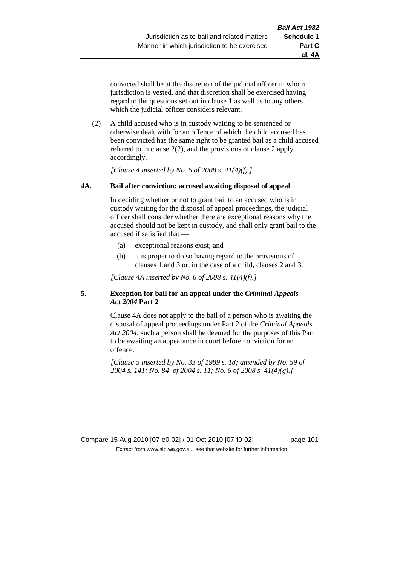**cl. 4A**

convicted shall be at the discretion of the judicial officer in whom jurisdiction is vested, and that discretion shall be exercised having regard to the questions set out in clause 1 as well as to any others which the judicial officer considers relevant.

(2) A child accused who is in custody waiting to be sentenced or otherwise dealt with for an offence of which the child accused has been convicted has the same right to be granted bail as a child accused referred to in clause 2(2), and the provisions of clause 2 apply accordingly.

*[Clause 4 inserted by No. 6 of 2008 s. 41(4)(f).]*

### **4A. Bail after conviction: accused awaiting disposal of appeal**

In deciding whether or not to grant bail to an accused who is in custody waiting for the disposal of appeal proceedings, the judicial officer shall consider whether there are exceptional reasons why the accused should not be kept in custody, and shall only grant bail to the accused if satisfied that —

- (a) exceptional reasons exist; and
- (b) it is proper to do so having regard to the provisions of clauses 1 and 3 or, in the case of a child, clauses 2 and 3.

*[Clause 4A inserted by No. 6 of 2008 s. 41(4)(f).]*

### **5. Exception for bail for an appeal under the** *Criminal Appeals Act 2004* **Part 2**

Clause 4A does not apply to the bail of a person who is awaiting the disposal of appeal proceedings under Part 2 of the *Criminal Appeals Act 2004*; such a person shall be deemed for the purposes of this Part to be awaiting an appearance in court before conviction for an offence.

*[Clause 5 inserted by No. 33 of 1989 s. 18; amended by No. 59 of 2004 s. 141; No. 84 of 2004 s. 11; No. 6 of 2008 s. 41(4)(g).]*

Compare 15 Aug 2010 [07-e0-02] / 01 Oct 2010 [07-f0-02] page 101 Extract from www.slp.wa.gov.au, see that website for further information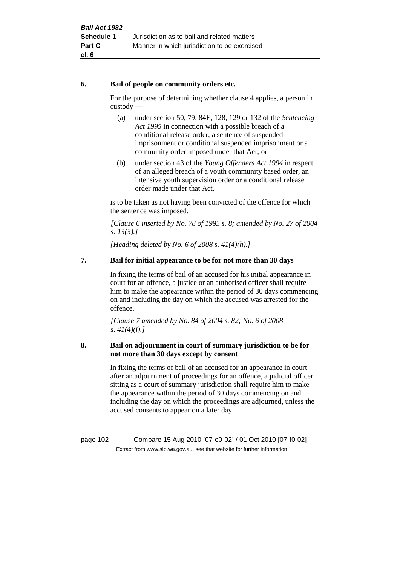#### **6. Bail of people on community orders etc.**

For the purpose of determining whether clause 4 applies, a person in custody —

- (a) under section 50, 79, 84E, 128, 129 or 132 of the *Sentencing Act 1995* in connection with a possible breach of a conditional release order, a sentence of suspended imprisonment or conditional suspended imprisonment or a community order imposed under that Act; or
- (b) under section 43 of the *Young Offenders Act 1994* in respect of an alleged breach of a youth community based order, an intensive youth supervision order or a conditional release order made under that Act,

is to be taken as not having been convicted of the offence for which the sentence was imposed.

*[Clause 6 inserted by No. 78 of 1995 s. 8; amended by No. 27 of 2004 s. 13(3).]*

*[Heading deleted by No. 6 of 2008 s. 41(4)(h).]*

# **7. Bail for initial appearance to be for not more than 30 days**

In fixing the terms of bail of an accused for his initial appearance in court for an offence, a justice or an authorised officer shall require him to make the appearance within the period of 30 days commencing on and including the day on which the accused was arrested for the offence.

*[Clause 7 amended by No. 84 of 2004 s. 82; No. 6 of 2008 s. 41(4)(i).]*

### **8. Bail on adjournment in court of summary jurisdiction to be for not more than 30 days except by consent**

In fixing the terms of bail of an accused for an appearance in court after an adjournment of proceedings for an offence, a judicial officer sitting as a court of summary jurisdiction shall require him to make the appearance within the period of 30 days commencing on and including the day on which the proceedings are adjourned, unless the accused consents to appear on a later day.

page 102 Compare 15 Aug 2010 [07-e0-02] / 01 Oct 2010 [07-f0-02] Extract from www.slp.wa.gov.au, see that website for further information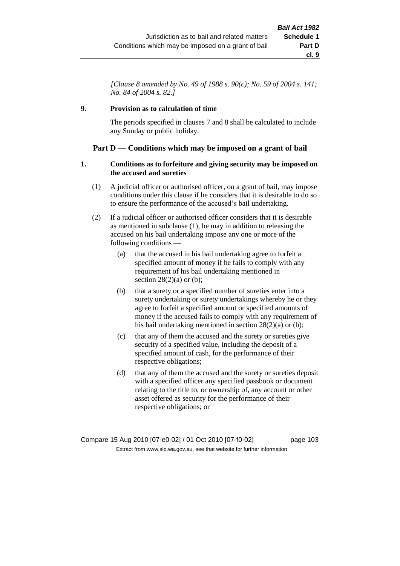*[Clause 8 amended by No. 49 of 1988 s. 90(c); No. 59 of 2004 s. 141; No. 84 of 2004 s. 82.]*

## **9. Provision as to calculation of time**

The periods specified in clauses 7 and 8 shall be calculated to include any Sunday or public holiday.

# **Part D — Conditions which may be imposed on a grant of bail**

### **1. Conditions as to forfeiture and giving security may be imposed on the accused and sureties**

- (1) A judicial officer or authorised officer, on a grant of bail, may impose conditions under this clause if he considers that it is desirable to do so to ensure the performance of the accused's bail undertaking.
- (2) If a judicial officer or authorised officer considers that it is desirable as mentioned in subclause (1), he may in addition to releasing the accused on his bail undertaking impose any one or more of the following conditions —
	- (a) that the accused in his bail undertaking agree to forfeit a specified amount of money if he fails to comply with any requirement of his bail undertaking mentioned in section  $28(2)(a)$  or (b);
	- (b) that a surety or a specified number of sureties enter into a surety undertaking or surety undertakings whereby he or they agree to forfeit a specified amount or specified amounts of money if the accused fails to comply with any requirement of his bail undertaking mentioned in section 28(2)(a) or (b);
	- (c) that any of them the accused and the surety or sureties give security of a specified value, including the deposit of a specified amount of cash, for the performance of their respective obligations;
	- (d) that any of them the accused and the surety or sureties deposit with a specified officer any specified passbook or document relating to the title to, or ownership of, any account or other asset offered as security for the performance of their respective obligations; or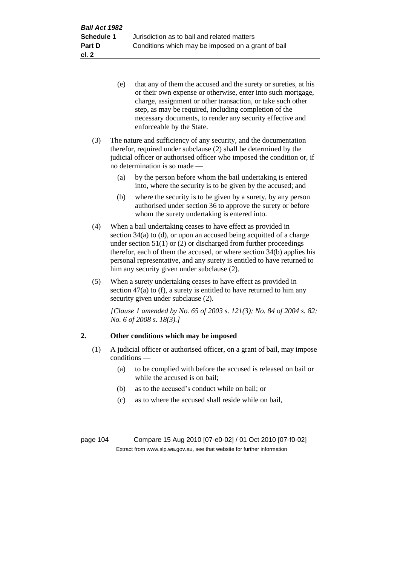- (e) that any of them the accused and the surety or sureties, at his or their own expense or otherwise, enter into such mortgage, charge, assignment or other transaction, or take such other step, as may be required, including completion of the necessary documents, to render any security effective and enforceable by the State.
- (3) The nature and sufficiency of any security, and the documentation therefor, required under subclause (2) shall be determined by the judicial officer or authorised officer who imposed the condition or, if no determination is so made —
	- (a) by the person before whom the bail undertaking is entered into, where the security is to be given by the accused; and
	- (b) where the security is to be given by a surety, by any person authorised under section 36 to approve the surety or before whom the surety undertaking is entered into.
- (4) When a bail undertaking ceases to have effect as provided in section 34(a) to (d), or upon an accused being acquitted of a charge under section  $51(1)$  or (2) or discharged from further proceedings therefor, each of them the accused, or where section 34(b) applies his personal representative, and any surety is entitled to have returned to him any security given under subclause (2).
- (5) When a surety undertaking ceases to have effect as provided in section  $47(a)$  to (f), a surety is entitled to have returned to him any security given under subclause (2).

*[Clause 1 amended by No. 65 of 2003 s. 121(3); No. 84 of 2004 s. 82; No. 6 of 2008 s. 18(3).]*

# **2. Other conditions which may be imposed**

- (1) A judicial officer or authorised officer, on a grant of bail, may impose conditions —
	- (a) to be complied with before the accused is released on bail or while the accused is on bail;
	- (b) as to the accused's conduct while on bail; or
	- (c) as to where the accused shall reside while on bail,

page 104 Compare 15 Aug 2010 [07-e0-02] / 01 Oct 2010 [07-f0-02] Extract from www.slp.wa.gov.au, see that website for further information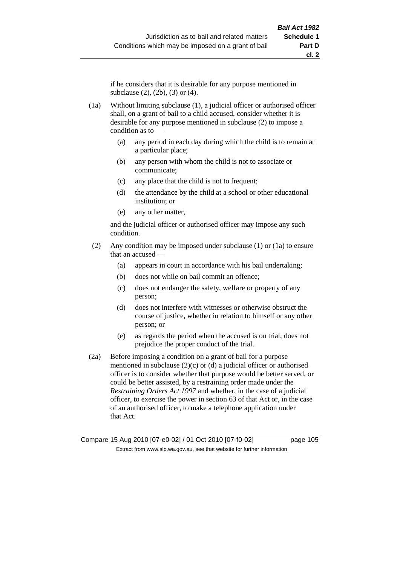if he considers that it is desirable for any purpose mentioned in subclause (2), (2b), (3) or (4).

- (1a) Without limiting subclause (1), a judicial officer or authorised officer shall, on a grant of bail to a child accused, consider whether it is desirable for any purpose mentioned in subclause (2) to impose a condition as to —
	- (a) any period in each day during which the child is to remain at a particular place;
	- (b) any person with whom the child is not to associate or communicate;
	- (c) any place that the child is not to frequent;
	- (d) the attendance by the child at a school or other educational institution; or
	- (e) any other matter,

and the judicial officer or authorised officer may impose any such condition.

- (2) Any condition may be imposed under subclause (1) or (1a) to ensure that an accused —
	- (a) appears in court in accordance with his bail undertaking;
	- (b) does not while on bail commit an offence;
	- (c) does not endanger the safety, welfare or property of any person;
	- (d) does not interfere with witnesses or otherwise obstruct the course of justice, whether in relation to himself or any other person; or
	- (e) as regards the period when the accused is on trial, does not prejudice the proper conduct of the trial.
- (2a) Before imposing a condition on a grant of bail for a purpose mentioned in subclause  $(2)(c)$  or  $(d)$  a judicial officer or authorised officer is to consider whether that purpose would be better served, or could be better assisted, by a restraining order made under the *Restraining Orders Act 1997* and whether, in the case of a judicial officer, to exercise the power in section 63 of that Act or, in the case of an authorised officer, to make a telephone application under that Act.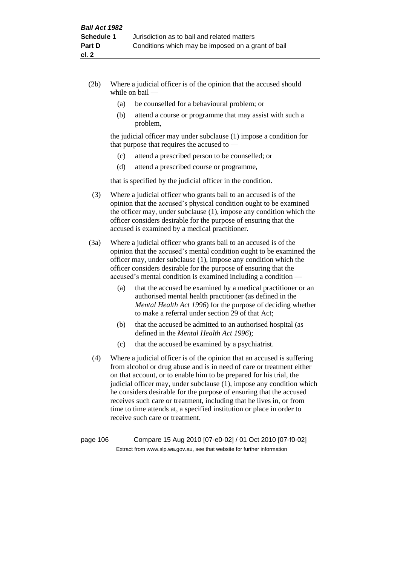- (2b) Where a judicial officer is of the opinion that the accused should while on bail —
	- (a) be counselled for a behavioural problem; or
	- (b) attend a course or programme that may assist with such a problem,

the judicial officer may under subclause (1) impose a condition for that purpose that requires the accused to —

- (c) attend a prescribed person to be counselled; or
- (d) attend a prescribed course or programme,

that is specified by the judicial officer in the condition.

- (3) Where a judicial officer who grants bail to an accused is of the opinion that the accused's physical condition ought to be examined the officer may, under subclause (1), impose any condition which the officer considers desirable for the purpose of ensuring that the accused is examined by a medical practitioner.
- (3a) Where a judicial officer who grants bail to an accused is of the opinion that the accused's mental condition ought to be examined the officer may, under subclause (1), impose any condition which the officer considers desirable for the purpose of ensuring that the accused's mental condition is examined including a condition —
	- (a) that the accused be examined by a medical practitioner or an authorised mental health practitioner (as defined in the *Mental Health Act 1996*) for the purpose of deciding whether to make a referral under section 29 of that Act;
	- (b) that the accused be admitted to an authorised hospital (as defined in the *Mental Health Act 1996*);
	- (c) that the accused be examined by a psychiatrist.
- (4) Where a judicial officer is of the opinion that an accused is suffering from alcohol or drug abuse and is in need of care or treatment either on that account, or to enable him to be prepared for his trial, the judicial officer may, under subclause (1), impose any condition which he considers desirable for the purpose of ensuring that the accused receives such care or treatment, including that he lives in, or from time to time attends at, a specified institution or place in order to receive such care or treatment.

page 106 Compare 15 Aug 2010 [07-e0-02] / 01 Oct 2010 [07-f0-02] Extract from www.slp.wa.gov.au, see that website for further information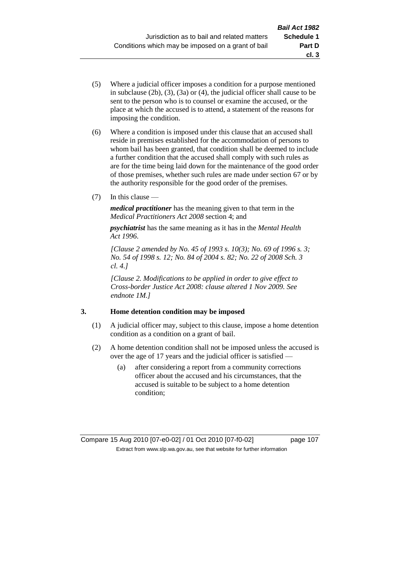- (5) Where a judicial officer imposes a condition for a purpose mentioned in subclause (2b), (3), (3a) or (4), the judicial officer shall cause to be sent to the person who is to counsel or examine the accused, or the place at which the accused is to attend, a statement of the reasons for imposing the condition.
- (6) Where a condition is imposed under this clause that an accused shall reside in premises established for the accommodation of persons to whom bail has been granted, that condition shall be deemed to include a further condition that the accused shall comply with such rules as are for the time being laid down for the maintenance of the good order of those premises, whether such rules are made under section 67 or by the authority responsible for the good order of the premises.
- (7) In this clause —

*medical practitioner* has the meaning given to that term in the *Medical Practitioners Act 2008* section 4; and

*psychiatrist* has the same meaning as it has in the *Mental Health Act 1996*.

*[Clause 2 amended by No. 45 of 1993 s. 10(3); No. 69 of 1996 s. 3; No. 54 of 1998 s. 12; No. 84 of 2004 s. 82; No. 22 of 2008 Sch. 3 cl. 4.]*

*[Clause 2. Modifications to be applied in order to give effect to Cross-border Justice Act 2008: clause altered 1 Nov 2009. See endnote 1M.]*

# **3. Home detention condition may be imposed**

- (1) A judicial officer may, subject to this clause, impose a home detention condition as a condition on a grant of bail.
- (2) A home detention condition shall not be imposed unless the accused is over the age of 17 years and the judicial officer is satisfied —
	- (a) after considering a report from a community corrections officer about the accused and his circumstances, that the accused is suitable to be subject to a home detention condition;

**cl. 3**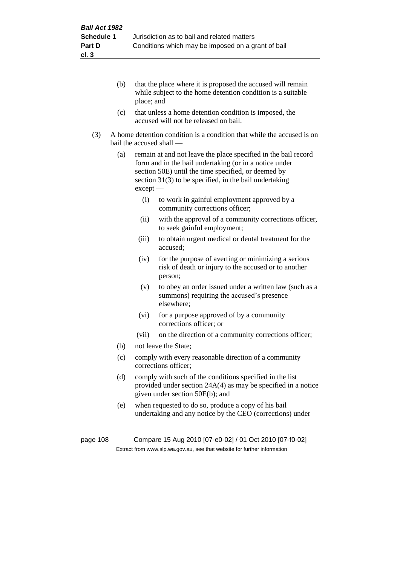- (b) that the place where it is proposed the accused will remain while subject to the home detention condition is a suitable place; and
- (c) that unless a home detention condition is imposed, the accused will not be released on bail.
- (3) A home detention condition is a condition that while the accused is on bail the accused shall —
	- (a) remain at and not leave the place specified in the bail record form and in the bail undertaking (or in a notice under section 50E) until the time specified, or deemed by section 31(3) to be specified, in the bail undertaking except —
		- (i) to work in gainful employment approved by a community corrections officer;
		- (ii) with the approval of a community corrections officer, to seek gainful employment;
		- (iii) to obtain urgent medical or dental treatment for the accused;
		- (iv) for the purpose of averting or minimizing a serious risk of death or injury to the accused or to another person;
		- (v) to obey an order issued under a written law (such as a summons) requiring the accused's presence elsewhere;
		- (vi) for a purpose approved of by a community corrections officer; or
		- (vii) on the direction of a community corrections officer;
	- (b) not leave the State;
	- (c) comply with every reasonable direction of a community corrections officer;
	- (d) comply with such of the conditions specified in the list provided under section 24A(4) as may be specified in a notice given under section 50E(b); and
	- (e) when requested to do so, produce a copy of his bail undertaking and any notice by the CEO (corrections) under

page 108 Compare 15 Aug 2010 [07-e0-02] / 01 Oct 2010 [07-f0-02] Extract from www.slp.wa.gov.au, see that website for further information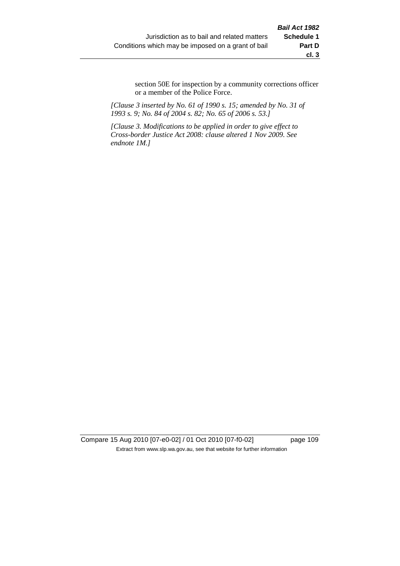section 50E for inspection by a community corrections officer or a member of the Police Force.

*[Clause 3 inserted by No. 61 of 1990 s. 15; amended by No. 31 of 1993 s. 9; No. 84 of 2004 s. 82; No. 65 of 2006 s. 53.]*

*[Clause 3. Modifications to be applied in order to give effect to Cross-border Justice Act 2008: clause altered 1 Nov 2009. See endnote 1M.]*

Compare 15 Aug 2010 [07-e0-02] / 01 Oct 2010 [07-f0-02] page 109 Extract from www.slp.wa.gov.au, see that website for further information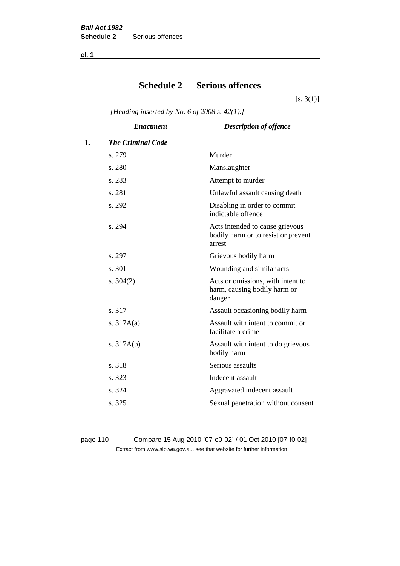**cl. 1**

# **Schedule 2 — Serious offences**

 $[s. 3(1)]$ 

*[Heading inserted by No. 6 of 2008 s. 42(1).]*

| <b>Enactment</b>         | <b>Description of offence</b>                                                    |
|--------------------------|----------------------------------------------------------------------------------|
| <b>The Criminal Code</b> |                                                                                  |
| s. 279                   | Murder                                                                           |
| s. 280                   | Manslaughter                                                                     |
| s. 283                   | Attempt to murder                                                                |
| s. 281                   | Unlawful assault causing death                                                   |
| s. 292                   | Disabling in order to commit<br>indictable offence                               |
| s. 294                   | Acts intended to cause grievous<br>bodily harm or to resist or prevent<br>arrest |
| s. 297                   | Grievous bodily harm                                                             |
| s. 301                   | Wounding and similar acts                                                        |
| s. $304(2)$              | Acts or omissions, with intent to<br>harm, causing bodily harm or<br>danger      |
| s. 317                   | Assault occasioning bodily harm                                                  |
| s. $317A(a)$             | Assault with intent to commit or<br>facilitate a crime                           |
| s. $317A(b)$             | Assault with intent to do grievous<br>bodily harm                                |
| s. 318                   | Serious assaults                                                                 |
| s. 323                   | Indecent assault                                                                 |
| s. 324                   | Aggravated indecent assault                                                      |
| s. 325                   | Sexual penetration without consent                                               |
|                          |                                                                                  |

page 110 Compare 15 Aug 2010 [07-e0-02] / 01 Oct 2010 [07-f0-02] Extract from www.slp.wa.gov.au, see that website for further information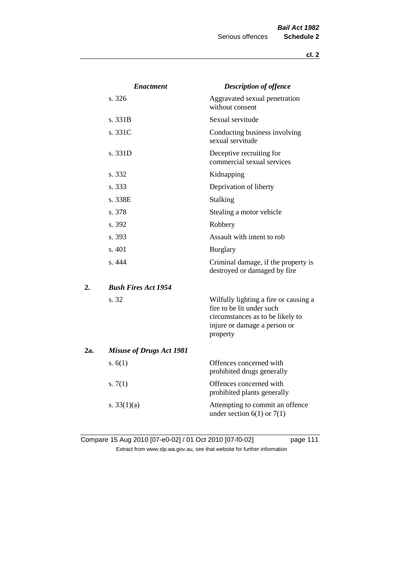|     | <b>Enactment</b>                | <b>Description of offence</b>                                                                                                                      |
|-----|---------------------------------|----------------------------------------------------------------------------------------------------------------------------------------------------|
|     | s. 326                          | Aggravated sexual penetration<br>without consent                                                                                                   |
|     | s. 331B                         | Sexual servitude                                                                                                                                   |
|     | s. 331C                         | Conducting business involving<br>sexual servitude                                                                                                  |
|     | s. 331D                         | Deceptive recruiting for<br>commercial sexual services                                                                                             |
|     | s. 332                          | Kidnapping                                                                                                                                         |
|     | s. 333                          | Deprivation of liberty                                                                                                                             |
|     | s. 338E                         | <b>Stalking</b>                                                                                                                                    |
|     | s. 378                          | Stealing a motor vehicle                                                                                                                           |
|     | s. 392                          | Robbery                                                                                                                                            |
|     | s. 393                          | Assault with intent to rob                                                                                                                         |
|     | s.401                           | <b>Burglary</b>                                                                                                                                    |
|     | s. 444                          | Criminal damage, if the property is<br>destroyed or damaged by fire                                                                                |
| 2.  | <b>Bush Fires Act 1954</b>      |                                                                                                                                                    |
|     | s. 32                           | Wilfully lighting a fire or causing a<br>fire to be lit under such<br>circumstances as to be likely to<br>injure or damage a person or<br>property |
| 2a. | <b>Misuse of Drugs Act 1981</b> |                                                                                                                                                    |
|     | s. $6(1)$                       | Offences concerned with<br>prohibited drugs generally                                                                                              |
|     | s. $7(1)$                       | Offences concerned with<br>prohibited plants generally                                                                                             |
|     | s. $33(1)(a)$                   | Attempting to commit an offence<br>under section $6(1)$ or $7(1)$                                                                                  |

Compare 15 Aug 2010 [07-e0-02] / 01 Oct 2010 [07-f0-02] page 111 Extract from www.slp.wa.gov.au, see that website for further information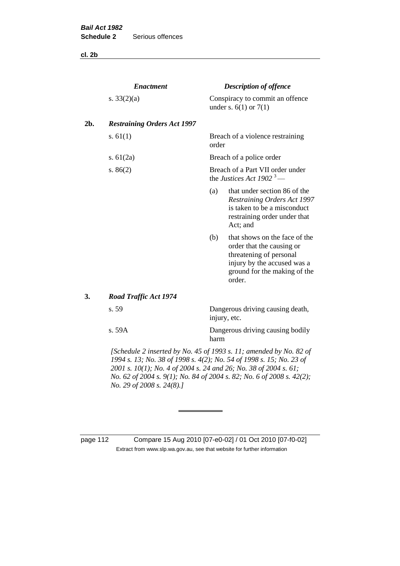**cl. 2b**

|     | <b>Enactment</b>                                                                                                                          |       | <b>Description of offence</b>                                                                                                                                  |
|-----|-------------------------------------------------------------------------------------------------------------------------------------------|-------|----------------------------------------------------------------------------------------------------------------------------------------------------------------|
|     | s. $33(2)(a)$                                                                                                                             |       | Conspiracy to commit an offence<br>under s. $6(1)$ or $7(1)$                                                                                                   |
| 2b. | <b>Restraining Orders Act 1997</b>                                                                                                        |       |                                                                                                                                                                |
|     | s. $61(1)$                                                                                                                                | order | Breach of a violence restraining                                                                                                                               |
|     | s. $61(2a)$                                                                                                                               |       | Breach of a police order                                                                                                                                       |
|     | s. $86(2)$                                                                                                                                |       | Breach of a Part VII order under<br>the Justices Act 1902 <sup>3</sup> —                                                                                       |
|     |                                                                                                                                           | (a)   | that under section 86 of the<br><b>Restraining Orders Act 1997</b><br>is taken to be a misconduct<br>restraining order under that<br>Act; and                  |
|     |                                                                                                                                           | (b)   | that shows on the face of the<br>order that the causing or<br>threatening of personal<br>injury by the accused was a<br>ground for the making of the<br>order. |
| 3.  | <b>Road Traffic Act 1974</b>                                                                                                              |       |                                                                                                                                                                |
|     | s. 59                                                                                                                                     |       | Dangerous driving causing death,<br>injury, etc.                                                                                                               |
|     | s. 59A                                                                                                                                    | harm  | Dangerous driving causing bodily                                                                                                                               |
|     | [Schedule 2 inserted by No. 45 of 1993 s. 11; amended by No. 82 of<br>1994 s. 13; No. 38 of 1998 s. 4(2); No. 54 of 1998 s. 15; No. 23 of |       |                                                                                                                                                                |

*2001 s. 10(1); No. 4 of 2004 s. 24 and 26; No. 38 of 2004 s. 61; No. 62 of 2004 s. 9(1); No. 84 of 2004 s. 82; No. 6 of 2008 s. 42(2); No. 29 of 2008 s. 24(8).]* 

page 112 Compare 15 Aug 2010 [07-e0-02] / 01 Oct 2010 [07-f0-02] Extract from www.slp.wa.gov.au, see that website for further information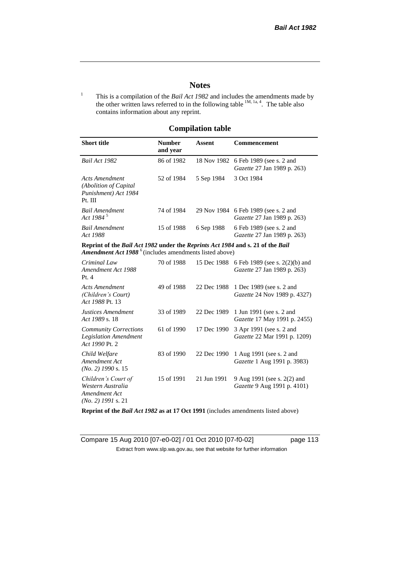# **Notes**

<sup>1</sup> This is a compilation of the *Bail Act 1982* and includes the amendments made by the other written laws referred to in the following table  $^{1M, 1a, 4}$ . The table also contains information about any reprint.

# **Compilation table**

| <b>Short title</b>                                                                                                                                          | <b>Number</b><br>and year | Assent      | Commencement                                                               |
|-------------------------------------------------------------------------------------------------------------------------------------------------------------|---------------------------|-------------|----------------------------------------------------------------------------|
| Bail Act 1982                                                                                                                                               | 86 of 1982                |             | 18 Nov 1982 6 Feb 1989 (see s. 2 and<br><i>Gazette</i> 27 Jan 1989 p. 263) |
| Acts Amendment<br>(Abolition of Capital)<br>Punishment) Act 1984<br>Pt. III                                                                                 | 52 of 1984                | 5 Sep 1984  | 3 Oct 1984                                                                 |
| <b>Bail Amendment</b><br>Act 1984 <sup>5</sup>                                                                                                              | 74 of 1984                |             | 29 Nov 1984 6 Feb 1989 (see s. 2 and<br><i>Gazette</i> 27 Jan 1989 p. 263) |
| <b>Bail Amendment</b><br>Act 1988                                                                                                                           | 15 of 1988                | 6 Sep 1988  | 6 Feb 1989 (see s. 2 and<br><i>Gazette</i> 27 Jan 1989 p. 263)             |
| Reprint of the Bail Act 1982 under the Reprints Act 1984 and s. 21 of the Bail<br><b>Amendment Act 1988</b> <sup>6</sup> (includes amendments listed above) |                           |             |                                                                            |
| Criminal Law<br>Amendment Act 1988<br>Pt.4                                                                                                                  | 70 of 1988                | 15 Dec 1988 | 6 Feb 1989 (see s. $2(2)(b)$ ) and<br><i>Gazette</i> 27 Jan 1989 p. 263)   |
| <b>Acts Amendment</b>                                                                                                                                       | 49 of 1988                |             | 22 Dec 1988 1 Dec 1989 (see s. 2 and                                       |

| (Children's Court)<br>Act 1988 Pt. 13                                             |            |             | <i>Gazette</i> 24 Nov 1989 p. 4327)                             |
|-----------------------------------------------------------------------------------|------------|-------------|-----------------------------------------------------------------|
| <b>Justices Amendment</b><br>Act 1989 s. 18                                       | 33 of 1989 | 22 Dec 1989 | 1 Jun 1991 (see s. 2 and<br><i>Gazette</i> 17 May 1991 p. 2455) |
| <b>Community Corrections</b><br><b>Legislation Amendment</b><br>Act 1990 Pt. 2    | 61 of 1990 | 17 Dec 1990 | 3 Apr 1991 (see s. 2 and<br><i>Gazette</i> 22 Mar 1991 p. 1209) |
| Child Welfare<br>Amendment Act<br>$(No. 2)$ 1990 s. 15                            | 83 of 1990 | 22 Dec 1990 | 1 Aug 1991 (see s. 2 and<br><i>Gazette</i> 1 Aug 1991 p. 3983)  |
| Children's Court of<br>Western Australia<br>Amendment Act<br>$(No. 2)$ 1991 s. 21 | 15 of 1991 | 21 Jun 1991 | 9 Aug 1991 (see s. 2(2) and<br>Gazette 9 Aug 1991 p. 4101)      |

**Reprint of the** *Bail Act 1982* **as at 17 Oct 1991** (includes amendments listed above)

Compare 15 Aug 2010 [07-e0-02] / 01 Oct 2010 [07-f0-02] page 113 Extract from www.slp.wa.gov.au, see that website for further information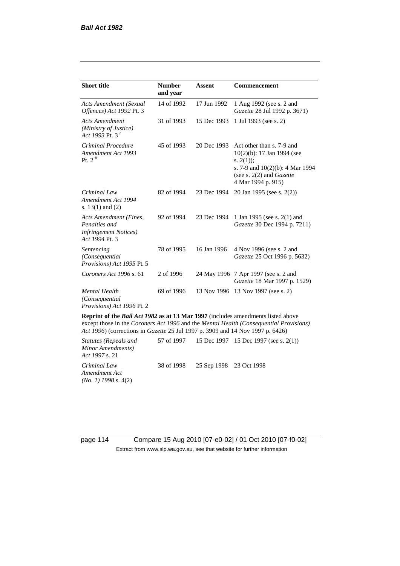| <b>Short title</b>                                                                         | <b>Number</b><br>and year | <b>Assent</b> | <b>Commencement</b>                                                                                                                                                        |
|--------------------------------------------------------------------------------------------|---------------------------|---------------|----------------------------------------------------------------------------------------------------------------------------------------------------------------------------|
| <b>Acts Amendment (Sexual</b><br>Offences) Act 1992 Pt. 3                                  | 14 of 1992                | 17 Jun 1992   | 1 Aug 1992 (see s. 2 and<br>Gazette 28 Jul 1992 p. 3671)                                                                                                                   |
| <b>Acts Amendment</b><br>(Ministry of Justice)<br>Act 1993 Pt. 3 <sup>7</sup>              | 31 of 1993                | 15 Dec 1993   | 1 Jul 1993 (see s. 2)                                                                                                                                                      |
| Criminal Procedure<br>Amendment Act 1993<br>P <sub>t. 2</sub> $8$                          | 45 of 1993                | 20 Dec 1993   | Act other than s. 7-9 and<br>$10(2)(b)$ : 17 Jan 1994 (see<br>s. $2(1)$ ;<br>s. 7-9 and $10(2)(b)$ : 4 Mar 1994<br>(see s. $2(2)$ and <i>Gazette</i><br>4 Mar 1994 p. 915) |
| Criminal Law<br>Amendment Act 1994<br>s. $13(1)$ and $(2)$                                 | 82 of 1994                | 23 Dec 1994   | 20 Jan 1995 (see s. 2(2))                                                                                                                                                  |
| Acts Amendment (Fines,<br>Penalties and<br><b>Infringement Notices</b> )<br>Act 1994 Pt. 3 | 92 of 1994                | 23 Dec 1994   | 1 Jan 1995 (see s. 2(1) and<br>Gazette 30 Dec 1994 p. 7211)                                                                                                                |
| Sentencing<br>(Consequential<br>Provisions) Act 1995 Pt. 5                                 | 78 of 1995                | 16 Jan 1996   | 4 Nov 1996 (see s. 2 and<br>Gazette 25 Oct 1996 p. 5632)                                                                                                                   |
| Coroners Act 1996 s. 61                                                                    | 2 of 1996                 |               | 24 May 1996 7 Apr 1997 (see s. 2 and<br>Gazette 18 Mar 1997 p. 1529)                                                                                                       |
| <b>Mental Health</b><br>(Consequential)<br>Provisions) Act 1996 Pt. 2                      | 69 of 1996                | 13 Nov 1996   | 13 Nov 1997 (see s. 2)                                                                                                                                                     |

**Reprint of the** *Bail Act 1982* **as at 13 Mar 1997** (includes amendments listed above except those in the *Coroners Act 1996* and the *Mental Health (Consequential Provisions) Act 1996*) (corrections in *Gazette* 25 Jul 1997 p. 3909 and 14 Nov 1997 p. 6426)

*Statutes (Repeals and Minor Amendments) Act 1997* s. 21 57 of 1997 15 Dec 1997 15 Dec 1997 (see s. 2(1)) *Criminal Law Amendment Act (No. 1) 1998* s. 4(2) 38 of 1998 25 Sep 1998 23 Oct 1998

page 114 Compare 15 Aug 2010 [07-e0-02] / 01 Oct 2010 [07-f0-02] Extract from www.slp.wa.gov.au, see that website for further information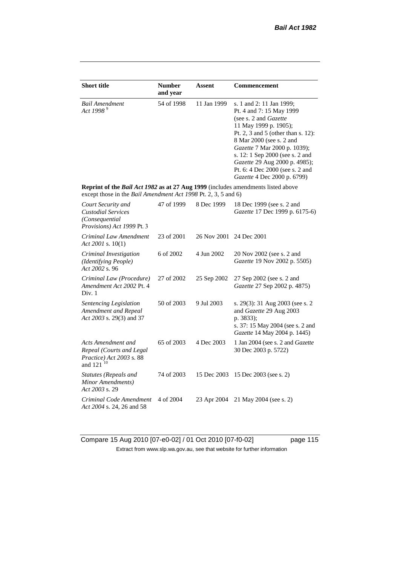| <b>Short title</b>                                                                                                                                 | <b>Number</b><br>and year | Assent      | <b>Commencement</b>                                                                                                                                                                                                                                                                                                                                     |
|----------------------------------------------------------------------------------------------------------------------------------------------------|---------------------------|-------------|---------------------------------------------------------------------------------------------------------------------------------------------------------------------------------------------------------------------------------------------------------------------------------------------------------------------------------------------------------|
| <b>Bail Amendment</b><br>Act 1998 $9^9$                                                                                                            | 54 of 1998                | 11 Jan 1999 | s. 1 and 2: 11 Jan 1999;<br>Pt. 4 and 7: 15 May 1999<br>(see s. 2 and <i>Gazette</i> )<br>11 May 1999 p. 1905);<br>Pt. 2, 3 and 5 (other than s. 12):<br>8 Mar 2000 (see s. 2 and<br>Gazette 7 Mar 2000 p. 1039);<br>s. 12: 1 Sep 2000 (see s. 2 and<br>Gazette 29 Aug 2000 p. 4985);<br>Pt. 6: 4 Dec 2000 (see s. 2 and<br>Gazette 4 Dec 2000 p. 6799) |
| Reprint of the Bail Act 1982 as at 27 Aug 1999 (includes amendments listed above<br>except those in the Bail Amendment Act 1998 Pt. 2, 3, 5 and 6) |                           |             |                                                                                                                                                                                                                                                                                                                                                         |
| Court Security and<br><b>Custodial Services</b><br>(Consequential<br>Provisions) Act 1999 Pt. 3                                                    | 47 of 1999                | 8 Dec 1999  | 18 Dec 1999 (see s. 2 and<br>Gazette 17 Dec 1999 p. 6175-6)                                                                                                                                                                                                                                                                                             |
| Criminal Law Amendment<br>Act 2001 s. $10(1)$                                                                                                      | 23 of 2001                | 26 Nov 2001 | 24 Dec 2001                                                                                                                                                                                                                                                                                                                                             |
| Criminal Investigation<br>(Identifying People)<br>Act 2002 s. 96                                                                                   | 6 of 2002                 | 4 Jun 2002  | 20 Nov 2002 (see s. 2 and<br>Gazette 19 Nov 2002 p. 5505)                                                                                                                                                                                                                                                                                               |
| Criminal Law (Procedure)<br>Amendment Act 2002 Pt. 4<br>Div. 1                                                                                     | 27 of 2002                | 25 Sep 2002 | 27 Sep 2002 (see s. 2 and<br>Gazette 27 Sep 2002 p. 4875)                                                                                                                                                                                                                                                                                               |
| Sentencing Legislation<br>Amendment and Repeal<br>Act 2003 s. 29(3) and 37                                                                         | 50 of 2003                | 9 Jul 2003  | s. 29(3): 31 Aug 2003 (see s. 2)<br>and Gazette 29 Aug 2003<br>p. 3833);<br>s. 37: 15 May 2004 (see s. 2 and<br>Gazette 14 May 2004 p. 1445)                                                                                                                                                                                                            |
| Acts Amendment and<br>Repeal (Courts and Legal<br>Practice) Act 2003 s. 88<br>and 121 <sup>10</sup>                                                | 65 of 2003                | 4 Dec 2003  | 1 Jan 2004 (see s. 2 and Gazette<br>30 Dec 2003 p. 5722)                                                                                                                                                                                                                                                                                                |
| Statutes (Repeals and<br>Minor Amendments)<br>Act 2003 s. 29                                                                                       | 74 of 2003                | 15 Dec 2003 | 15 Dec 2003 (see s. 2)                                                                                                                                                                                                                                                                                                                                  |
| Criminal Code Amendment<br>Act 2004 s. 24, 26 and 58                                                                                               | 4 of 2004                 | 23 Apr 2004 | 21 May 2004 (see s. 2)                                                                                                                                                                                                                                                                                                                                  |

Compare 15 Aug 2010 [07-e0-02] / 01 Oct 2010 [07-f0-02] page 115 Extract from www.slp.wa.gov.au, see that website for further information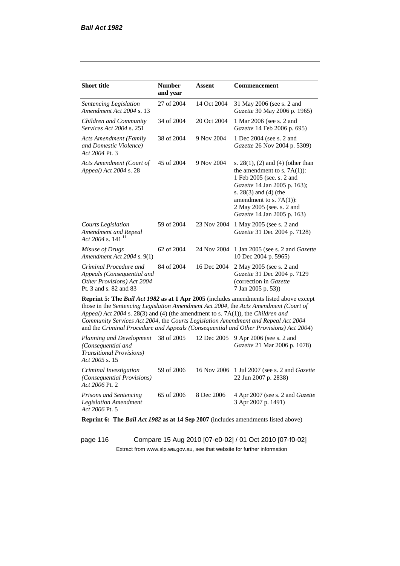| <b>Short title</b>                                                                                           | <b>Number</b><br>and year | <b>Assent</b> | Commencement                                                                                                                                                                                                                                                                                                                                                 |  |
|--------------------------------------------------------------------------------------------------------------|---------------------------|---------------|--------------------------------------------------------------------------------------------------------------------------------------------------------------------------------------------------------------------------------------------------------------------------------------------------------------------------------------------------------------|--|
| Sentencing Legislation<br>Amendment Act 2004 s. 13                                                           | 27 of 2004                | 14 Oct 2004   | 31 May 2006 (see s. 2 and<br>Gazette 30 May 2006 p. 1965)                                                                                                                                                                                                                                                                                                    |  |
| Children and Community<br><i>Services Act 2004 s. 251</i>                                                    | 34 of 2004                | 20 Oct 2004   | 1 Mar 2006 (see s. 2 and<br>Gazette 14 Feb 2006 p. 695)                                                                                                                                                                                                                                                                                                      |  |
| <b>Acts Amendment (Family</b><br>and Domestic Violence)<br>Act 2004 Pt. 3                                    | 38 of 2004                | 9 Nov 2004    | 1 Dec 2004 (see s. 2 and<br>Gazette 26 Nov 2004 p. 5309)                                                                                                                                                                                                                                                                                                     |  |
| Acts Amendment (Court of<br>Appeal) Act 2004 s. 28                                                           | 45 of 2004                | 9 Nov 2004    | s. $28(1)$ , (2) and (4) (other than<br>the amendment to s. $7A(1)$ :<br>1 Feb 2005 (see. s. 2 and<br>Gazette 14 Jan 2005 p. 163);<br>s. $28(3)$ and $(4)$ (the<br>amendment to s. $7A(1)$ :<br>2 May 2005 (see. s. 2 and<br>Gazette 14 Jan 2005 p. 163)                                                                                                     |  |
| <b>Courts Legislation</b><br>Amendment and Repeal<br>Act 2004 s. 141 <sup>11</sup>                           | 59 of 2004                | 23 Nov 2004   | 1 May 2005 (see s. 2 and<br>Gazette 31 Dec 2004 p. 7128)                                                                                                                                                                                                                                                                                                     |  |
| Misuse of Drugs<br>Amendment Act 2004 s. 9(1)                                                                | 62 of 2004                | 24 Nov 2004   | 1 Jan 2005 (see s. 2 and <i>Gazette</i><br>10 Dec 2004 p. 5965)                                                                                                                                                                                                                                                                                              |  |
| Criminal Procedure and<br>Appeals (Consequential and<br>Other Provisions) Act 2004<br>Pt. 3 and s. 82 and 83 | 84 of 2004                | 16 Dec 2004   | 2 May 2005 (see s. 2 and<br>Gazette 31 Dec 2004 p. 7129<br>(correction in Gazette<br>7 Jan 2005 p. 53))                                                                                                                                                                                                                                                      |  |
| Appeal) Act 2004 s. 28(3) and (4) (the amendment to s. 7A(1)), the Children and                              |                           |               | Reprint 5: The Bail Act 1982 as at 1 Apr 2005 (includes amendments listed above except<br>those in the Sentencing Legislation Amendment Act 2004, the Acts Amendment (Court of<br>Community Services Act 2004, the Courts Legislation Amendment and Repeal Act 2004<br>and the Criminal Procedure and Appeals (Consequential and Other Provisions) Act 2004) |  |
| Planning and Development<br>(Consequential and<br><b>Transitional Provisions)</b><br>Act 2005 s. 15          | 38 of 2005                | 12 Dec 2005   | 9 Apr 2006 (see s. 2 and<br>Gazette 21 Mar 2006 p. 1078)                                                                                                                                                                                                                                                                                                     |  |
| Criminal Investigation                                                                                       | 59 of 2006                |               | 16 Nov 2006 1 Jul 2007 (see s. 2 and <i>Gazette</i>                                                                                                                                                                                                                                                                                                          |  |

*(Consequential Provisions) Act 2006* Pt. 2 22 Jun 2007 p. 2838) *Prisons and Sentencing Legislation Amendment Act 2006* Pt. 5 65 of 2006 8 Dec 2006 4 Apr 2007 (see s. 2 and *Gazette* 3 Apr 2007 p. 1491)

**Reprint 6: The** *Bail Act 1982* **as at 14 Sep 2007** (includes amendments listed above)

page 116 Compare 15 Aug 2010 [07-e0-02] / 01 Oct 2010 [07-f0-02] Extract from www.slp.wa.gov.au, see that website for further information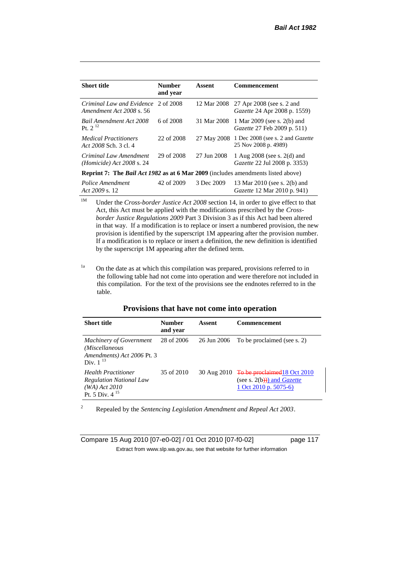| <b>Short title</b>                                                                             | <b>Number</b><br>and year | Assent      | <b>Commencement</b>                                                  |
|------------------------------------------------------------------------------------------------|---------------------------|-------------|----------------------------------------------------------------------|
| Criminal Law and Evidence 2 of 2008<br>Amendment Act 2008 s. 56                                |                           | 12 Mar 2008 | 27 Apr 2008 (see s. 2 and<br><i>Gazette</i> 24 Apr 2008 p. 1559)     |
| <b>Bail Amendment Act 2008</b><br>Pt. $2^{12}$                                                 | 6 of 2008                 | 31 Mar 2008 | 1 Mar 2009 (see s. 2(b) and<br>Gazette 27 Feb 2009 p. 511)           |
| <i>Medical Practitioners</i><br>Act 2008 Sch. 3 cl. 4                                          | 22 of 2008                |             | 27 May 2008 1 Dec 2008 (see s. 2 and Gazette<br>25 Nov 2008 p. 4989) |
| Criminal Law Amendment<br><i>(Homicide)</i> Act 2008 s. 24                                     | 29 of 2008                | 27 Jun 2008 | 1 Aug 2008 (see s. 2(d) and<br><i>Gazette</i> 22 Jul 2008 p. 3353)   |
| <b>Reprint 7:</b> The <i>Bail Act 1982</i> as at 6 Mar 2009 (includes amendments listed above) |                           |             |                                                                      |
| Police Amendment<br>Act $2009$ s. 12                                                           | 42 of 2009                | 3 Dec 2009  | 13 Mar 2010 (see s. 2(b) and<br><i>Gazette</i> 12 Mar 2010 p. 941)   |

<sup>1M</sup> Under the *Cross-border Justice Act 2008* section 14, in order to give effect to that Act, this Act must be applied with the modifications prescribed by the *Crossborder Justice Regulations 2009* Part 3 Division 3 as if this Act had been altered in that way. If a modification is to replace or insert a numbered provision, the new provision is identified by the superscript 1M appearing after the provision number. If a modification is to replace or insert a definition, the new definition is identified by the superscript 1M appearing after the defined term.

<sup>1a</sup> On the date as at which this compilation was prepared, provisions referred to in the following table had not come into operation and were therefore not included in this compilation. For the text of the provisions see the endnotes referred to in the table.

#### **Provisions that have not come into operation**

| <b>Short title</b>                                                                                     | <b>Number</b><br>and year | Assent      | <b>Commencement</b>                                                                                         |
|--------------------------------------------------------------------------------------------------------|---------------------------|-------------|-------------------------------------------------------------------------------------------------------------|
| <b>Machinery of Government</b><br>(Miscellaneous<br>Amendments) Act 2006 Pt. 3<br>Div. $1^{13}$        | 28 of 2006                | 26 Jun 2006 | To be proclaimed (see s. 2)                                                                                 |
| <b>Health Practitioner</b><br><b>Regulation National Law</b><br>$(WA)$ Act 2010<br>Pt. 5 Div. $4^{15}$ | 35 of 2010                |             | 30 Aug $2010$ To be proclaimed 18 Oct 2010<br>(see s. $2(b)$ ) and <i>Gazette</i><br>1 Oct 2010 p. $5075-6$ |

<sup>2</sup> Repealed by the *Sentencing Legislation Amendment and Repeal Act 2003*.

Compare 15 Aug 2010 [07-e0-02] / 01 Oct 2010 [07-f0-02] page 117 Extract from www.slp.wa.gov.au, see that website for further information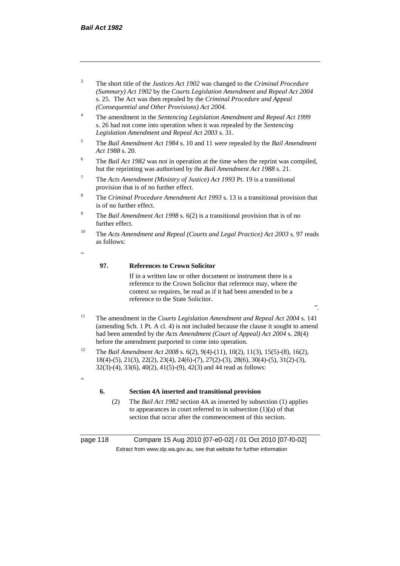- <sup>3</sup> The short title of the *Justices Act 1902* was changed to the *Criminal Procedure (Summary) Act 1902* by the *Courts Legislation Amendment and Repeal Act 2004*  s. 25. The Act was then repealed by the *Criminal Procedure and Appeal (Consequential and Other Provisions) Act 2004.*
- <sup>4</sup> The amendment in the *Sentencing Legislation Amendment and Repeal Act 1999* s. 26 had not come into operation when it was repealed by the *Sentencing Legislation Amendment and Repeal Act 2003* s. 31.
- <sup>5</sup> The *Bail Amendment Act 1984* s. 10 and 11 were repealed by the *Bail Amendment Act 1988* s. 20.
- <sup>6</sup> The *Bail Act 1982* was not in operation at the time when the reprint was compiled, but the reprinting was authorised by the *Bail Amendment Act 1988* s. 21.
- <sup>7</sup> The *Acts Amendment (Ministry of Justice) Act 1993* Pt. 19 is a transitional provision that is of no further effect.
- <sup>8</sup> The *Criminal Procedure Amendment Act 1993* s. 13 is a transitional provision that is of no further effect.
- <sup>9</sup> The *Bail Amendment Act 1998* s. 6(2) is a transitional provision that is of no further effect.
- <sup>10</sup> The *Acts Amendment and Repeal (Courts and Legal Practice) Act 2003* s. 97 reads as follows:
- .<br>د د

.<br>cc

#### **97. References to Crown Solicitor**

If in a written law or other document or instrument there is a reference to the Crown Solicitor that reference may, where the context so requires, be read as if it had been amended to be a reference to the State Solicitor.

".

- <sup>11</sup> The amendment in the *Courts Legislation Amendment and Repeal Act 2004* s. 141 (amending Sch. 1 Pt. A cl. 4) is not included because the clause it sought to amend had been amended by the *Acts Amendment (Court of Appeal) Act 2004* s. 28(4) before the amendment purported to come into operation.
- <sup>12</sup> The *Bail Amendment Act 2008* s. 6(2), 9(4)-(11), 10(2), 11(3), 15(5)-(8), 16(2), 18(4)-(5), 21(3), 22(2), 23(4), 24(6)-(7), 27(2)-(3), 28(6), 30(4)-(5), 31(2)-(3), 32(3)-(4), 33(6), 40(2), 41(5)-(9), 42(3) and 44 read as follows:

#### **6. Section 4A inserted and transitional provision**

(2) The *Bail Act 1982* section 4A as inserted by subsection (1) applies to appearances in court referred to in subsection (1)(a) of that section that occur after the commencement of this section.

page 118 Compare 15 Aug 2010 [07-e0-02] / 01 Oct 2010 [07-f0-02] Extract from www.slp.wa.gov.au, see that website for further information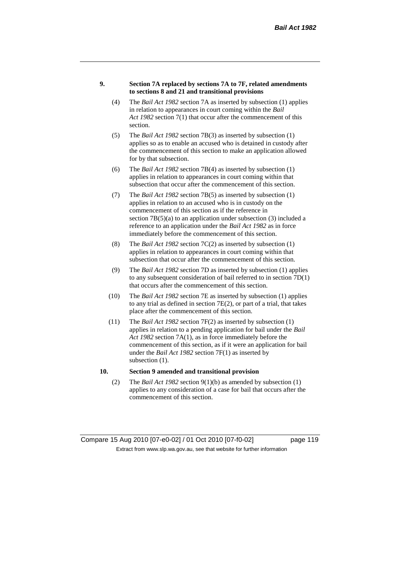#### **9. Section 7A replaced by sections 7A to 7F, related amendments to sections 8 and 21 and transitional provisions**

- (4) The *Bail Act 1982* section 7A as inserted by subsection (1) applies in relation to appearances in court coming within the *Bail Act 1982* section 7(1) that occur after the commencement of this section.
- (5) The *Bail Act 1982* section 7B(3) as inserted by subsection (1) applies so as to enable an accused who is detained in custody after the commencement of this section to make an application allowed for by that subsection.
- (6) The *Bail Act 1982* section 7B(4) as inserted by subsection (1) applies in relation to appearances in court coming within that subsection that occur after the commencement of this section.
- (7) The *Bail Act 1982* section 7B(5) as inserted by subsection (1) applies in relation to an accused who is in custody on the commencement of this section as if the reference in section  $7B(5)(a)$  to an application under subsection (3) included a reference to an application under the *Bail Act 1982* as in force immediately before the commencement of this section.
- (8) The *Bail Act 1982* section 7C(2) as inserted by subsection (1) applies in relation to appearances in court coming within that subsection that occur after the commencement of this section.
- (9) The *Bail Act 1982* section 7D as inserted by subsection (1) applies to any subsequent consideration of bail referred to in section 7D(1) that occurs after the commencement of this section.
- (10) The *Bail Act 1982* section 7E as inserted by subsection (1) applies to any trial as defined in section 7E(2), or part of a trial, that takes place after the commencement of this section.
- (11) The *Bail Act 1982* section 7F(2) as inserted by subsection (1) applies in relation to a pending application for bail under the *Bail Act 1982* section 7A(1), as in force immediately before the commencement of this section, as if it were an application for bail under the *Bail Act 1982* section 7F(1) as inserted by subsection  $(1)$ .

### **10. Section 9 amended and transitional provision**

(2) The *Bail Act 1982* section 9(1)(b) as amended by subsection (1) applies to any consideration of a case for bail that occurs after the commencement of this section.

Compare 15 Aug 2010 [07-e0-02] / 01 Oct 2010 [07-f0-02] page 119 Extract from www.slp.wa.gov.au, see that website for further information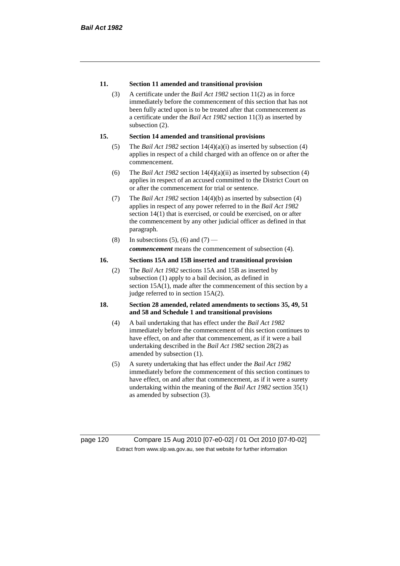### **11. Section 11 amended and transitional provision**

(3) A certificate under the *Bail Act 1982* section 11(2) as in force immediately before the commencement of this section that has not been fully acted upon is to be treated after that commencement as a certificate under the *Bail Act 1982* section 11(3) as inserted by subsection  $(2)$ .

#### **15. Section 14 amended and transitional provisions**

- (5) The *Bail Act 1982* section 14(4)(a)(i) as inserted by subsection (4) applies in respect of a child charged with an offence on or after the commencement.
- (6) The *Bail Act 1982* section 14(4)(a)(ii) as inserted by subsection (4) applies in respect of an accused committed to the District Court on or after the commencement for trial or sentence.
- (7) The *Bail Act 1982* section 14(4)(b) as inserted by subsection (4) applies in respect of any power referred to in the *Bail Act 1982* section 14(1) that is exercised, or could be exercised, on or after the commencement by any other judicial officer as defined in that paragraph.
- (8) In subsections (5), (6) and (7) *commencement* means the commencement of subsection (4).

#### **16. Sections 15A and 15B inserted and transitional provision**

(2) The *Bail Act 1982* sections 15A and 15B as inserted by subsection (1) apply to a bail decision, as defined in section 15A(1), made after the commencement of this section by a judge referred to in section 15A(2).

#### **18. Section 28 amended, related amendments to sections 35, 49, 51 and 58 and Schedule 1 and transitional provisions**

- (4) A bail undertaking that has effect under the *Bail Act 1982* immediately before the commencement of this section continues to have effect, on and after that commencement, as if it were a bail undertaking described in the *Bail Act 1982* section 28(2) as amended by subsection (1).
- (5) A surety undertaking that has effect under the *Bail Act 1982* immediately before the commencement of this section continues to have effect, on and after that commencement, as if it were a surety undertaking within the meaning of the *Bail Act 1982* section 35(1) as amended by subsection (3).

page 120 Compare 15 Aug 2010 [07-e0-02] / 01 Oct 2010 [07-f0-02] Extract from www.slp.wa.gov.au, see that website for further information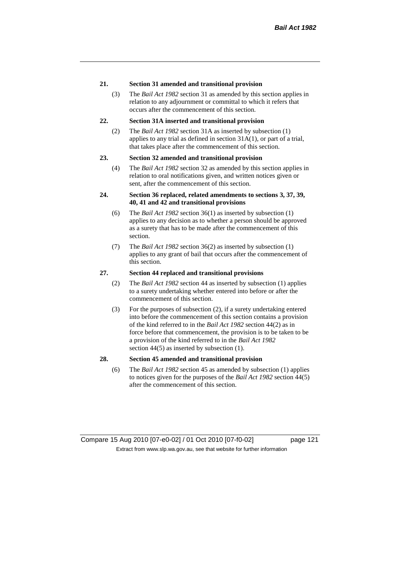#### **21. Section 31 amended and transitional provision**

(3) The *Bail Act 1982* section 31 as amended by this section applies in relation to any adjournment or committal to which it refers that occurs after the commencement of this section.

### **22. Section 31A inserted and transitional provision**

(2) The *Bail Act 1982* section 31A as inserted by subsection (1) applies to any trial as defined in section 31A(1), or part of a trial, that takes place after the commencement of this section.

#### **23. Section 32 amended and transitional provision**

(4) The *Bail Act 1982* section 32 as amended by this section applies in relation to oral notifications given, and written notices given or sent, after the commencement of this section.

### **24. Section 36 replaced, related amendments to sections 3, 37, 39, 40, 41 and 42 and transitional provisions**

- (6) The *Bail Act 1982* section 36(1) as inserted by subsection (1) applies to any decision as to whether a person should be approved as a surety that has to be made after the commencement of this section.
- (7) The *Bail Act 1982* section 36(2) as inserted by subsection (1) applies to any grant of bail that occurs after the commencement of this section.

#### **27. Section 44 replaced and transitional provisions**

- (2) The *Bail Act 1982* section 44 as inserted by subsection (1) applies to a surety undertaking whether entered into before or after the commencement of this section.
- (3) For the purposes of subsection (2), if a surety undertaking entered into before the commencement of this section contains a provision of the kind referred to in the *Bail Act 1982* section 44(2) as in force before that commencement, the provision is to be taken to be a provision of the kind referred to in the *Bail Act 1982*  section 44(5) as inserted by subsection (1).

#### **28. Section 45 amended and transitional provision**

(6) The *Bail Act 1982* section 45 as amended by subsection (1) applies to notices given for the purposes of the *Bail Act 1982* section 44(5) after the commencement of this section.

Compare 15 Aug 2010 [07-e0-02] / 01 Oct 2010 [07-f0-02] page 121 Extract from www.slp.wa.gov.au, see that website for further information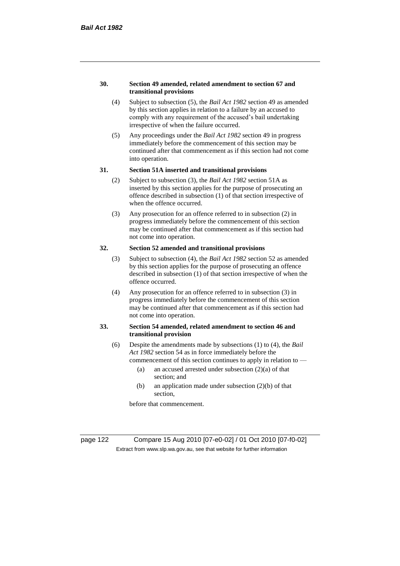#### **30. Section 49 amended, related amendment to section 67 and transitional provisions**

- (4) Subject to subsection (5), the *Bail Act 1982* section 49 as amended by this section applies in relation to a failure by an accused to comply with any requirement of the accused's bail undertaking irrespective of when the failure occurred.
- (5) Any proceedings under the *Bail Act 1982* section 49 in progress immediately before the commencement of this section may be continued after that commencement as if this section had not come into operation.

#### **31. Section 51A inserted and transitional provisions**

- (2) Subject to subsection (3), the *Bail Act 1982* section 51A as inserted by this section applies for the purpose of prosecuting an offence described in subsection (1) of that section irrespective of when the offence occurred.
- (3) Any prosecution for an offence referred to in subsection (2) in progress immediately before the commencement of this section may be continued after that commencement as if this section had not come into operation.

# **32. Section 52 amended and transitional provisions**

- (3) Subject to subsection (4), the *Bail Act 1982* section 52 as amended by this section applies for the purpose of prosecuting an offence described in subsection (1) of that section irrespective of when the offence occurred.
- (4) Any prosecution for an offence referred to in subsection (3) in progress immediately before the commencement of this section may be continued after that commencement as if this section had not come into operation.

### **33. Section 54 amended, related amendment to section 46 and transitional provision**

- (6) Despite the amendments made by subsections (1) to (4), the *Bail Act 1982* section 54 as in force immediately before the
	- commencement of this section continues to apply in relation to
		- (a) an accused arrested under subsection  $(2)(a)$  of that section; and
		- (b) an application made under subsection (2)(b) of that section,

before that commencement.

page 122 Compare 15 Aug 2010 [07-e0-02] / 01 Oct 2010 [07-f0-02] Extract from www.slp.wa.gov.au, see that website for further information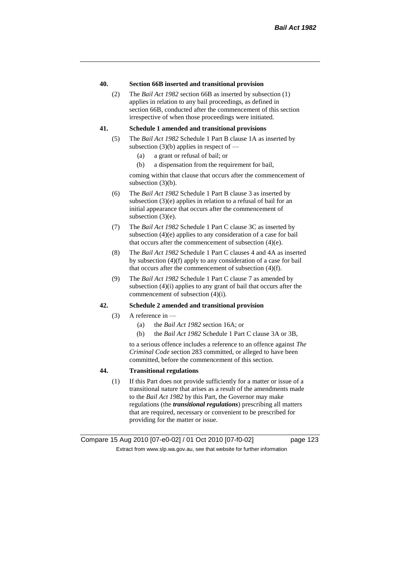#### **40. Section 66B inserted and transitional provision**

(2) The *Bail Act 1982* section 66B as inserted by subsection (1) applies in relation to any bail proceedings, as defined in section 66B, conducted after the commencement of this section irrespective of when those proceedings were initiated.

#### **41. Schedule 1 amended and transitional provisions**

- (5) The *Bail Act 1982* Schedule 1 Part B clause 1A as inserted by subsection  $(3)(b)$  applies in respect of —
	- (a) a grant or refusal of bail; or
	- (b) a dispensation from the requirement for bail,

coming within that clause that occurs after the commencement of subsection (3)(b).

- (6) The *Bail Act 1982* Schedule 1 Part B clause 3 as inserted by subsection (3)(e) applies in relation to a refusal of bail for an initial appearance that occurs after the commencement of subsection (3)(e).
- (7) The *Bail Act 1982* Schedule 1 Part C clause 3C as inserted by subsection (4)(e) applies to any consideration of a case for bail that occurs after the commencement of subsection (4)(e).
- (8) The *Bail Act 1982* Schedule 1 Part C clauses 4 and 4A as inserted by subsection (4)(f) apply to any consideration of a case for bail that occurs after the commencement of subsection (4)(f).
- (9) The *Bail Act 1982* Schedule 1 Part C clause 7 as amended by subsection (4)(i) applies to any grant of bail that occurs after the commencement of subsection (4)(i).

#### **42. Schedule 2 amended and transitional provision**

- (3) A reference in  $-$ 
	- (a) the *Bail Act 1982* section 16A; or
	- (b) the *Bail Act 1982* Schedule 1 Part C clause 3A or 3B,

to a serious offence includes a reference to an offence against *The Criminal Code* section 283 committed, or alleged to have been committed, before the commencement of this section.

### **44. Transitional regulations**

(1) If this Part does not provide sufficiently for a matter or issue of a transitional nature that arises as a result of the amendments made to the *Bail Act 1982* by this Part, the Governor may make regulations (the *transitional regulations*) prescribing all matters that are required, necessary or convenient to be prescribed for providing for the matter or issue.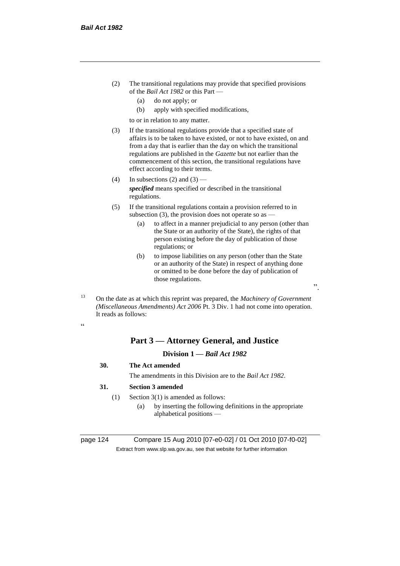- (2) The transitional regulations may provide that specified provisions of the *Bail Act 1982* or this Part —
	- (a) do not apply; or
	- (b) apply with specified modifications,

to or in relation to any matter.

- (3) If the transitional regulations provide that a specified state of affairs is to be taken to have existed, or not to have existed, on and from a day that is earlier than the day on which the transitional regulations are published in the *Gazette* but not earlier than the commencement of this section, the transitional regulations have effect according to their terms.
- (4) In subsections (2) and  $(3)$  *specified* means specified or described in the transitional regulations.
- (5) If the transitional regulations contain a provision referred to in subsection (3), the provision does not operate so as  $-$ 
	- (a) to affect in a manner prejudicial to any person (other than the State or an authority of the State), the rights of that person existing before the day of publication of those regulations; or
	- (b) to impose liabilities on any person (other than the State or an authority of the State) in respect of anything done or omitted to be done before the day of publication of those regulations.

".

<sup>13</sup> On the date as at which this reprint was prepared, the *Machinery of Government (Miscellaneous Amendments) Act 2006* Pt. 3 Div. 1 had not come into operation. It reads as follows:

.<br>.

# **Part 3 — Attorney General, and Justice**

# **Division 1 —** *Bail Act 1982*

- **30. The Act amended**
	- The amendments in this Division are to the *Bail Act 1982*.

### **31. Section 3 amended**

- (1) Section 3(1) is amended as follows:
	- (a) by inserting the following definitions in the appropriate alphabetical positions —

page 124 Compare 15 Aug 2010 [07-e0-02] / 01 Oct 2010 [07-f0-02] Extract from www.slp.wa.gov.au, see that website for further information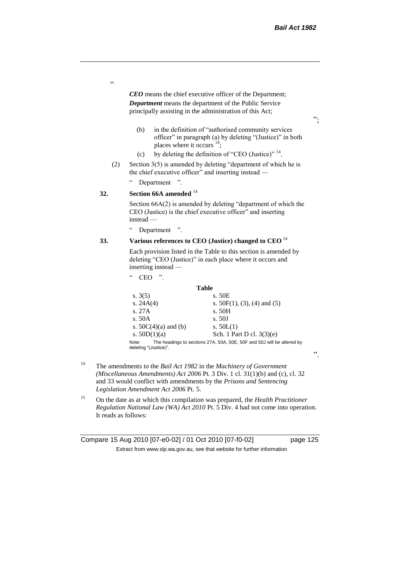$, ,$ 

".

*CEO* means the chief executive officer of the Department; *Department* means the department of the Public Service principally assisting in the administration of this Act;

- (b) in the definition of "authorised community services officer" in paragraph (a) by deleting "(Justice)" in both places where it occurs <sup>14</sup>;
- (c) by deleting the definition of "CEO (Justice)"  $14$ .
- (2) Section 3(5) is amended by deleting "department of which he is the chief executive officer" and inserting instead -

" Department ".

# **32. Section 66A amended** <sup>14</sup>

Section 66A(2) is amended by deleting "department of which the CEO (Justice) is the chief executive officer" and inserting instead —

" Department ".

## **33. Various references to CEO (Justice) changed to CEO** <sup>14</sup>

Each provision listed in the Table to this section is amended by deleting "CEO (Justice)" in each place where it occurs and inserting instead —

 $CEO$  ".

#### **Table**

| s. $3(5)$                      | s. 50E                                                                 |
|--------------------------------|------------------------------------------------------------------------|
| s. $24A(4)$                    | s. $50F(1)$ , (3), (4) and (5)                                         |
| s. 27A                         | s. 50H                                                                 |
| s. $50A$                       | s.50J                                                                  |
| s. $50C(4)(a)$ and (b)         | s. $50L(1)$                                                            |
| s. $50D(1)(a)$                 | Sch. 1 Part D cl. $3(3)(e)$                                            |
| Note:<br>deleting "(Justice)". | The headings to sections 27A, 50A, 50E, 50F and 50J will be altered by |

- <sup>14</sup> The amendments to the *Bail Act 1982* in the *Machinery of Government (Miscellaneous Amendments) Act 2006* Pt. 3 Div. 1 cl. 31(1)(b) and (c), cl. 32 and 33 would conflict with amendments by the *Prisons and Sentencing Legislation Amendment Act 2006* Pt. 5.
- <sup>15</sup> On the date as at which this compilation was prepared, the *Health Practitioner Regulation National Law (WA) Act 2010* Pt. 5 Div. 4 had not come into operation. It reads as follows:

Compare 15 Aug 2010 [07-e0-02] / 01 Oct 2010 [07-f0-02] page 125 Extract from www.slp.wa.gov.au, see that website for further information

"